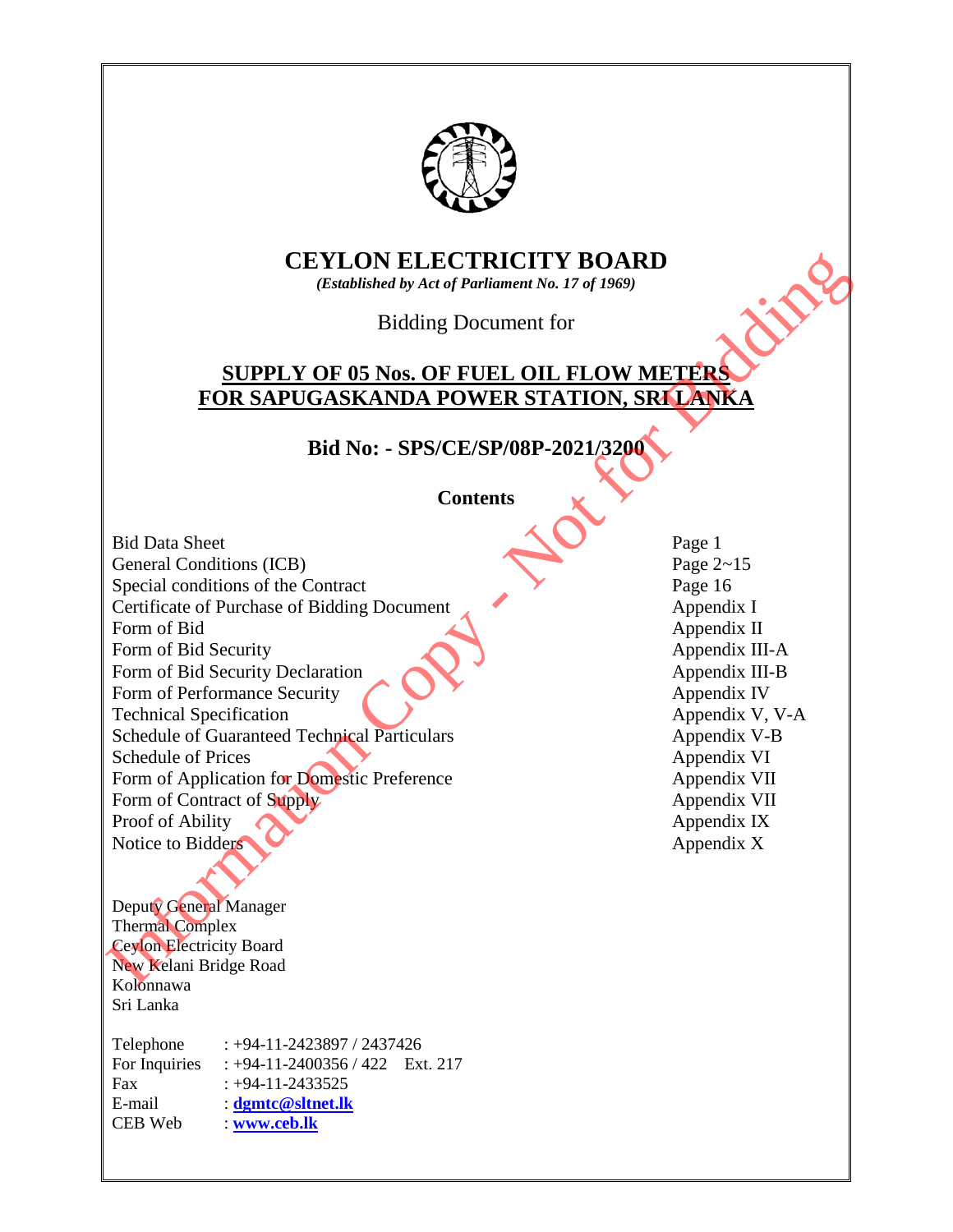

# **CEYLON ELECTRICITY BOARD**

*(Established by Act of Parliament No. 17 of 1969)*

Bidding Document for

# **SUPPLY OF 05 Nos. OF FUEL OIL FLOW METERS FOR SAPUGASKANDA POWER STATION, SRI LANKA**

**Bid No: - SPS/CE/SP/08P-2021/3200** 

**Contents** 

Bid Data Sheet Page 1 General Conditions (ICB) Page 2~15 Special conditions of the Contract Page 16 Certificate of Purchase of Bidding Document Appendix I Form of Bid Appendix II Form of Bid Security Appendix III-A Form of Bid Security Declaration Appendix III-B Form of Performance Security **Appendix IV** Appendix IV Technical Specification Appendix V, V-A Schedule of Guaranteed Technical Particulars Appendix V-B Schedule of Prices Appendix VI Form of Application for Domestic Preference Appendix VII Form of Contract of Supply Appendix VII Proof of Ability **Appendix IX** *Appendix IX* Notice to Bidders  $\bigcup_{\text{W}}$  Appendix X CEYLON ELECTRICITY BOARD<br>
(Established by Act of Tertiannel You 17 of 1968)<br>
(Established by Act of Tertifical Tertian 1 for 17 of 1969)<br>
Bidding Document for<br>
FOR SAPUGASKANDA POWER STATION, SRELANKA<br>
Bid Data Sheet<br>
Con

Deputy General Manager Thermal Complex Ceylon Electricity Board New Kelani Bridge Road Kolonnawa

Sri Lanka

Telephone : +94-11-2423897 / 2437426 For Inquiries : +94-11-2400356 / 422 Ext. 217 Fax  $: +94-11-2433525$ E-mail : **[dgmtc@sltnet.lk](mailto:dgmtc@sltnet.lk)** CEB Web : **[www.ceb.lk](http://www.ceb.lk/)**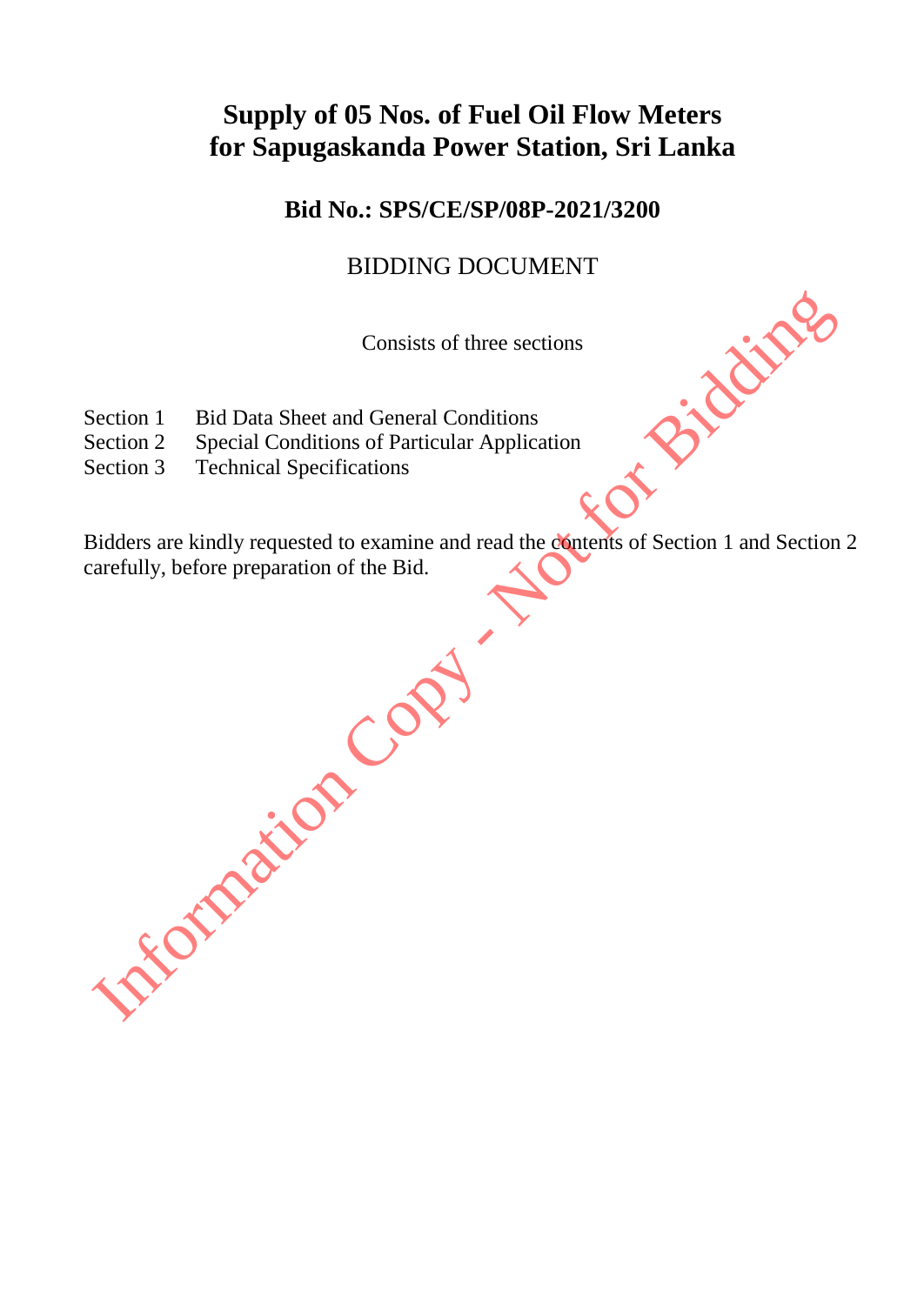# **Supply of 05 Nos. of Fuel Oil Flow Meters for Sapugaskanda Power Station, Sri Lanka**

**Bid No.: SPS/CE/SP/08P-2021/3200**

# BIDDING DOCUMENT

Consists of three sections

- Section 1 Bid Data Sheet and General Conditions
- Section 2 Special Conditions of Particular Application
- Section 3 Technical Specifications

Bidders are kindly requested to examine and read the contents of Section 1 and Section 2 carefully, before preparation of the Bid.

Section 1 Bid Data Sheet and General Conditions<br>Section 2 Special Conditions of Particular Application<br>Section 3 Technical Specifications<br>sidders are kindly requested to examine and read the examines of Section 1 and Secti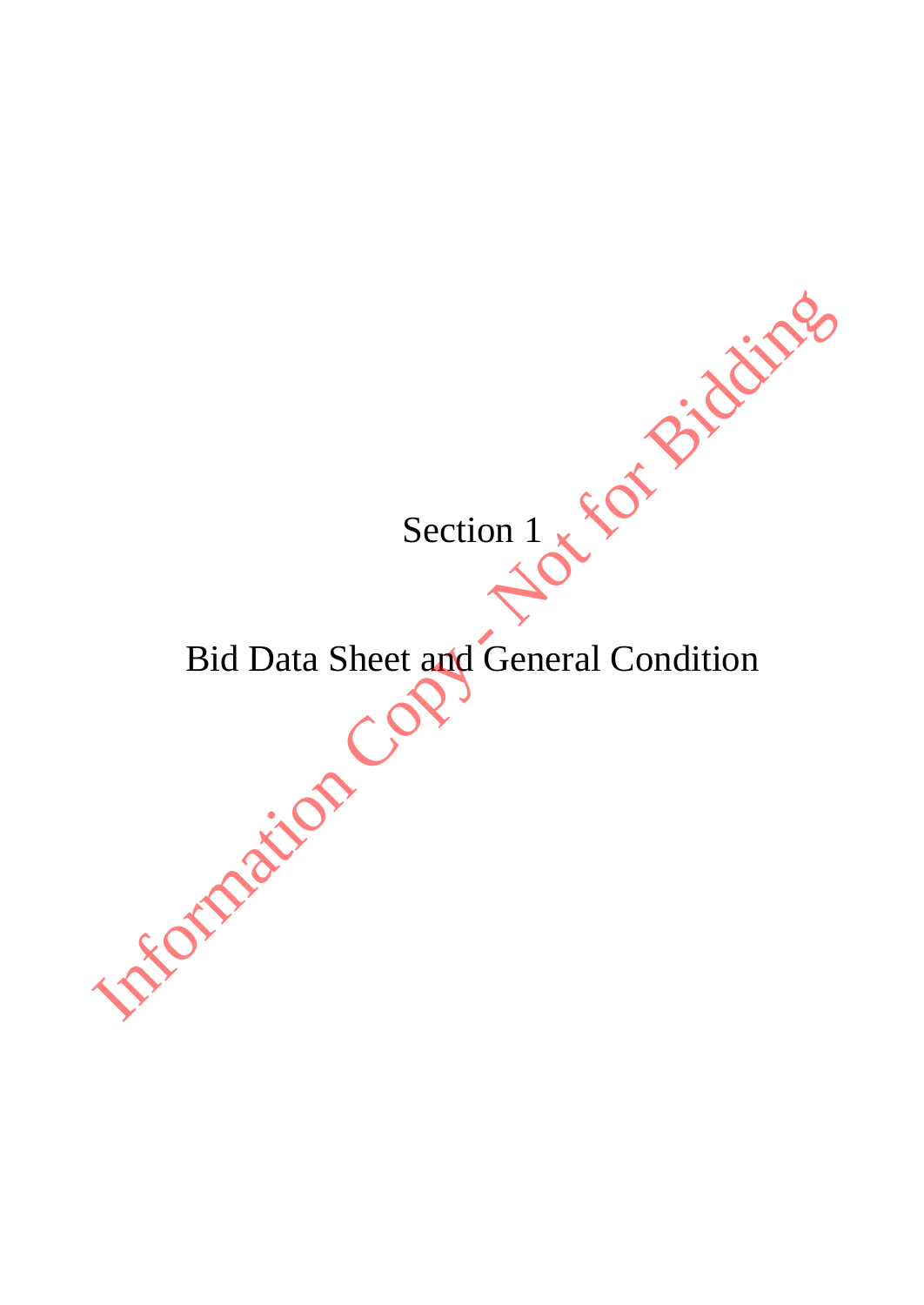Section 1

# Bid Data Sheet and General Condition Section 1 x 8 of Bidding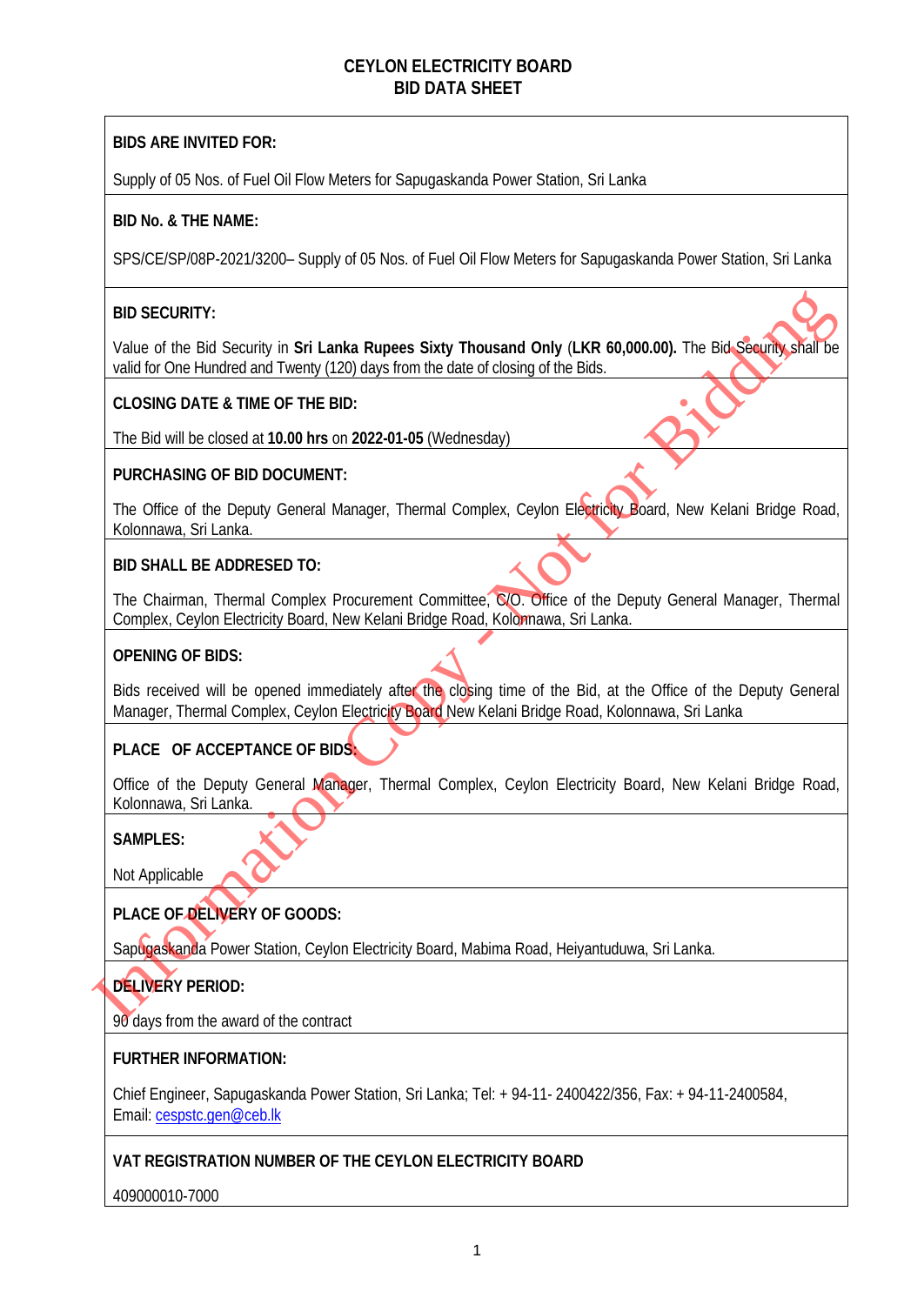#### **CEYLON ELECTRICITY BOARD BID DATA SHEET**

#### **BIDS ARE INVITED FOR:**

Supply of 05 Nos. of Fuel Oil Flow Meters for Sapugaskanda Power Station, Sri Lanka

#### **BID No. & THE NAME:**

SPS/CE/SP/08P-2021/3200– Supply of 05 Nos. of Fuel Oil Flow Meters for Sapugaskanda Power Station, Sri Lanka

#### **BID SECURITY:**

Value of the Bid Security in **Sri Lanka Rupees Sixty Thousand Only** (**LKR 60,000.00).** The Bid Security shall be valid for One Hundred and Twenty (120) days from the date of closing of the Bids.

#### **CLOSING DATE & TIME OF THE BID:**

The Bid will be closed at **10.00 hrs** on **2022-01-05** (Wednesday)

#### **PURCHASING OF BID DOCUMENT:**

The Office of the Deputy General Manager, Thermal Complex, Ceylon Electricity Board, New Kelani Bridge Road, Kolonnawa, Sri Lanka.

#### **BID SHALL BE ADDRESED TO:**

The Chairman, Thermal Complex Procurement Committee, C/O. Office of the Deputy General Manager, Thermal Complex, Ceylon Electricity Board, New Kelani Bridge Road, Kolonnawa, Sri Lanka.

#### **OPENING OF BIDS:**

Bids received will be opened immediately after the closing time of the Bid, at the Office of the Deputy General Manager, Thermal Complex, Ceylon Electricity Board New Kelani Bridge Road, Kolonnawa, Sri Lanka **BID SECURITY:**<br>
Value of the Bid Security in Sri Lanka Rupees Sixty Thousand Only (LKR 60,000.00). The Bid Security and the rote therefore and Teamly (120) days from the fatte of desired or Bidding of the Bidding Consults

#### **PLACE OF ACCEPTANCE OF BIDS:**

Office of the Deputy General Manager, Thermal Complex, Ceylon Electricity Board, New Kelani Bridge Road, Kolonnawa, Sri Lanka.

#### **SAMPLES:**

Not Applicable

#### **PLACE OF DELIVERY OF GOODS:**

Sapugaskanda Power Station, Ceylon Electricity Board, Mabima Road, Heiyantuduwa, Sri Lanka.

#### **DELIVERY PERIOD:**

90 days from the award of the contract

#### **FURTHER INFORMATION:**

Chief Engineer, Sapugaskanda Power Station, Sri Lanka; Tel: + 94-11- 2400422/356, Fax: + 94-11-2400584, Email[: cespstc.gen@ceb.lk](mailto:cespstc.gen@ceb.lk) 

#### **VAT REGISTRATION NUMBER OF THE CEYLON ELECTRICITY BOARD**

409000010-7000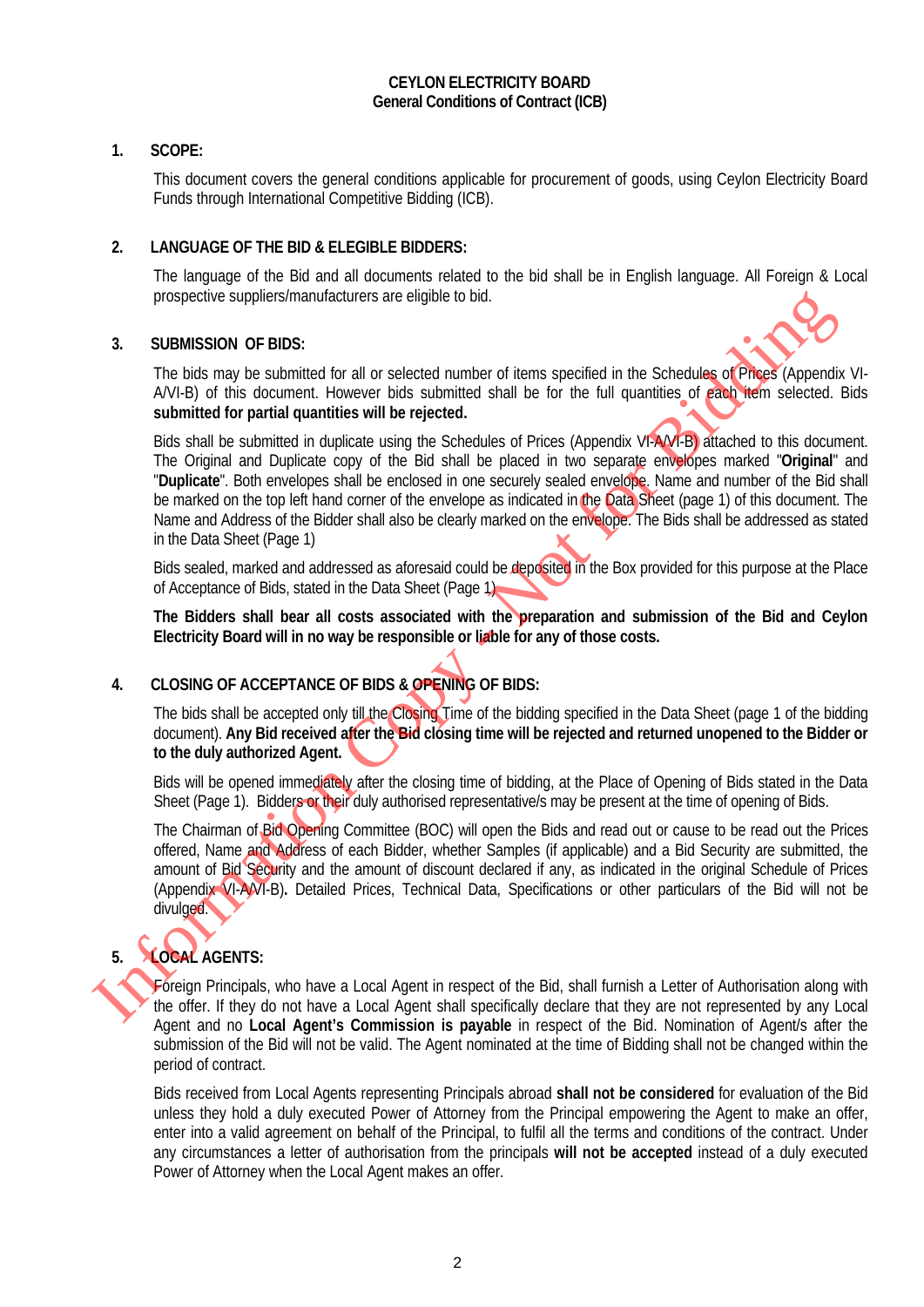#### **CEYLON ELECTRICITY BOARD General Conditions of Contract (ICB)**

#### **1. SCOPE:**

This document covers the general conditions applicable for procurement of goods, using Ceylon Electricity Board Funds through International Competitive Bidding (ICB).

#### **2. LANGUAGE OF THE BID & ELEGIBLE BIDDERS:**

The language of the Bid and all documents related to the bid shall be in English language. All Foreign & Local prospective suppliers/manufacturers are eligible to bid.

#### **3. SUBMISSION OF BIDS:**



The bids may be submitted for all or selected number of items specified in the Schedules of Prices (Appendix VI-A/VI-B) of this document. However bids submitted shall be for the full quantities of each item selected. Bids **submitted for partial quantities will be rejected.**

Bids shall be submitted in duplicate using the Schedules of Prices (Appendix VI-A/VI-B) attached to this document. The Original and Duplicate copy of the Bid shall be placed in two separate envelopes marked "**Original**" and "**Duplicate**". Both envelopes shall be enclosed in one securely sealed envelope. Name and number of the Bid shall be marked on the top left hand corner of the envelope as indicated in the Data Sheet (page 1) of this document. The Name and Address of the Bidder shall also be clearly marked on the envelope. The Bids shall be addressed as stated in the Data Sheet (Page 1) SUBMISSION OF BIDS:<br>
3. SUBMISSION OF BIDS:<br>
The bids may be submitted for all or selected number of items specified in the Schedular advertised coupled in<br>
AO-15) of this document. However bids submitted shall be for the

Bids sealed, marked and addressed as aforesaid could be deposited in the Box provided for this purpose at the Place of Acceptance of Bids, stated in the Data Sheet (Page 1)

**The Bidders shall bear all costs associated with the preparation and submission of the Bid and Ceylon Electricity Board will in no way be responsible or liable for any of those costs.**

#### **4. CLOSING OF ACCEPTANCE OF BIDS & OPENING OF BIDS:**

The bids shall be accepted only till the Closing Time of the bidding specified in the Data Sheet (page 1 of the bidding document). **Any Bid received after the Bid closing time will be rejected and returned unopened to the Bidder or to the duly authorized Agent.**

Bids will be opened immediately after the closing time of bidding, at the Place of Opening of Bids stated in the Data Sheet (Page 1). Bidders or their duly authorised representative/s may be present at the time of opening of Bids.

The Chairman of Bid Opening Committee (BOC) will open the Bids and read out or cause to be read out the Prices offered, Name and Address of each Bidder, whether Samples (if applicable) and a Bid Security are submitted, the amount of Bid Security and the amount of discount declared if any, as indicated in the original Schedule of Prices (Appendix VI-A/VI-B)**.** Detailed Prices, Technical Data, Specifications or other particulars of the Bid will not be divulged.

# **5. LOCAL AGENTS:**

Foreign Principals, who have a Local Agent in respect of the Bid, shall furnish a Letter of Authorisation along with the offer. If they do not have a Local Agent shall specifically declare that they are not represented by any Local Agent and no **Local Agent's Commission is payable** in respect of the Bid. Nomination of Agent/s after the submission of the Bid will not be valid. The Agent nominated at the time of Bidding shall not be changed within the period of contract.

Bids received from Local Agents representing Principals abroad **shall not be considered** for evaluation of the Bid unless they hold a duly executed Power of Attorney from the Principal empowering the Agent to make an offer, enter into a valid agreement on behalf of the Principal, to fulfil all the terms and conditions of the contract. Under any circumstances a letter of authorisation from the principals **will not be accepted** instead of a duly executed Power of Attorney when the Local Agent makes an offer.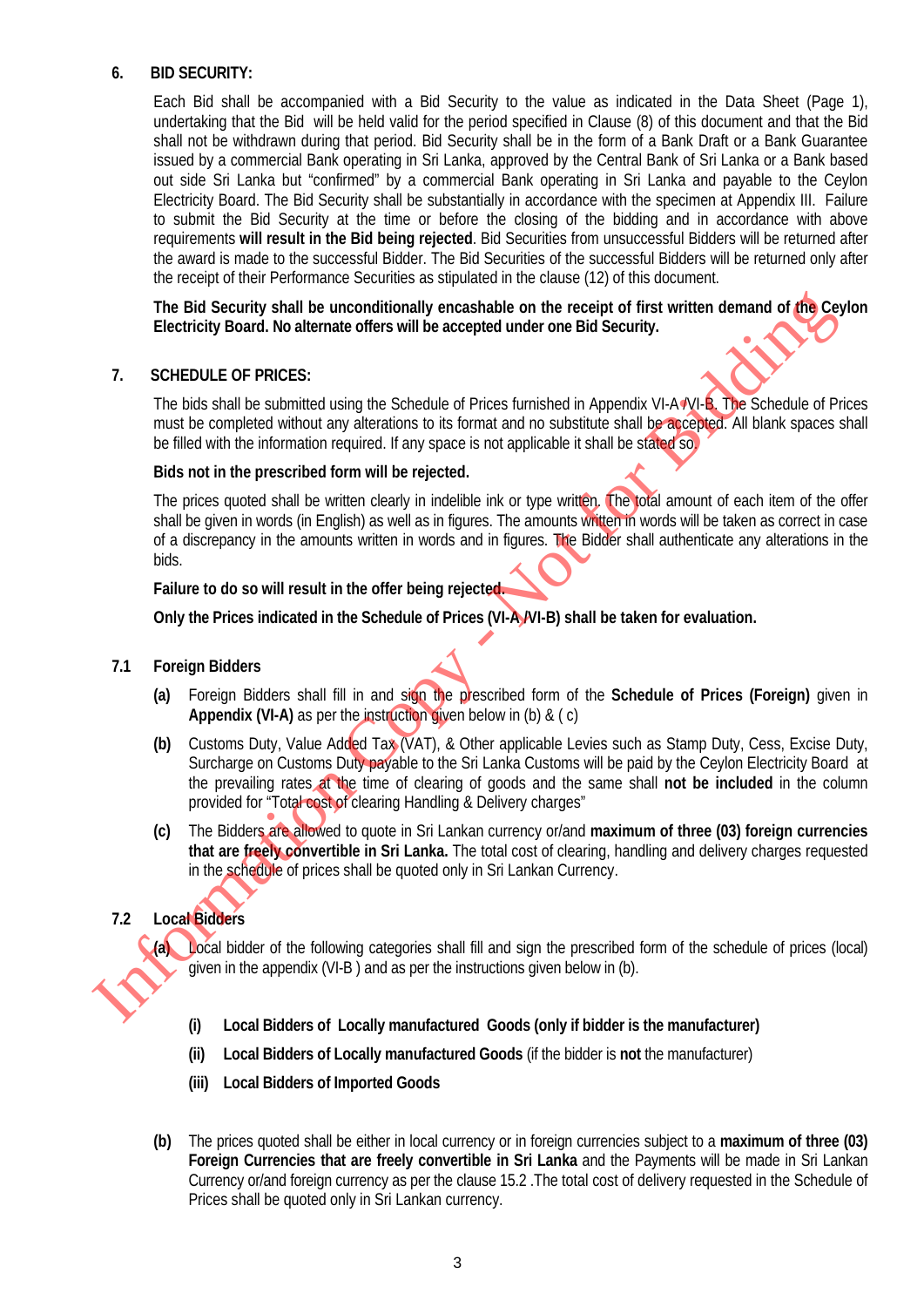#### **6. BID SECURITY:**

Each Bid shall be accompanied with a Bid Security to the value as indicated in the Data Sheet (Page 1), undertaking that the Bid will be held valid for the period specified in Clause (8) of this document and that the Bid shall not be withdrawn during that period. Bid Security shall be in the form of a Bank Draft or a Bank Guarantee issued by a commercial Bank operating in Sri Lanka, approved by the Central Bank of Sri Lanka or a Bank based out side Sri Lanka but "confirmed" by a commercial Bank operating in Sri Lanka and payable to the Ceylon Electricity Board. The Bid Security shall be substantially in accordance with the specimen at Appendix III. Failure to submit the Bid Security at the time or before the closing of the bidding and in accordance with above requirements **will result in the Bid being rejected**. Bid Securities from unsuccessful Bidders will be returned after the award is made to the successful Bidder. The Bid Securities of the successful Bidders will be returned only after the receipt of their Performance Securities as stipulated in the clause (12) of this document.

**The Bid Security shall be unconditionally encashable on the receipt of first written demand of the Ceylon Electricity Board. No alternate offers will be accepted under one Bid Security.** 

#### **7. SCHEDULE OF PRICES:**

The bids shall be submitted using the Schedule of Prices furnished in Appendix VI-A /VI-B. The Schedule of Prices must be completed without any alterations to its format and no substitute shall be accepted. All blank spaces shall be filled with the information required. If any space is not applicable it shall be stated so.

#### **Bids not in the prescribed form will be rejected.**

The prices quoted shall be written clearly in indelible ink or type written. The total amount of each item of the offer shall be given in words (in English) as well as in figures. The amounts written in words will be taken as correct in case of a discrepancy in the amounts written in words and in figures. The Bidder shall authenticate any alterations in the bids.

#### **Failure to do so will result in the offer being rejected.**

**Only the Prices indicated in the Schedule of Prices (VI-A /VI-B) shall be taken for evaluation.**

#### **7.1 Foreign Bidders**

- **(a)** Foreign Bidders shall fill in and sign the prescribed form of the **Schedule of Prices (Foreign)** given in **Appendix (VI-A)** as per the instruction given below in (b) & ( c)
- **(b)** Customs Duty, Value Added Tax (VAT), & Other applicable Levies such as Stamp Duty, Cess, Excise Duty, Surcharge on Customs Duty payable to the Sri Lanka Customs will be paid by the Ceylon Electricity Board at the prevailing rates at the time of clearing of goods and the same shall **not be included** in the column provided for "Total cost of clearing Handling & Delivery charges" The Bid Security shall be unconditionally encashable on the receipt of first written demand of the<br>Control of Director Contracts of the Schedule of Prices furnished in Appends VI-AYVIA.<br>
The bids shall be submitted using
	- **(c)** The Bidders are allowed to quote in Sri Lankan currency or/and **maximum of three (03) foreign currencies that are freely convertible in Sri Lanka.** The total cost of clearing, handling and delivery charges requested in the schedule of prices shall be quoted only in Sri Lankan Currency.

#### **7.2 Local Bidders**

**(a)** Local bidder of the following categories shall fill and sign the prescribed form of the schedule of prices (local) given in the appendix (VI-B ) and as per the instructions given below in (b).

- **(i) Local Bidders of Locally manufactured Goods (only if bidder is the manufacturer)**
- **(ii) Local Bidders of Locally manufactured Goods** (if the bidder is **not** the manufacturer)
- **(iii) Local Bidders of Imported Goods**
- **(b)** The prices quoted shall be either in local currency or in foreign currencies subject to a **maximum of three (03) Foreign Currencies that are freely convertible in Sri Lanka** and the Payments will be made in Sri Lankan Currency or/and foreign currency as per the clause 15.2 .The total cost of delivery requested in the Schedule of Prices shall be quoted only in Sri Lankan currency.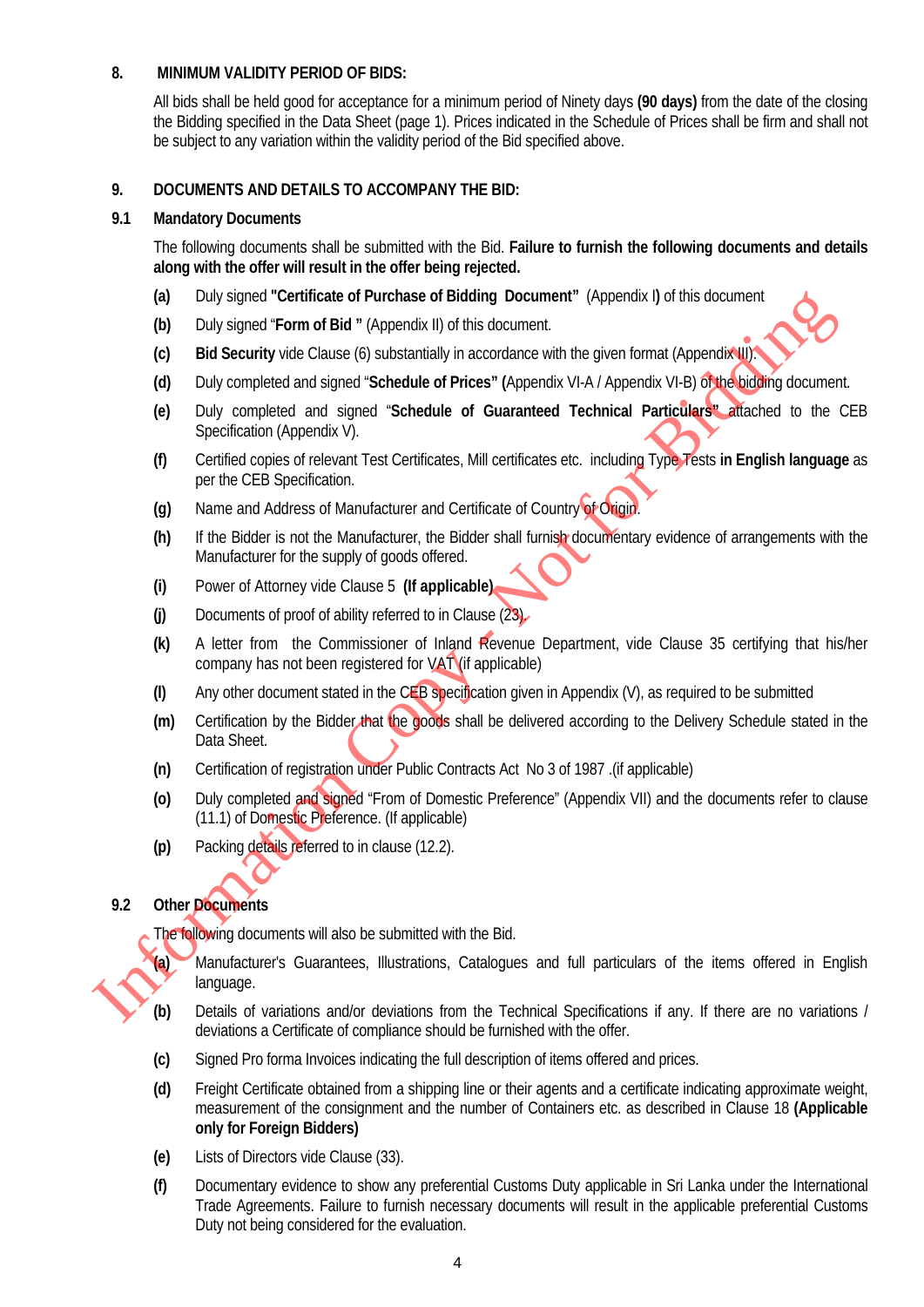#### **8. MINIMUM VALIDITY PERIOD OF BIDS:**

All bids shall be held good for acceptance for a minimum period of Ninety days **(90 days)** from the date of the closing the Bidding specified in the Data Sheet (page 1). Prices indicated in the Schedule of Prices shall be firm and shall not be subject to any variation within the validity period of the Bid specified above.

#### **9. DOCUMENTS AND DETAILS TO ACCOMPANY THE BID:**

#### **9.1 Mandatory Documents**

The following documents shall be submitted with the Bid. **Failure to furnish the following documents and details along with the offer will result in the offer being rejected.**

- **(a)** Duly signed **"Certificate of Purchase of Bidding Document"** (Appendix I**)** of this document
- **(b)** Duly signed "**Form of Bid "** (Appendix II) of this document.
- **(c) Bid Security** vide Clause (6) substantially in accordance with the given format (Appendix III).
- **(d)** Duly completed and signed "**Schedule of Prices" (**Appendix VI-A / Appendix VI-B) of the bidding document.
- **(e)** Duly completed and signed "**Schedule of Guaranteed Technical Particulars"** attached to the CEB Specification (Appendix V).
- **(f)** Certified copies of relevant Test Certificates, Mill certificates etc. including Type Tests **in English language** as per the CEB Specification.
- **(g)** Name and Address of Manufacturer and Certificate of Country of Origin.
- **(h)** If the Bidder is not the Manufacturer, the Bidder shall furnish documentary evidence of arrangements with the Manufacturer for the supply of goods offered.
- **(i)** Power of Attorney vide Clause 5 **(If applicable)**
- **(j)** Documents of proof of ability referred to in Clause (23).
- **(k)** A letter from the Commissioner of Inland Revenue Department, vide Clause 35 certifying that his/her company has not been registered for  $VAT$  (if applicable)
- **(l)** Any other document stated in the CEB specification given in Appendix (V), as required to be submitted
- **(m)** Certification by the Bidder that the goods shall be delivered according to the Delivery Schedule stated in the Data Sheet.
- **(n)** Certification of registration under Public Contracts Act No 3 of 1987 .(if applicable)
- **(o)** Duly completed and signed "From of Domestic Preference" (Appendix VII) and the documents refer to clause (11.1) of Domestic Preference. (If applicable) (a) Duly signed certures or percents or percent or percent of percent or streament.<br>
(b) Duly signed Form of Bid " (Appendix II) of Its distances with the given format (Appendix II) and Security vide Clause (6) substantia
	- **(p)** Packing details referred to in clause (12.2).

#### **9.2 Other Documents**

The following documents will also be submitted with the Bid.

- **(a)** Manufacturer's Guarantees, Illustrations, Catalogues and full particulars of the items offered in English language.
- **(b)** Details of variations and/or deviations from the Technical Specifications if any. If there are no variations / deviations a Certificate of compliance should be furnished with the offer.
- **(c)** Signed Pro forma Invoices indicating the full description of items offered and prices.
- **(d)** Freight Certificate obtained from a shipping line or their agents and a certificate indicating approximate weight, measurement of the consignment and the number of Containers etc. as described in Clause 18 **(Applicable only for Foreign Bidders)**
- **(e)** Lists of Directors vide Clause (33).
- **(f)** Documentary evidence to show any preferential Customs Duty applicable in Sri Lanka under the International Trade Agreements. Failure to furnish necessary documents will result in the applicable preferential Customs Duty not being considered for the evaluation.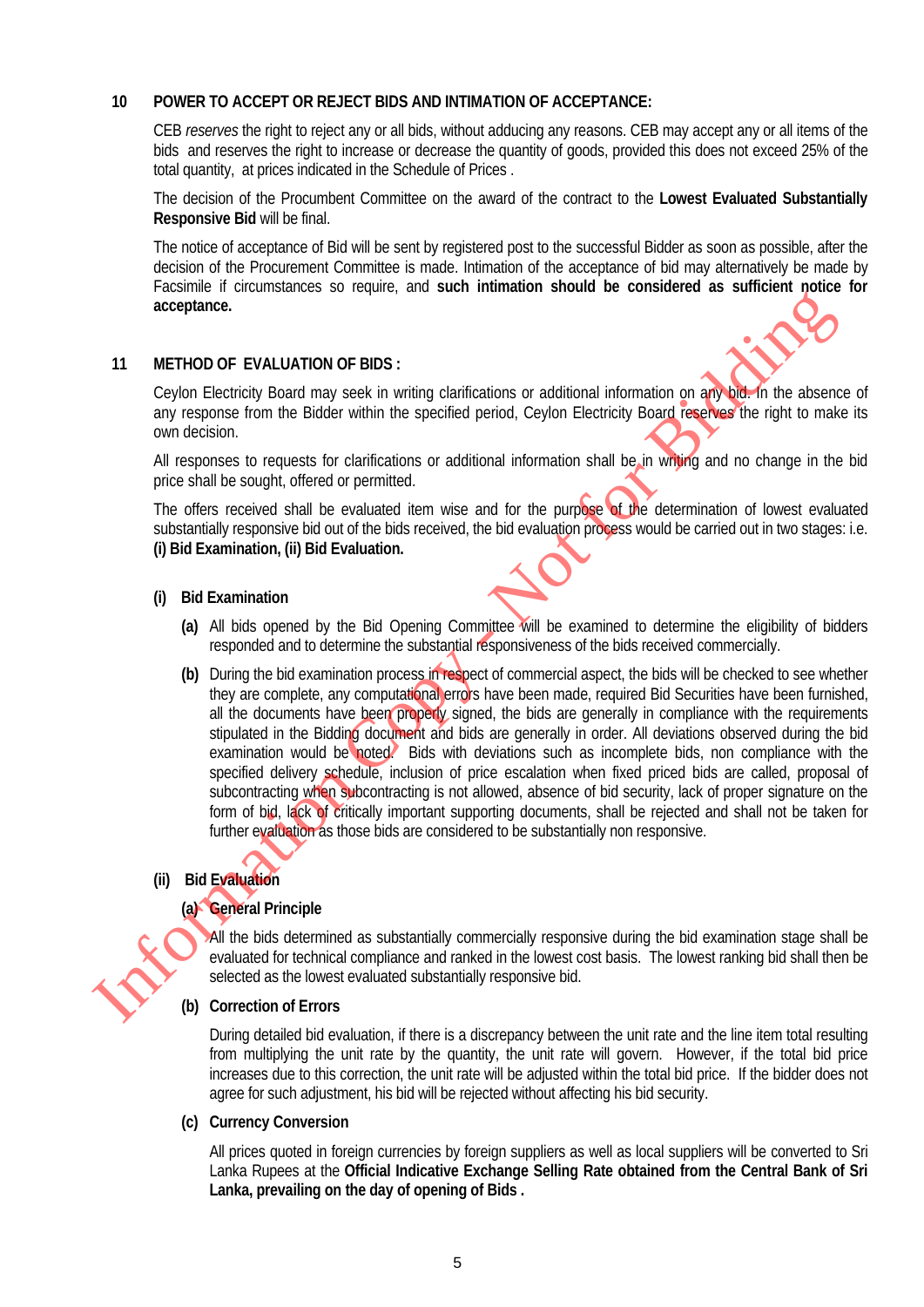#### **10 POWER TO ACCEPT OR REJECT BIDS AND INTIMATION OF ACCEPTANCE:**

CEB *reserves* the right to reject any or all bids, without adducing any reasons. CEB may accept any or all items of the bids and reserves the right to increase or decrease the quantity of goods, provided this does not exceed 25% of the total quantity, at prices indicated in the Schedule of Prices .

The decision of the Procumbent Committee on the award of the contract to the **Lowest Evaluated Substantially Responsive Bid** will be final.

The notice of acceptance of Bid will be sent by registered post to the successful Bidder as soon as possible, after the decision of the Procurement Committee is made. Intimation of the acceptance of bid may alternatively be made by Facsimile if circumstances so require, and **such intimation should be considered as sufficient notice for acceptance.**

#### **11 METHOD OF EVALUATION OF BIDS :**

Ceylon Electricity Board may seek in writing clarifications or additional information on any bid. In the absence of any response from the Bidder within the specified period, Ceylon Electricity Board reserves the right to make its own decision.

All responses to requests for clarifications or additional information shall be in writing and no change in the bid price shall be sought, offered or permitted.

The offers received shall be evaluated item wise and for the purpose of the determination of lowest evaluated substantially responsive bid out of the bids received, the bid evaluation process would be carried out in two stages: i.e. **(i) Bid Examination, (ii) Bid Evaluation.** 

#### **(i) Bid Examination**

- **(a)** All bids opened by the Bid Opening Committee will be examined to determine the eligibility of bidders responded and to determine the substantial responsiveness of the bids received commercially.
- **(b)** During the bid examination process in respect of commercial aspect, the bids will be checked to see whether they are complete, any computational errors have been made, required Bid Securities have been furnished, all the documents have been properly signed, the bids are generally in compliance with the requirements stipulated in the Bidding document and bids are generally in order. All deviations observed during the bid examination would be noted. Bids with deviations such as incomplete bids, non compliance with the specified delivery schedule, inclusion of price escalation when fixed priced bids are called, proposal of subcontracting when subcontracting is not allowed, absence of bid security, lack of proper signature on the form of bid, lack of critically important supporting documents, shall be rejected and shall not be taken for further evaluation as those bids are considered to be substantially non responsive. acceptance.<br>
In METHOD OF EVALUATION OF BIDS:<br>
Ceylon Electricity Board may seek in witing clarifications or additional information on any seek on<br>
any response from the Biddier within the specified period, Ceylon Electric

# **(ii) Bid Evaluation**

#### **(a) General Principle**

All the bids determined as substantially commercially responsive during the bid examination stage shall be evaluated for technical compliance and ranked in the lowest cost basis. The lowest ranking bid shall then be selected as the lowest evaluated substantially responsive bid.

#### **(b) Correction of Errors**

During detailed bid evaluation, if there is a discrepancy between the unit rate and the line item total resulting from multiplying the unit rate by the quantity, the unit rate will govern. However, if the total bid price increases due to this correction, the unit rate will be adjusted within the total bid price. If the bidder does not agree for such adjustment, his bid will be rejected without affecting his bid security.

#### **(c) Currency Conversion**

All prices quoted in foreign currencies by foreign suppliers as well as local suppliers will be converted to Sri Lanka Rupees at the **Official Indicative Exchange Selling Rate obtained from the Central Bank of Sri Lanka, prevailing on the day of opening of Bids .**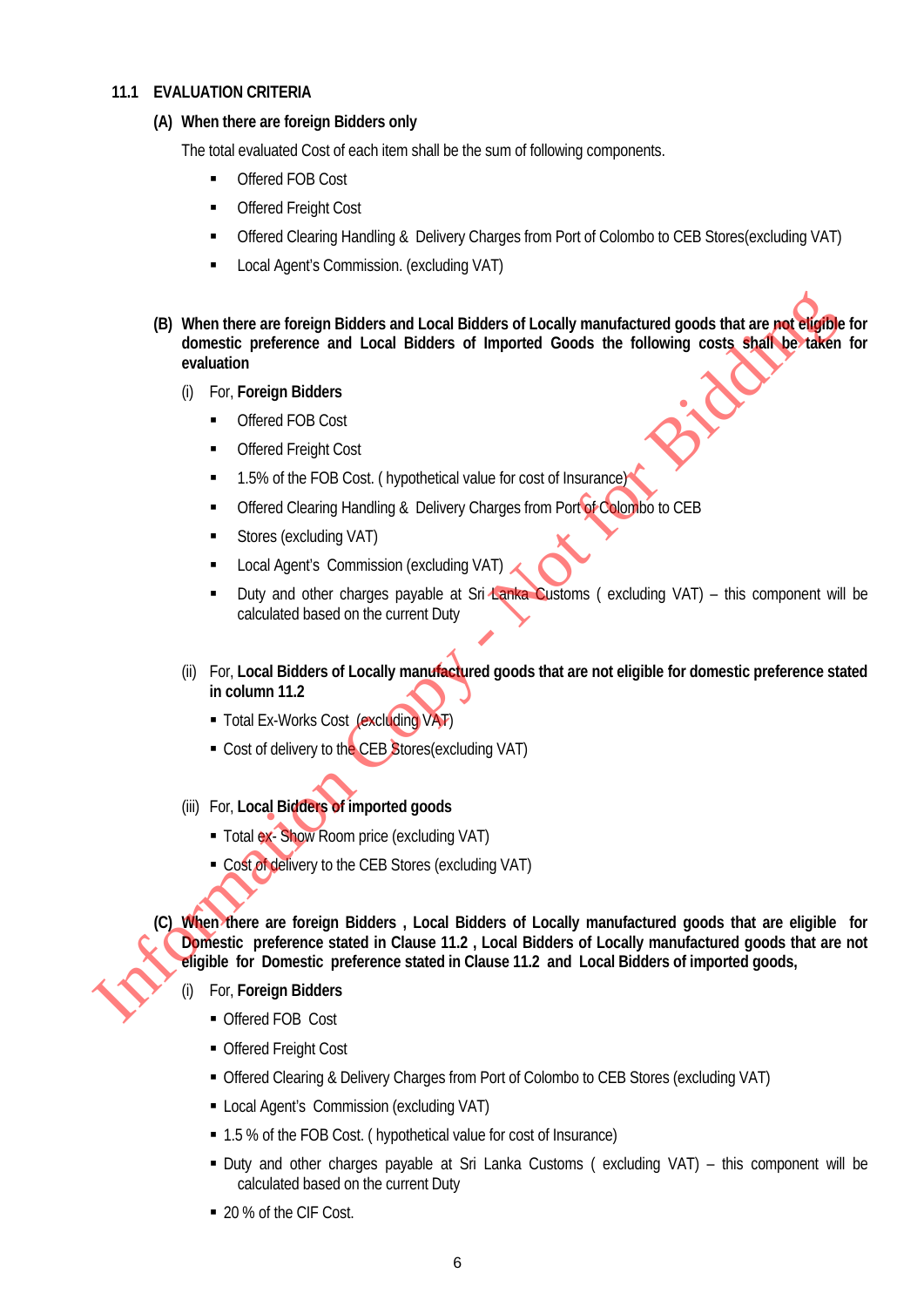#### **11.1 EVALUATION CRITERIA**

#### **(A) When there are foreign Bidders only**

The total evaluated Cost of each item shall be the sum of following components.

- Offered FOB Cost
- **Offered Freight Cost**
- Offered Clearing Handling & Delivery Charges from Port of Colombo to CEB Stores(excluding VAT)
- Local Agent's Commission. (excluding VAT)
- **(B) When there are foreign Bidders and Local Bidders of Locally manufactured goods that are not eligible for domestic preference and Local Bidders of Imported Goods the following costs shall be taken for evaluation** 
	- (i) For, **Foreign Bidders**
		- Offered FOB Cost
		- **Coffered Freight Cost**
		- 1.5% of the FOB Cost. ( hypothetical value for cost of Insurance)
		- Offered Clearing Handling & Delivery Charges from Port of Colombo to CEB
		- Stores (excluding VAT)
		- **Local Agent's Commission (excluding VAT)**
		- Duty and other charges payable at Sri Lanka Customs (excluding VAT) this component will be calculated based on the current Duty
	- (ii) For, **Local Bidders of Locally manufactured goods that are not eligible for domestic preference stated in column 11.2**
		- **Total Ex-Works Cost (excluding VAT)**
		- Cost of delivery to the CEB Stores (excluding VAT)
	- (iii) For, **Local Bidders of imported goods**
		- Total ex- Show Room price (excluding VAT)
		- Cost of delivery to the CEB Stores (excluding VAT)

**(C) When there are foreign Bidders , Local Bidders of Locally manufactured goods that are eligible for Domestic preference stated in Clause 11.2 , Local Bidders of Locally manufactured goods that are not eligible for Domestic preference stated in Clause 11.2 and Local Bidders of imported goods,** (B) When there are foreign Bidders and Local Bidders of Locally manufactured goods that are particular<br>densities preference and Local Bidders of Imported Goods the following costs, shall be evaluation<br>(i) For, Foreign Bid

- (i) For, **Foreign Bidders**
	- Offered FOB Cost
	- Offered Freight Cost
	- Offered Clearing & Delivery Charges from Port of Colombo to CEB Stores (excluding VAT)
	- Local Agent's Commission (excluding VAT)
	- 1.5 % of the FOB Cost. ( hypothetical value for cost of Insurance)
	- Duty and other charges payable at Sri Lanka Customs ( excluding VAT) this component will be calculated based on the current Duty
	- 20 % of the CIF Cost.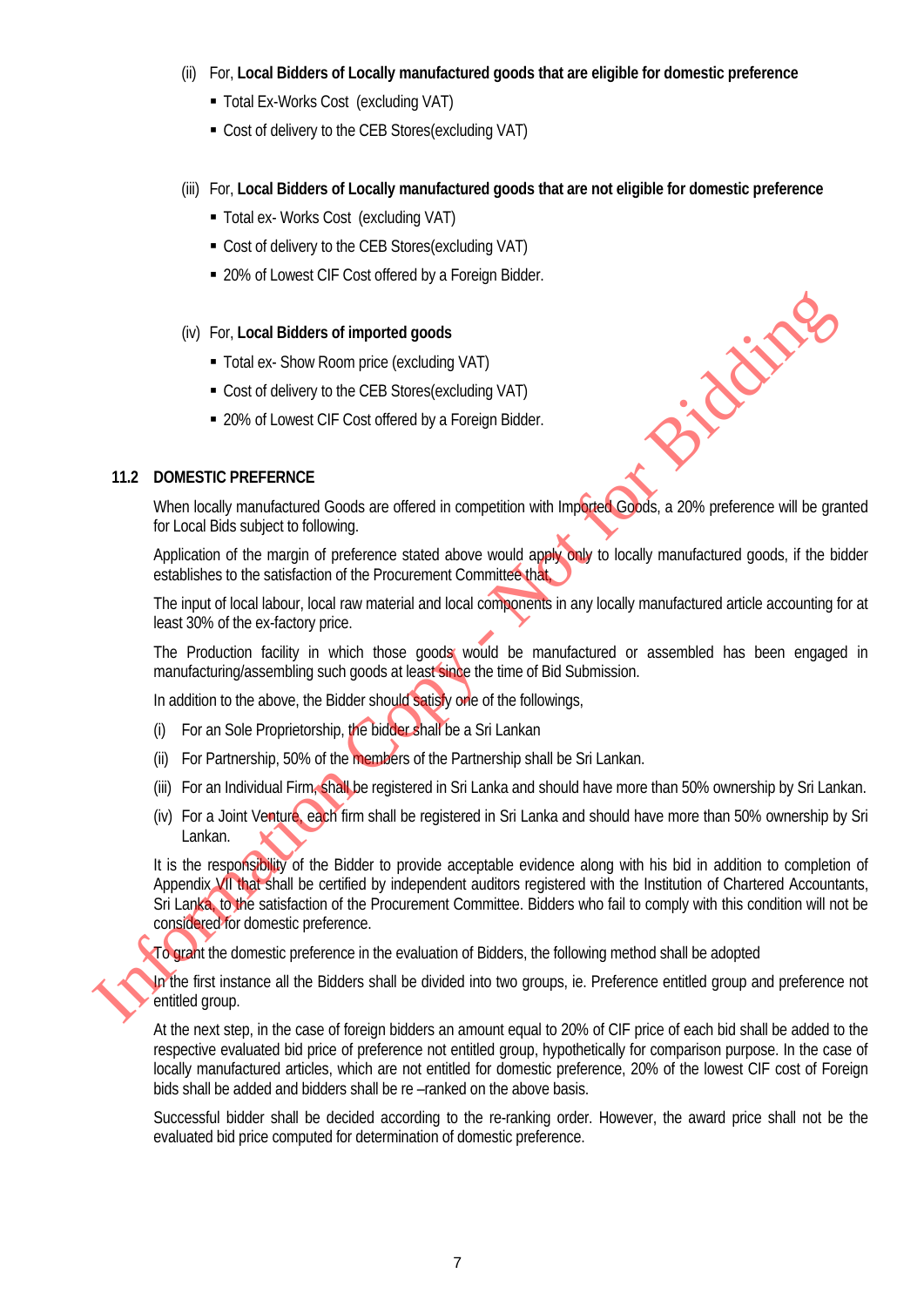- (ii) For, **Local Bidders of Locally manufactured goods that are eligible for domestic preference**
	- Total Ex-Works Cost (excluding VAT)
	- Cost of delivery to the CEB Stores(excluding VAT)
- (iii) For, **Local Bidders of Locally manufactured goods that are not eligible for domestic preference**
	- Total ex- Works Cost (excluding VAT)
	- Cost of delivery to the CEB Stores(excluding VAT)
	- 20% of Lowest CIF Cost offered by a Foreign Bidder.
- (iv) For, **Local Bidders of imported goods**
	- Total ex- Show Room price (excluding VAT)
	- Cost of delivery to the CEB Stores(excluding VAT)
	- 20% of Lowest CIF Cost offered by a Foreign Bidder.

#### **11.2 DOMESTIC PREFERNCE**

When locally manufactured Goods are offered in competition with Imported Goods, a 20% preference will be granted for Local Bids subject to following.

Application of the margin of preference stated above would apply only to locally manufactured goods, if the bidder establishes to the satisfaction of the Procurement Committee that,

The input of local labour, local raw material and local components in any locally manufactured article accounting for at least 30% of the ex-factory price.

The Production facility in which those goods would be manufactured or assembled has been engaged in manufacturing/assembling such goods at least since the time of Bid Submission.

In addition to the above, the Bidder should satisfy one of the followings,

- (i) For an Sole Proprietorship, the bidder shall be a Sri Lankan
- (ii) For Partnership, 50% of the members of the Partnership shall be Sri Lankan.
- (iii) For an Individual Firm, shall be registered in Sri Lanka and should have more than 50% ownership by Sri Lankan.
- (iv) For a Joint Venture, each firm shall be registered in Sri Lanka and should have more than 50% ownership by Sri Lankan.

It is the responsibility of the Bidder to provide acceptable evidence along with his bid in addition to completion of Appendix VII that shall be certified by independent auditors registered with the Institution of Chartered Accountants, Sri Lanka, to the satisfaction of the Procurement Committee. Bidders who fail to comply with this condition will not be considered for domestic preference. (k) For Local Bidders of Imported goods<br>
Total ex Show Room price (excluding VAT)<br>
Cost of delivery to the CEB Stores(excluding VAT)<br>
- 20% of Lowest CIF Cost offered by a Foreign Bidder.<br>
11.2 DOMESTIC PREFERNCE<br>
When loc

To grant the domestic preference in the evaluation of Bidders, the following method shall be adopted

In the first instance all the Bidders shall be divided into two groups, ie. Preference entitled group and preference not entitled group.

At the next step, in the case of foreign bidders an amount equal to 20% of CIF price of each bid shall be added to the respective evaluated bid price of preference not entitled group, hypothetically for comparison purpose. In the case of locally manufactured articles, which are not entitled for domestic preference, 20% of the lowest CIF cost of Foreign bids shall be added and bidders shall be re –ranked on the above basis.

Successful bidder shall be decided according to the re-ranking order. However, the award price shall not be the evaluated bid price computed for determination of domestic preference.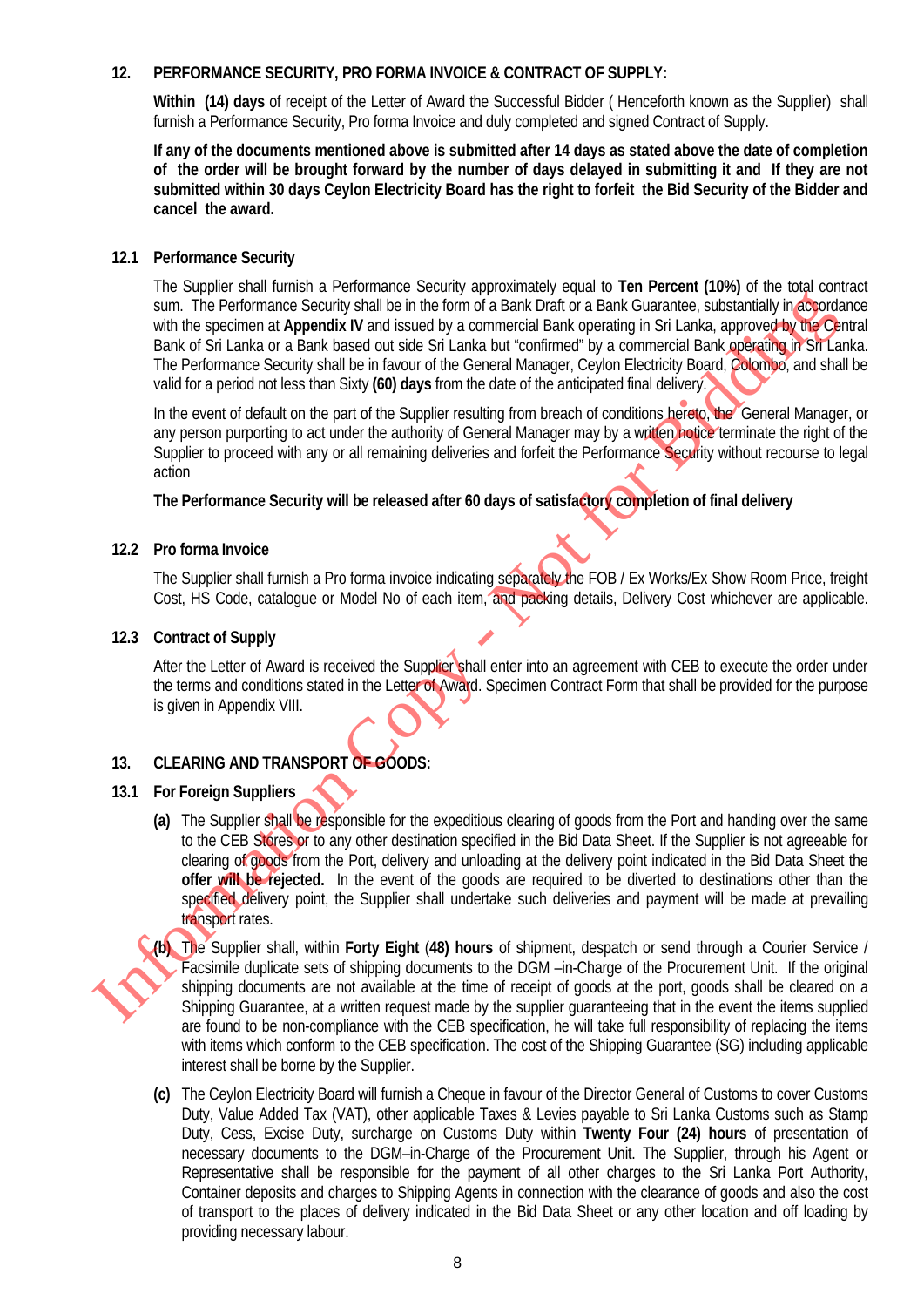#### **12. PERFORMANCE SECURITY, PRO FORMA INVOICE & CONTRACT OF SUPPLY:**

**Within (14) days** of receipt of the Letter of Award the Successful Bidder ( Henceforth known as the Supplier) shall furnish a Performance Security, Pro forma Invoice and duly completed and signed Contract of Supply.

**If any of the documents mentioned above is submitted after 14 days as stated above the date of completion of the order will be brought forward by the number of days delayed in submitting it and If they are not submitted within 30 days Ceylon Electricity Board has the right to forfeit the Bid Security of the Bidder and cancel the award.**

#### **12.1 Performance Security**

The Supplier shall furnish a Performance Security approximately equal to **Ten Percent (10%)** of the total contract sum. The Performance Security shall be in the form of a Bank Draft or a Bank Guarantee, substantially in accordance with the specimen at **Appendix IV** and issued by a commercial Bank operating in Sri Lanka, approved by the Central Bank of Sri Lanka or a Bank based out side Sri Lanka but "confirmed" by a commercial Bank operating in Sri Lanka. The Performance Security shall be in favour of the General Manager, Ceylon Electricity Board, Colombo, and shall be valid for a period not less than Sixty **(60) days** from the date of the anticipated final delivery.

In the event of default on the part of the Supplier resulting from breach of conditions hereto, the General Manager, or any person purporting to act under the authority of General Manager may by a written notice terminate the right of the Supplier to proceed with any or all remaining deliveries and forfeit the Performance Security without recourse to legal action

**The Performance Security will be released after 60 days of satisfactory completion of final delivery**

#### **12.2 Pro forma Invoice**

The Supplier shall furnish a Pro forma invoice indicating separately the FOB / Ex Works/Ex Show Room Price, freight Cost, HS Code, catalogue or Model No of each item, and packing details, Delivery Cost whichever are applicable.

#### **12.3 Contract of Supply**

After the Letter of Award is received the Supplier shall enter into an agreement with CEB to execute the order under the terms and conditions stated in the Letter of Award. Specimen Contract Form that shall be provided for the purpose is given in Appendix VIII.

#### **13. CLEARING AND TRANSPORT OF GOODS:**

#### **13.1 For Foreign Suppliers**

**(a)** The Supplier shall be responsible for the expeditious clearing of goods from the Port and handing over the same to the CEB Stores or to any other destination specified in the Bid Data Sheet. If the Supplier is not agreeable for clearing of goods from the Port, delivery and unloading at the delivery point indicated in the Bid Data Sheet the **offer will be rejected.** In the event of the goods are required to be diverted to destinations other than the specified delivery point, the Supplier shall undertake such deliveries and payment will be made at prevailing transport rates. sum. The Performance Security will be in the form of a Bism Coincil at Bink Customics, sixted him the computer of the Single Counterties of the Bink during formula and the Single The The Performance Security shall be in fa

**(b)** The Supplier shall, within **Forty Eight** (**48) hours** of shipment, despatch or send through a Courier Service / Facsimile duplicate sets of shipping documents to the DGM –in-Charge of the Procurement Unit. If the original shipping documents are not available at the time of receipt of goods at the port, goods shall be cleared on a Shipping Guarantee, at a written request made by the supplier guaranteeing that in the event the items supplied are found to be non-compliance with the CEB specification, he will take full responsibility of replacing the items with items which conform to the CEB specification. The cost of the Shipping Guarantee (SG) including applicable interest shall be borne by the Supplier.

**(c)** The Ceylon Electricity Board will furnish a Cheque in favour of the Director General of Customs to cover Customs Duty, Value Added Tax (VAT), other applicable Taxes & Levies payable to Sri Lanka Customs such as Stamp Duty, Cess, Excise Duty, surcharge on Customs Duty within **Twenty Four (24) hours** of presentation of necessary documents to the DGM–in-Charge of the Procurement Unit. The Supplier, through his Agent or Representative shall be responsible for the payment of all other charges to the Sri Lanka Port Authority, Container deposits and charges to Shipping Agents in connection with the clearance of goods and also the cost of transport to the places of delivery indicated in the Bid Data Sheet or any other location and off loading by providing necessary labour.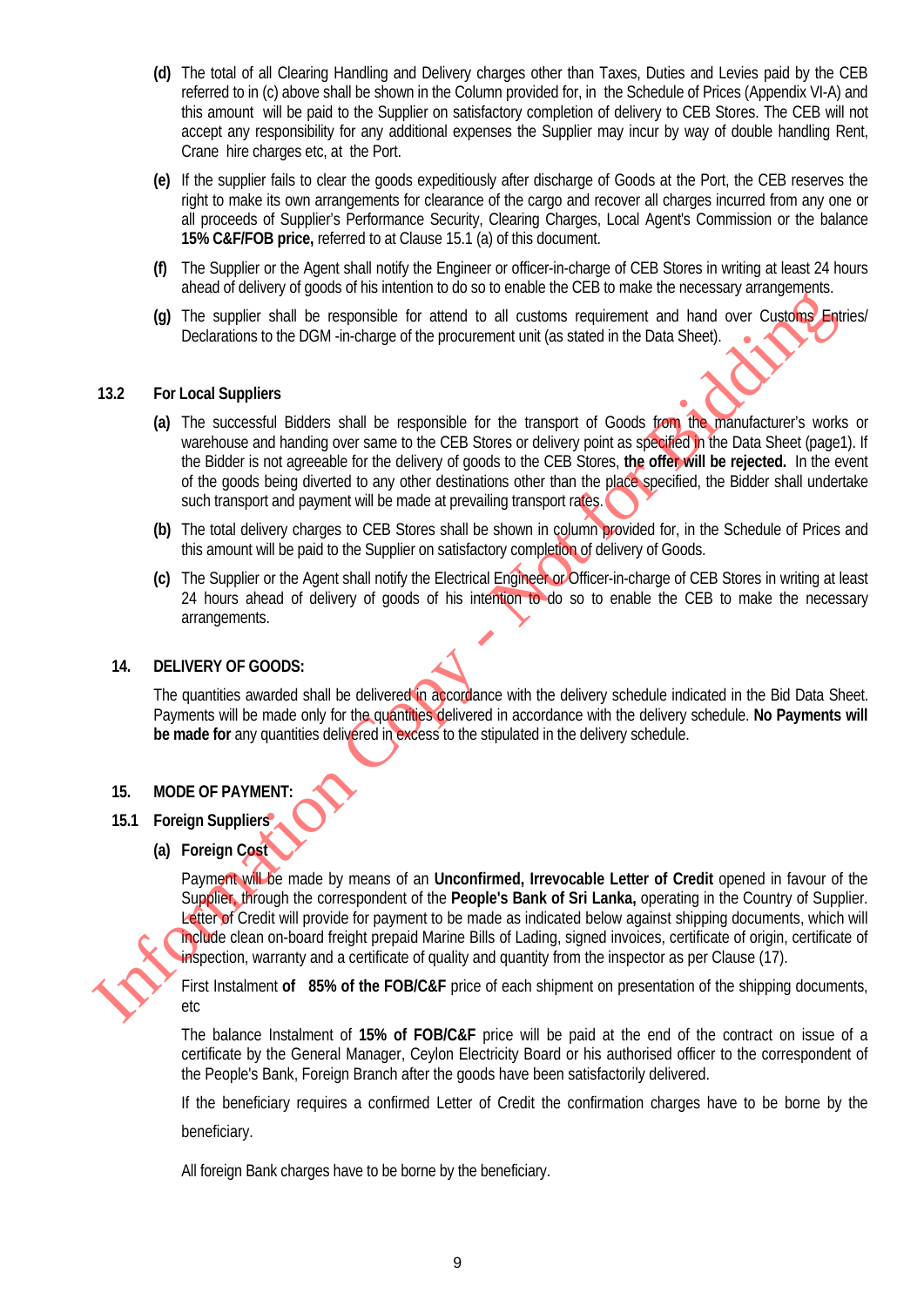- **(d)** The total of all Clearing Handling and Delivery charges other than Taxes, Duties and Levies paid by the CEB referred to in (c) above shall be shown in the Column provided for, in the Schedule of Prices (Appendix VI-A) and this amount will be paid to the Supplier on satisfactory completion of delivery to CEB Stores. The CEB will not accept any responsibility for any additional expenses the Supplier may incur by way of double handling Rent, Crane hire charges etc, at the Port.
- **(e)** If the supplier fails to clear the goods expeditiously after discharge of Goods at the Port, the CEB reserves the right to make its own arrangements for clearance of the cargo and recover all charges incurred from any one or all proceeds of Supplier's Performance Security, Clearing Charges, Local Agent's Commission or the balance **15% C&F/FOB price,** referred to at Clause 15.1 (a) of this document.
- **(f)** The Supplier or the Agent shall notify the Engineer or officer-in-charge of CEB Stores in writing at least 24 hours ahead of delivery of goods of his intention to do so to enable the CEB to make the necessary arrangements.
- **(g)** The supplier shall be responsible for attend to all customs requirement and hand over Customs Entries/ Declarations to the DGM -in-charge of the procurement unit (as stated in the Data Sheet).

#### **13.2 For Local Suppliers**

- **(a)** The successful Bidders shall be responsible for the transport of Goods from the manufacturer's works or warehouse and handing over same to the CEB Stores or delivery point as specified in the Data Sheet (page1). If the Bidder is not agreeable for the delivery of goods to the CEB Stores, **the offer will be rejected.** In the event of the goods being diverted to any other destinations other than the place specified, the Bidder shall undertake such transport and payment will be made at prevailing transport rates. Intersection of the properties of the material of the state of the process in the content of the State of Copyright Counterpart (3)<br>
To the control of Bidding state of the processes of the transport of Goods form<br>
wavelen
	- **(b)** The total delivery charges to CEB Stores shall be shown in column provided for, in the Schedule of Prices and this amount will be paid to the Supplier on satisfactory completion of delivery of Goods.
	- **(c)** The Supplier or the Agent shall notify the Electrical Engineer or Officer-in-charge of CEB Stores in writing at least 24 hours ahead of delivery of goods of his intention to do so to enable the CEB to make the necessary arrangements.

#### **14. DELIVERY OF GOODS:**

The quantities awarded shall be delivered in accordance with the delivery schedule indicated in the Bid Data Sheet. Payments will be made only for the quantities delivered in accordance with the delivery schedule. **No Payments will be made for** any quantities delivered in excess to the stipulated in the delivery schedule.

#### **15. MODE OF PAYMENT:**

- **15.1 Foreign Suppliers**
	- **(a) Foreign Cost**

Payment will be made by means of an **Unconfirmed, Irrevocable Letter of Credit** opened in favour of the Supplier, through the correspondent of the **People's Bank of Sri Lanka,** operating in the Country of Supplier. Letter of Credit will provide for payment to be made as indicated below against shipping documents, which will include clean on-board freight prepaid Marine Bills of Lading, signed invoices, certificate of origin, certificate of inspection, warranty and a certificate of quality and quantity from the inspector as per Clause (17).

First Instalment **of 85% of the FOB/C&F** price of each shipment on presentation of the shipping documents, etc

The balance Instalment of **15% of FOB/C&F** price will be paid at the end of the contract on issue of a certificate by the General Manager, Ceylon Electricity Board or his authorised officer to the correspondent of the People's Bank, Foreign Branch after the goods have been satisfactorily delivered.

If the beneficiary requires a confirmed Letter of Credit the confirmation charges have to be borne by the

beneficiary.

All foreign Bank charges have to be borne by the beneficiary.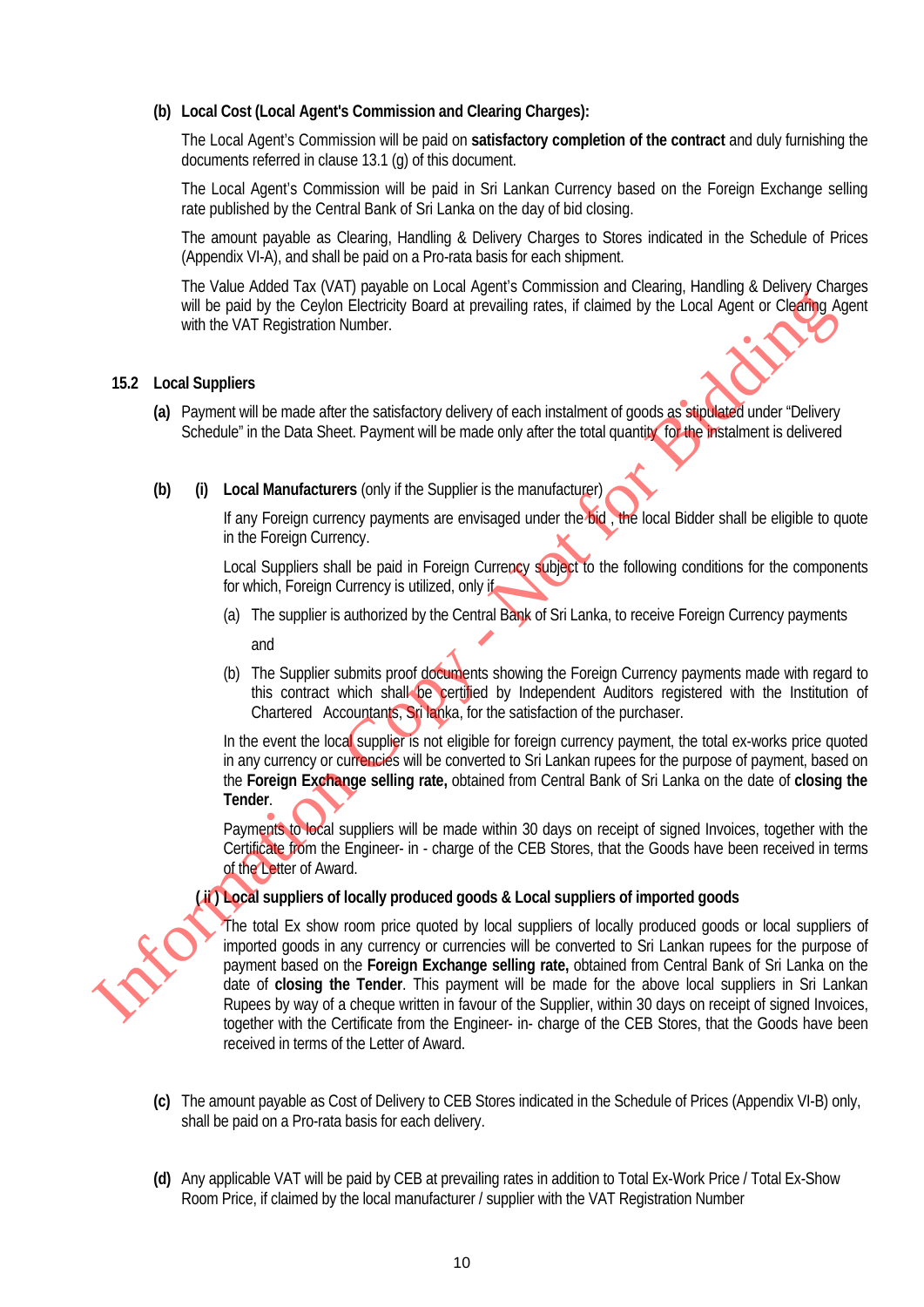#### **(b) Local Cost (Local Agent's Commission and Clearing Charges):**

The Local Agent's Commission will be paid on **satisfactory completion of the contract** and duly furnishing the documents referred in clause 13.1 (g) of this document.

The Local Agent's Commission will be paid in Sri Lankan Currency based on the Foreign Exchange selling rate published by the Central Bank of Sri Lanka on the day of bid closing.

The amount payable as Clearing, Handling & Delivery Charges to Stores indicated in the Schedule of Prices (Appendix VI-A), and shall be paid on a Pro-rata basis for each shipment.

The Value Added Tax (VAT) payable on Local Agent's Commission and Clearing, Handling & Delivery Charges will be paid by the Ceylon Electricity Board at prevailing rates, if claimed by the Local Agent or Clearing Agent with the VAT Registration Number.

#### **15.2 Local Suppliers**

- **(a)** Payment will be made after the satisfactory delivery of each instalment of goods as stipulated under "Delivery Schedule" in the Data Sheet. Payment will be made only after the total quantity for the instalment is delivered
- **(b) (i) Local Manufacturers** (only if the Supplier is the manufacturer)

If any Foreign currency payments are envisaged under the bid, the local Bidder shall be eligible to quote in the Foreign Currency.

Local Suppliers shall be paid in Foreign Currency subject to the following conditions for the components for which, Foreign Currency is utilized, only if

(a) The supplier is authorized by the Central Bank of Sri Lanka, to receive Foreign Currency payments

and

(b) The Supplier submits proof documents showing the Foreign Currency payments made with regard to this contract which shall be certified by Independent Auditors registered with the Institution of Chartered Accountants, Sri lanka, for the satisfaction of the purchaser.

In the event the local supplier is not eligible for foreign currency payment, the total ex-works price quoted in any currency or currencies will be converted to Sri Lankan rupees for the purpose of payment, based on the **Foreign Exchange selling rate,** obtained from Central Bank of Sri Lanka on the date of **closing the Tender**.

Payments to local suppliers will be made within 30 days on receipt of signed Invoices, together with the Certificate from the Engineer- in - charge of the CEB Stores, that the Goods have been received in terms of the Letter of Award.

#### **( ii ) Local suppliers of locally produced goods & Local suppliers of imported goods**



The total Ex show room price quoted by local suppliers of locally produced goods or local suppliers of imported goods in any currency or currencies will be converted to Sri Lankan rupees for the purpose of payment based on the **Foreign Exchange selling rate,** obtained from Central Bank of Sri Lanka on the date of **closing the Tender**. This payment will be made for the above local suppliers in Sri Lankan Rupees by way of a cheque written in favour of the Supplier, within 30 days on receipt of signed Invoices, together with the Certificate from the Engineer- in- charge of the CEB Stores, that the Goods have been received in terms of the Letter of Award. Will be paid by the Ceylon Electricity Board at prevailing rates, if claimed by the Local Agent or Clearly a<br>
With the VAT Registration Number.<br> **Schoolie'** in the State start the satisfactory delivery of each instalment o

- **(c)** The amount payable as Cost of Delivery to CEB Stores indicated in the Schedule of Prices (Appendix VI-B) only, shall be paid on a Pro-rata basis for each delivery.
- **(d)** Any applicable VAT will be paid by CEB at prevailing rates in addition to Total Ex-Work Price / Total Ex-Show Room Price, if claimed by the local manufacturer / supplier with the VAT Registration Number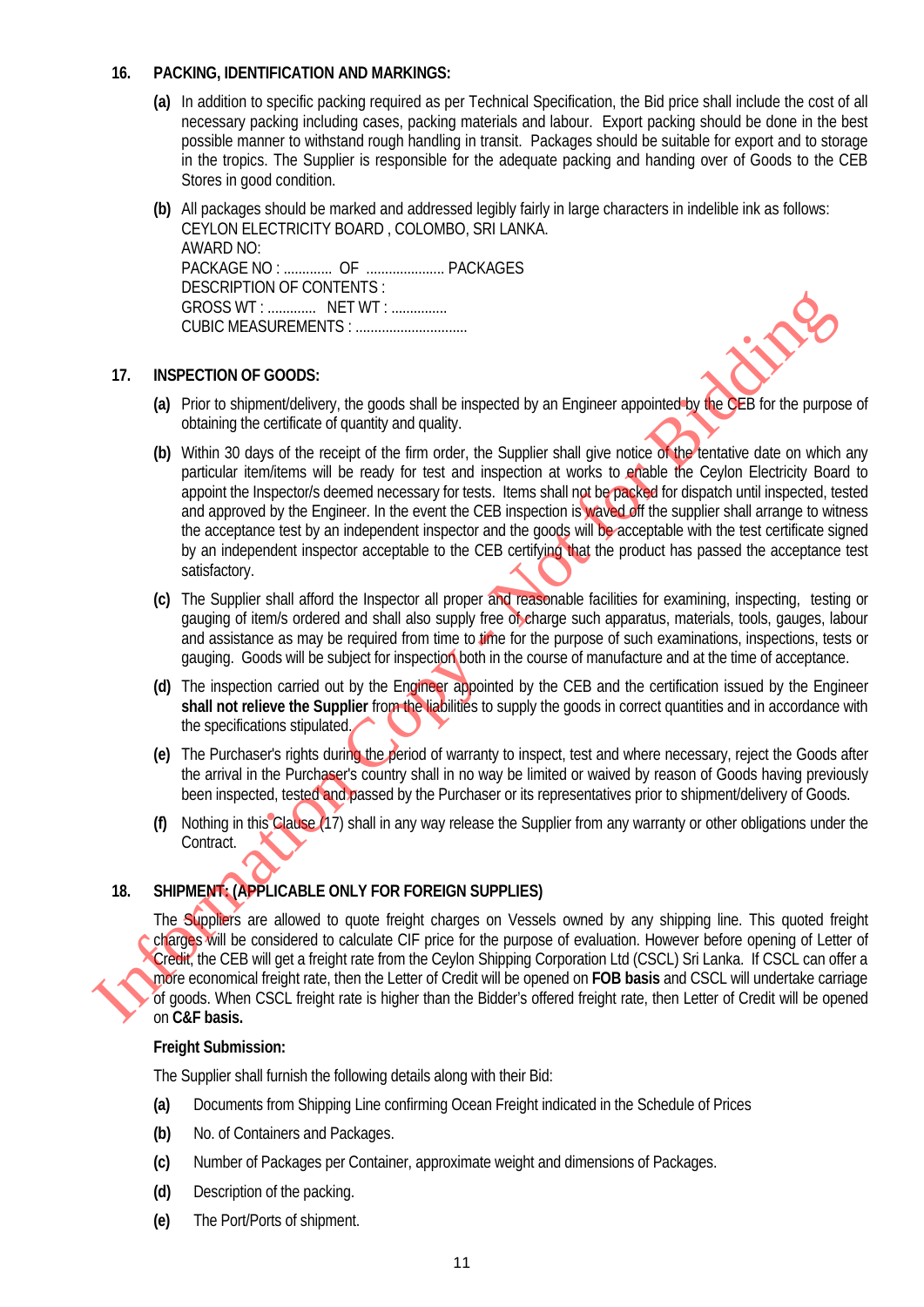#### **16. PACKING, IDENTIFICATION AND MARKINGS:**

- **(a)** In addition to specific packing required as per Technical Specification, the Bid price shall include the cost of all necessary packing including cases, packing materials and labour. Export packing should be done in the best possible manner to withstand rough handling in transit. Packages should be suitable for export and to storage in the tropics. The Supplier is responsible for the adequate packing and handing over of Goods to the CEB Stores in good condition.
- **(b)** All packages should be marked and addressed legibly fairly in large characters in indelible ink as follows: CEYLON ELECTRICITY BOARD , COLOMBO, SRI LANKA. AWARD NO: PACKAGE NO : ............. OF ..................... PACKAGES DESCRIPTION OF CONTENTS : GROSS WT : ............. NET WT : ............... CUBIC MEASUREMENTS : ..............................

#### **17. INSPECTION OF GOODS:**

- **(a)** Prior to shipment/delivery, the goods shall be inspected by an Engineer appointed by the CEB for the purpose of obtaining the certificate of quantity and quality.
- (b) Within 30 days of the receipt of the firm order, the Supplier shall give notice of the tentative date on which any particular item/items will be ready for test and inspection at works to enable the Ceylon Electricity Board to appoint the Inspector/s deemed necessary for tests. Items shall not be packed for dispatch until inspected, tested and approved by the Engineer. In the event the CEB inspection is waved off the supplier shall arrange to witness the acceptance test by an independent inspector and the goods will be acceptable with the test certificate signed by an independent inspector acceptable to the CEB certifying that the product has passed the acceptance test satisfactory. Information Copy - Not for Bidding
	- **(c)** The Supplier shall afford the Inspector all proper and reasonable facilities for examining, inspecting, testing or gauging of item/s ordered and shall also supply free of charge such apparatus, materials, tools, gauges, labour and assistance as may be required from time to time for the purpose of such examinations, inspections, tests or gauging. Goods will be subject for inspection both in the course of manufacture and at the time of acceptance.
	- **(d)** The inspection carried out by the Engineer appointed by the CEB and the certification issued by the Engineer shall not relieve the Supplier from the liabilities to supply the goods in correct quantities and in accordance with the specifications stipulated.
	- **(e)** The Purchaser's rights during the period of warranty to inspect, test and where necessary, reject the Goods after the arrival in the Purchaser's country shall in no way be limited or waived by reason of Goods having previously been inspected, tested and passed by the Purchaser or its representatives prior to shipment/delivery of Goods.
	- **(f)** Nothing in this Clause (17) shall in any way release the Supplier from any warranty or other obligations under the Contract.

#### **18. SHIPMENT: (APPLICABLE ONLY FOR FOREIGN SUPPLIES)**

The Suppliers are allowed to quote freight charges on Vessels owned by any shipping line. This quoted freight charges will be considered to calculate CIF price for the purpose of evaluation. However before opening of Letter of Credit, the CEB will get a freight rate from the Ceylon Shipping Corporation Ltd (CSCL) Sri Lanka. If CSCL can offer a more economical freight rate, then the Letter of Credit will be opened on **FOB basis** and CSCL will undertake carriage of goods. When CSCL freight rate is higher than the Bidder's offered freight rate, then Letter of Credit will be opened on **C&F basis.**

#### **Freight Submission:**

The Supplier shall furnish the following details along with their Bid:

- **(a)** Documents from Shipping Line confirming Ocean Freight indicated in the Schedule of Prices
- **(b)** No. of Containers and Packages.
- **(c)** Number of Packages per Container, approximate weight and dimensions of Packages.
- **(d)** Description of the packing.
- **(e)** The Port/Ports of shipment.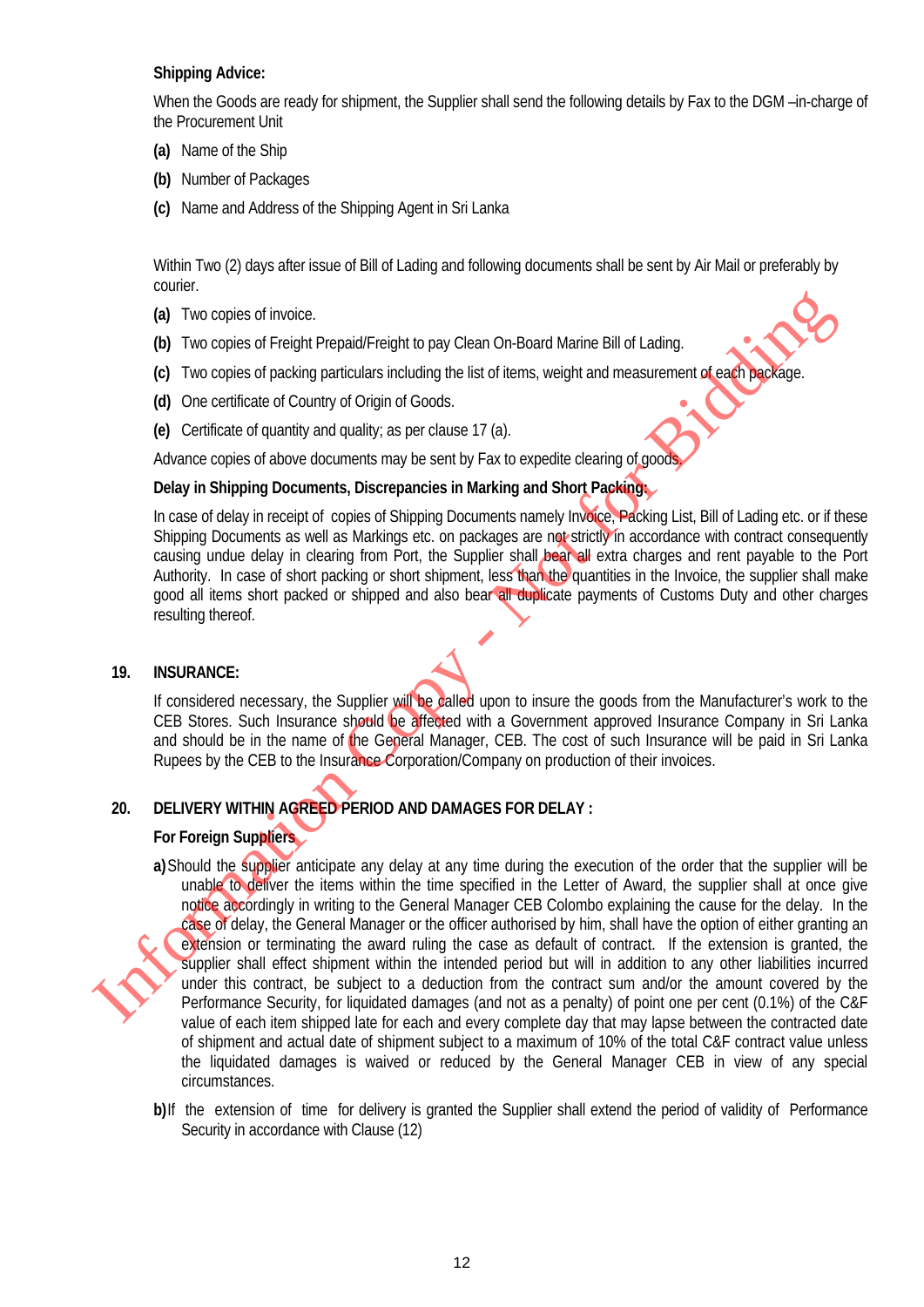#### **Shipping Advice:**

When the Goods are ready for shipment, the Supplier shall send the following details by Fax to the DGM –in-charge of the Procurement Unit

- **(a)** Name of the Ship
- **(b)** Number of Packages
- **(c)** Name and Address of the Shipping Agent in Sri Lanka

Within Two (2) days after issue of Bill of Lading and following documents shall be sent by Air Mail or preferably by courier.

- **(a)** Two copies of invoice.
- **(b)** Two copies of Freight Prepaid/Freight to pay Clean On-Board Marine Bill of Lading.
- **(c)** Two copies of packing particulars including the list of items, weight and measurement of each package.
- **(d)** One certificate of Country of Origin of Goods.
- **(e)** Certificate of quantity and quality; as per clause 17 (a).

Advance copies of above documents may be sent by Fax to expedite clearing of good

#### **Delay in Shipping Documents, Discrepancies in Marking and Short Packing:**

In case of delay in receipt of copies of Shipping Documents namely Invoice, Packing List, Bill of Lading etc. or if these Shipping Documents as well as Markings etc. on packages are not strictly in accordance with contract consequently causing undue delay in clearing from Port, the Supplier shall bear all extra charges and rent payable to the Port Authority. In case of short packing or short shipment, less than the quantities in the Invoice, the supplier shall make good all items short packed or shipped and also bear all duplicate payments of Customs Duty and other charges resulting thereof.

#### **19. INSURANCE:**

If considered necessary, the Supplier will be called upon to insure the goods from the Manufacturer's work to the CEB Stores. Such Insurance should be affected with a Government approved Insurance Company in Sri Lanka and should be in the name of the General Manager, CEB. The cost of such Insurance will be paid in Sri Lanka Rupees by the CEB to the Insurance Corporation/Company on production of their invoices.

#### **20. DELIVERY WITHIN AGREED PERIOD AND DAMAGES FOR DELAY :**

#### **For Foreign Suppliers**

**a)**Should the supplier anticipate any delay at any time during the execution of the order that the supplier will be unable to deliver the items within the time specified in the Letter of Award, the supplier shall at once give notice accordingly in writing to the General Manager CEB Colombo explaining the cause for the delay. In the case of delay, the General Manager or the officer authorised by him, shall have the option of either granting an extension or terminating the award ruling the case as default of contract. If the extension is granted, the supplier shall effect shipment within the intended period but will in addition to any other liabilities incurred under this contract, be subject to a deduction from the contract sum and/or the amount covered by the Performance Security, for liquidated damages (and not as a penalty) of point one per cent (0.1%) of the C&F value of each item shipped late for each and every complete day that may lapse between the contracted date of shipment and actual date of shipment subject to a maximum of 10% of the total C&F contract value unless the liquidated damages is waived or reduced by the General Manager CEB in view of any special circumstances. (a) Two copies of invoice.<br>
(b) Two copies of Freight Pergadd Freight to pay Clean On Board Marine Bill of Lading<br>
(c) Two copies of Freight Pergadding structure the studients weight and measurement of examples<br>
(d) One c

**b)**If the extension of time for delivery is granted the Supplier shall extend the period of validity of Performance Security in accordance with Clause (12)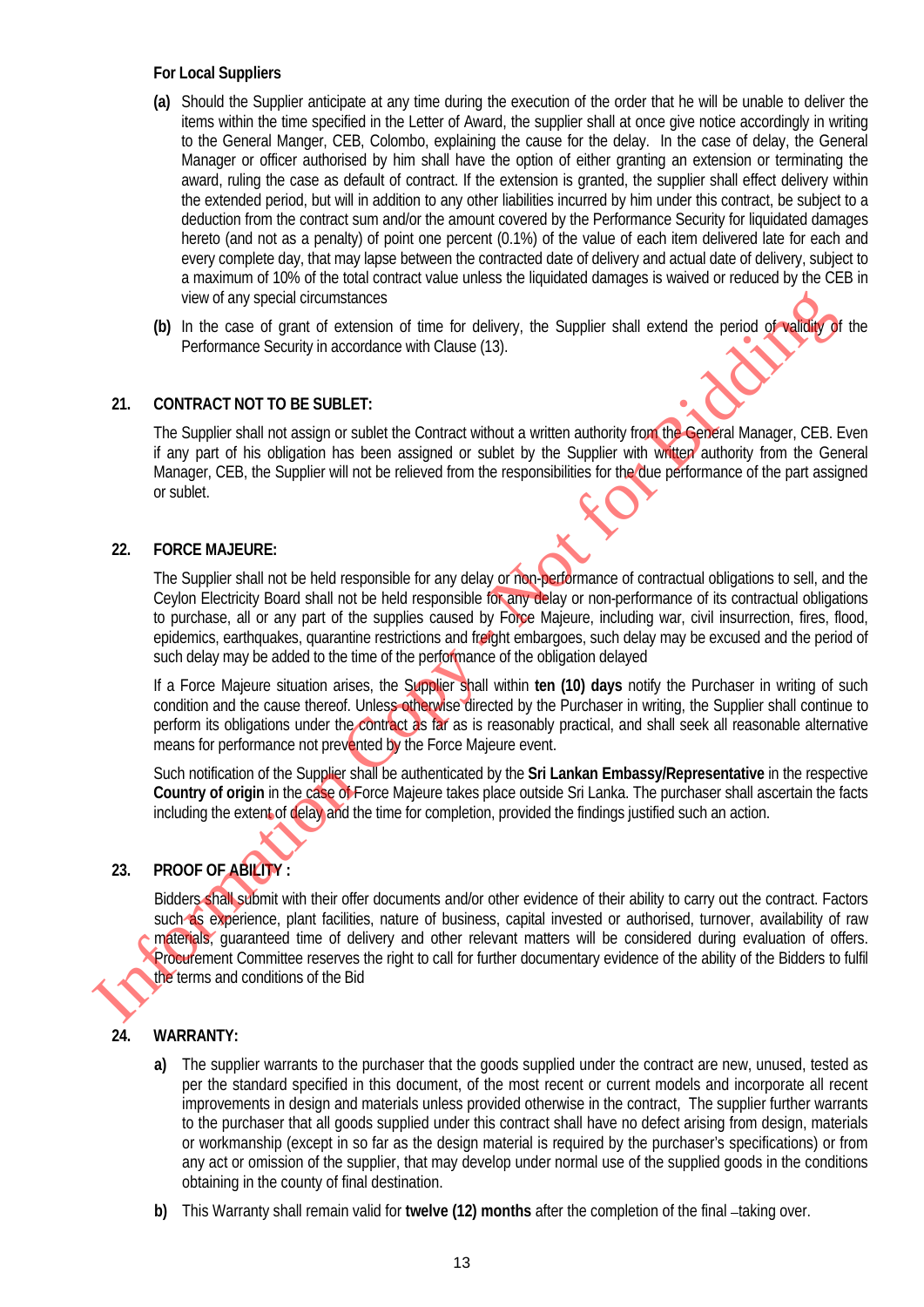#### **For Local Suppliers**

- **(a)** Should the Supplier anticipate at any time during the execution of the order that he will be unable to deliver the items within the time specified in the Letter of Award, the supplier shall at once give notice accordingly in writing to the General Manger, CEB, Colombo, explaining the cause for the delay. In the case of delay, the General Manager or officer authorised by him shall have the option of either granting an extension or terminating the award, ruling the case as default of contract. If the extension is granted, the supplier shall effect delivery within the extended period, but will in addition to any other liabilities incurred by him under this contract, be subject to a deduction from the contract sum and/or the amount covered by the Performance Security for liquidated damages hereto (and not as a penalty) of point one percent (0.1%) of the value of each item delivered late for each and every complete day, that may lapse between the contracted date of delivery and actual date of delivery, subject to a maximum of 10% of the total contract value unless the liquidated damages is waived or reduced by the CEB in view of any special circumstances
- **(b)** In the case of grant of extension of time for delivery, the Supplier shall extend the period of validity of the Performance Security in accordance with Clause (13).

#### **21. CONTRACT NOT TO BE SUBLET:**

The Supplier shall not assign or sublet the Contract without a written authority from the General Manager, CEB. Even if any part of his obligation has been assigned or sublet by the Supplier with written authority from the General Manager, CEB, the Supplier will not be relieved from the responsibilities for the due performance of the part assigned or sublet.

#### **22. FORCE MAJEURE:**

The Supplier shall not be held responsible for any delay or non-performance of contractual obligations to sell, and the Ceylon Electricity Board shall not be held responsible for any delay or non-performance of its contractual obligations to purchase, all or any part of the supplies caused by Force Majeure, including war, civil insurrection, fires, flood, epidemics, earthquakes, quarantine restrictions and freight embargoes, such delay may be excused and the period of such delay may be added to the time of the performance of the obligation delayed

If a Force Majeure situation arises, the Supplier shall within **ten (10) days** notify the Purchaser in writing of such condition and the cause thereof. Unless otherwise directed by the Purchaser in writing, the Supplier shall continue to perform its obligations under the contract as far as is reasonably practical, and shall seek all reasonable alternative means for performance not prevented by the Force Majeure event.

Such notification of the Supplier shall be authenticated by the **Sri Lankan Embassy/Representative** in the respective **Country of origin** in the case of Force Majeure takes place outside Sri Lanka. The purchaser shall ascertain the facts including the extent of delay and the time for completion, provided the findings justified such an action.

## **23. PROOF OF ABILITY :**

Bidders shall submit with their offer documents and/or other evidence of their ability to carry out the contract. Factors such as experience, plant facilities, nature of business, capital invested or authorised, turnover, availability of raw materials, guaranteed time of delivery and other relevant matters will be considered during evaluation of offers. Procurement Committee reserves the right to call for further documentary evidence of the ability of the Bidders to fulfil the terms and conditions of the Bid We of any special constraints of the Bidding and Scheme the Control of the Richarge Scheme Control of the Bidding Control of the Bidding Control of the Bidding Control of the Bidding Control of the Control of the Control o

#### **24. WARRANTY:**

- **a)** The supplier warrants to the purchaser that the goods supplied under the contract are new, unused, tested as per the standard specified in this document, of the most recent or current models and incorporate all recent improvements in design and materials unless provided otherwise in the contract, The supplier further warrants to the purchaser that all goods supplied under this contract shall have no defect arising from design, materials or workmanship (except in so far as the design material is required by the purchaser's specifications) or from any act or omission of the supplier, that may develop under normal use of the supplied goods in the conditions obtaining in the county of final destination.
- **b)** This Warranty shall remain valid for **twelve (12) months** after the completion of the final -taking over.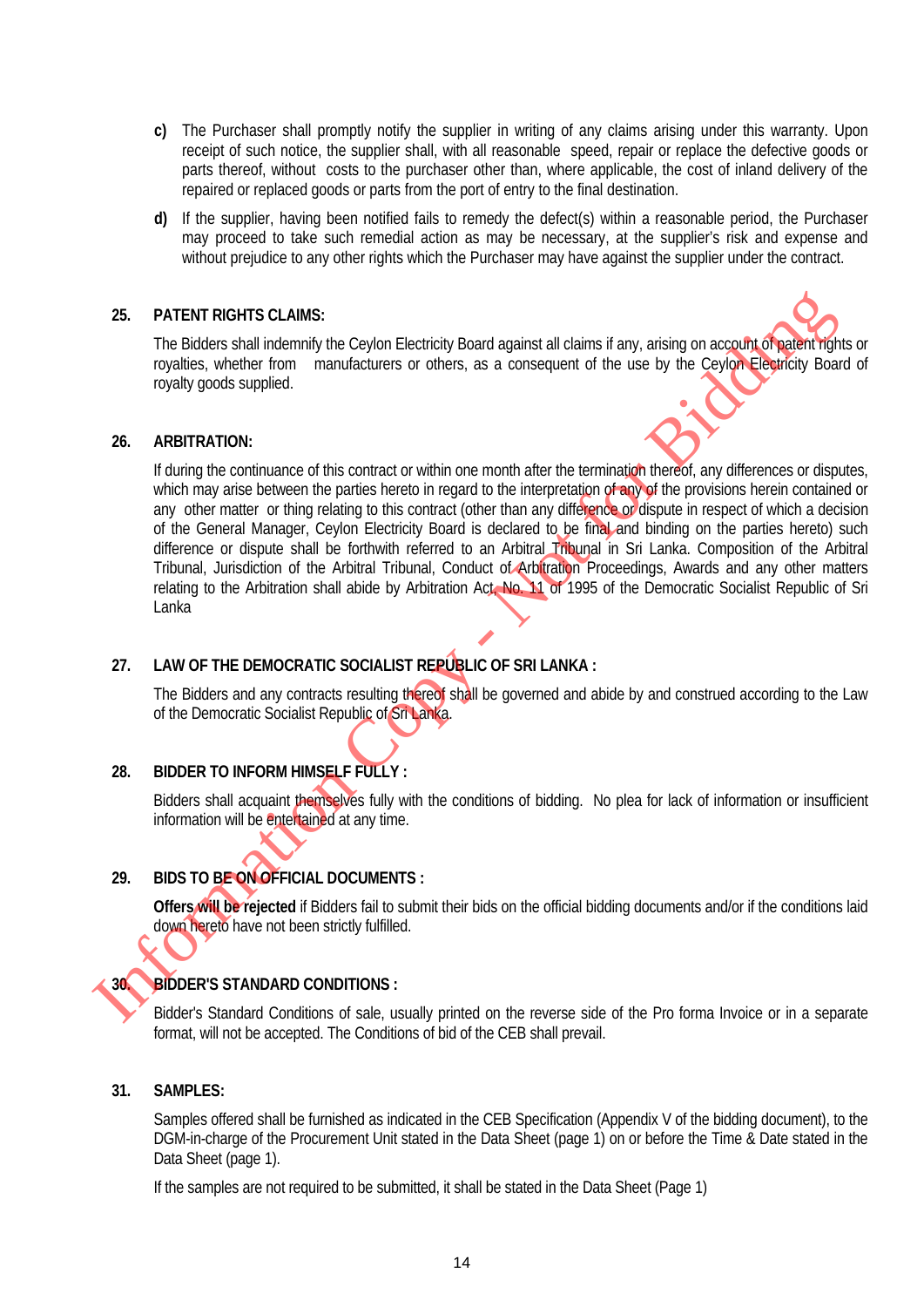- **c)** The Purchaser shall promptly notify the supplier in writing of any claims arising under this warranty. Upon receipt of such notice, the supplier shall, with all reasonable speed, repair or replace the defective goods or parts thereof, without costs to the purchaser other than, where applicable, the cost of inland delivery of the repaired or replaced goods or parts from the port of entry to the final destination.
- **d)** If the supplier, having been notified fails to remedy the defect(s) within a reasonable period, the Purchaser may proceed to take such remedial action as may be necessary, at the supplier's risk and expense and without prejudice to any other rights which the Purchaser may have against the supplier under the contract.

#### **25. PATENT RIGHTS CLAIMS:**

The Bidders shall indemnify the Ceylon Electricity Board against all claims if any, arising on account of patent rights or royalties, whether from manufacturers or others, as a consequent of the use by the Ceylon Electricity Board of royalty goods supplied.

#### **26. ARBITRATION:**

If during the continuance of this contract or within one month after the termination thereof, any differences or disputes, which may arise between the parties hereto in regard to the interpretation of any of the provisions herein contained or any other matter or thing relating to this contract (other than any difference or dispute in respect of which a decision of the General Manager, Ceylon Electricity Board is declared to be final and binding on the parties hereto) such difference or dispute shall be forthwith referred to an Arbitral Tribunal in Sri Lanka. Composition of the Arbitral Tribunal, Jurisdiction of the Arbitral Tribunal, Conduct of Arbitration Proceedings, Awards and any other matters relating to the Arbitration shall abide by Arbitration Act. No. 11 of 1995 of the Democratic Socialist Republic of Sri Lanka 25. PATENT RIGHTS CLAIMS:<br>
The Biddiers shall holdmands the celon Electricity Board against all claims if any, arising on account of the<br>
Toyallies, whether from manufacturers or others, as a consequent of the use by the

#### **27. LAW OF THE DEMOCRATIC SOCIALIST REPUBLIC OF SRI LANKA :**

The Bidders and any contracts resulting thereof shall be governed and abide by and construed according to the Law of the Democratic Socialist Republic of Sri Lanka.

#### **28. BIDDER TO INFORM HIMSELF FULLY :**

Bidders shall acquaint themselves fully with the conditions of bidding. No plea for lack of information or insufficient information will be entertained at any time.

#### **29. BIDS TO BE ON OFFICIAL DOCUMENTS :**

**Offers will be rejected** if Bidders fail to submit their bids on the official bidding documents and/or if the conditions laid down hereto have not been strictly fulfilled.

#### **30. BIDDER'S STANDARD CONDITIONS :**

Bidder's Standard Conditions of sale, usually printed on the reverse side of the Pro forma Invoice or in a separate format, will not be accepted. The Conditions of bid of the CEB shall prevail.

#### **31. SAMPLES:**

Samples offered shall be furnished as indicated in the CEB Specification (Appendix V of the bidding document), to the DGM-in-charge of the Procurement Unit stated in the Data Sheet (page 1) on or before the Time & Date stated in the Data Sheet (page 1).

If the samples are not required to be submitted, it shall be stated in the Data Sheet (Page 1)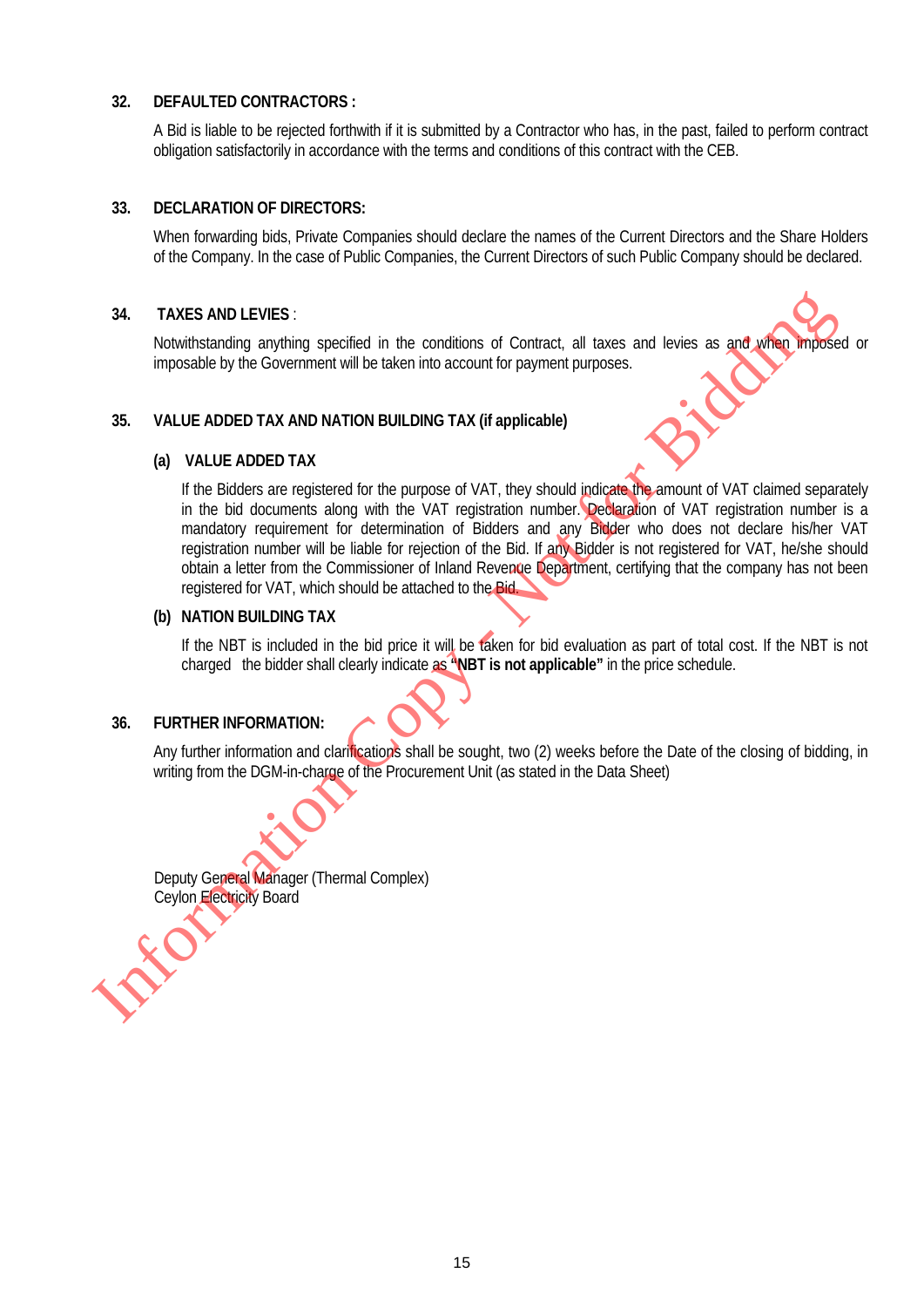#### **32. DEFAULTED CONTRACTORS :**

A Bid is liable to be rejected forthwith if it is submitted by a Contractor who has, in the past, failed to perform contract obligation satisfactorily in accordance with the terms and conditions of this contract with the CEB.

#### **33. DECLARATION OF DIRECTORS:**

When forwarding bids, Private Companies should declare the names of the Current Directors and the Share Holders of the Company. In the case of Public Companies, the Current Directors of such Public Company should be declared.

#### **34. TAXES AND LEVIES** :

Notwithstanding anything specified in the conditions of Contract, all taxes and levies as and when imposed or imposable by the Government will be taken into account for payment purposes.

#### **35. VALUE ADDED TAX AND NATION BUILDING TAX (if applicable)**

#### **(a) VALUE ADDED TAX**

If the Bidders are registered for the purpose of VAT, they should indicate the amount of VAT claimed separately in the bid documents along with the VAT registration number. Declaration of VAT registration number is a mandatory requirement for determination of Bidders and any Bidder who does not declare his/her VAT registration number will be liable for rejection of the Bid. If any Bidder is not registered for VAT, he/she should obtain a letter from the Commissioner of Inland Revenue Department, certifying that the company has not been registered for VAT, which should be attached to the Bid. IN TAXES AND LEVIES :<br>
Notwithstanding anything specified in the conditions of Contract, all taxes and levies as and sympatric impossible by the Covernment will be taken into account for payment purposes<br>
Impossible by th

#### **(b) NATION BUILDING TAX**

If the NBT is included in the bid price it will be taken for bid evaluation as part of total cost. If the NBT is not charged the bidder shall clearly indicate as **"NBT is not applicable"** in the price schedule.

#### **36. FURTHER INFORMATION:**

Any further information and clarifications shall be sought, two (2) weeks before the Date of the closing of bidding, in writing from the DGM-in-charge of the Procurement Unit (as stated in the Data Sheet)

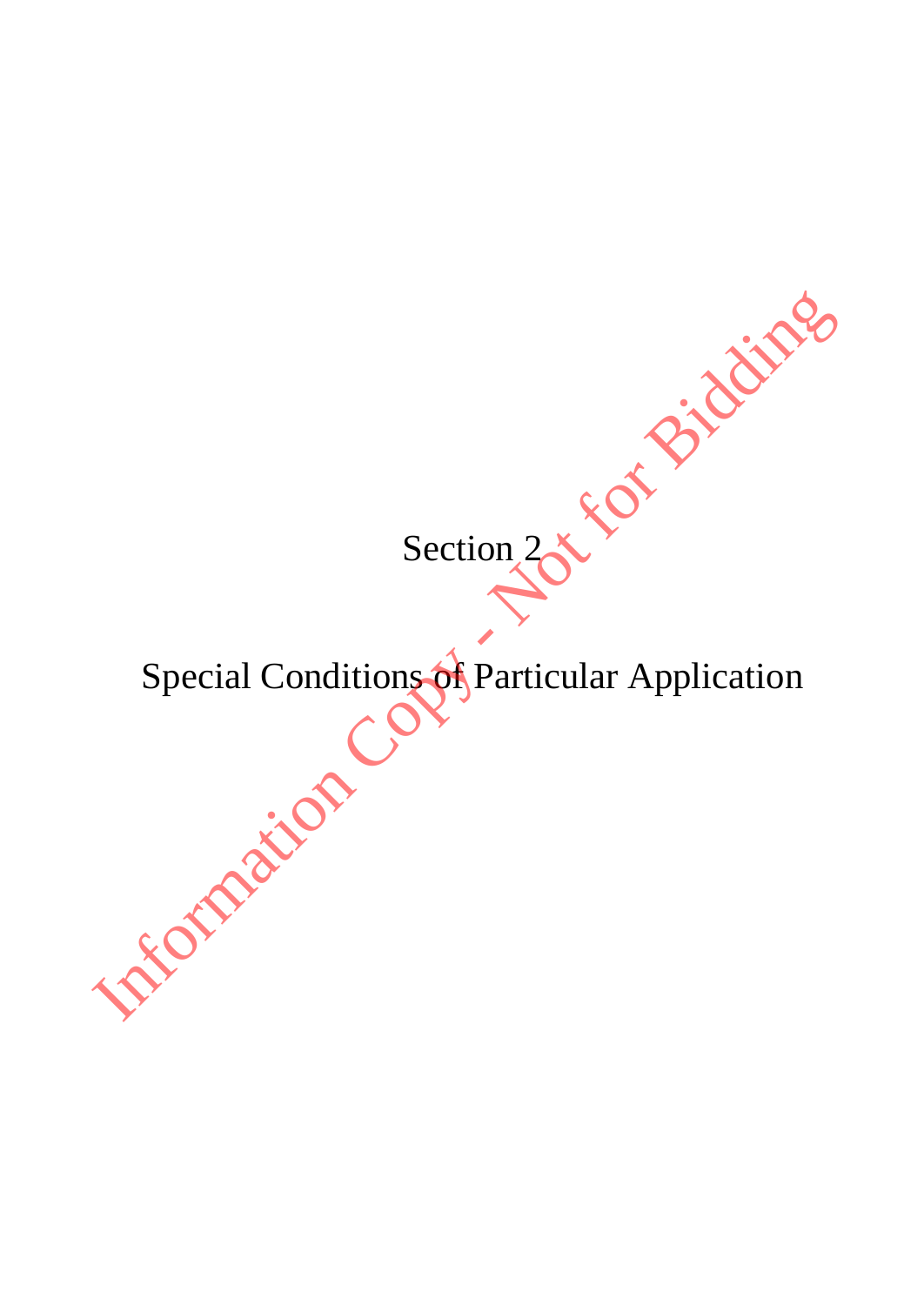Section<sub>2</sub>

Special Conditions of Particular Application Section 2 x E Of Bidding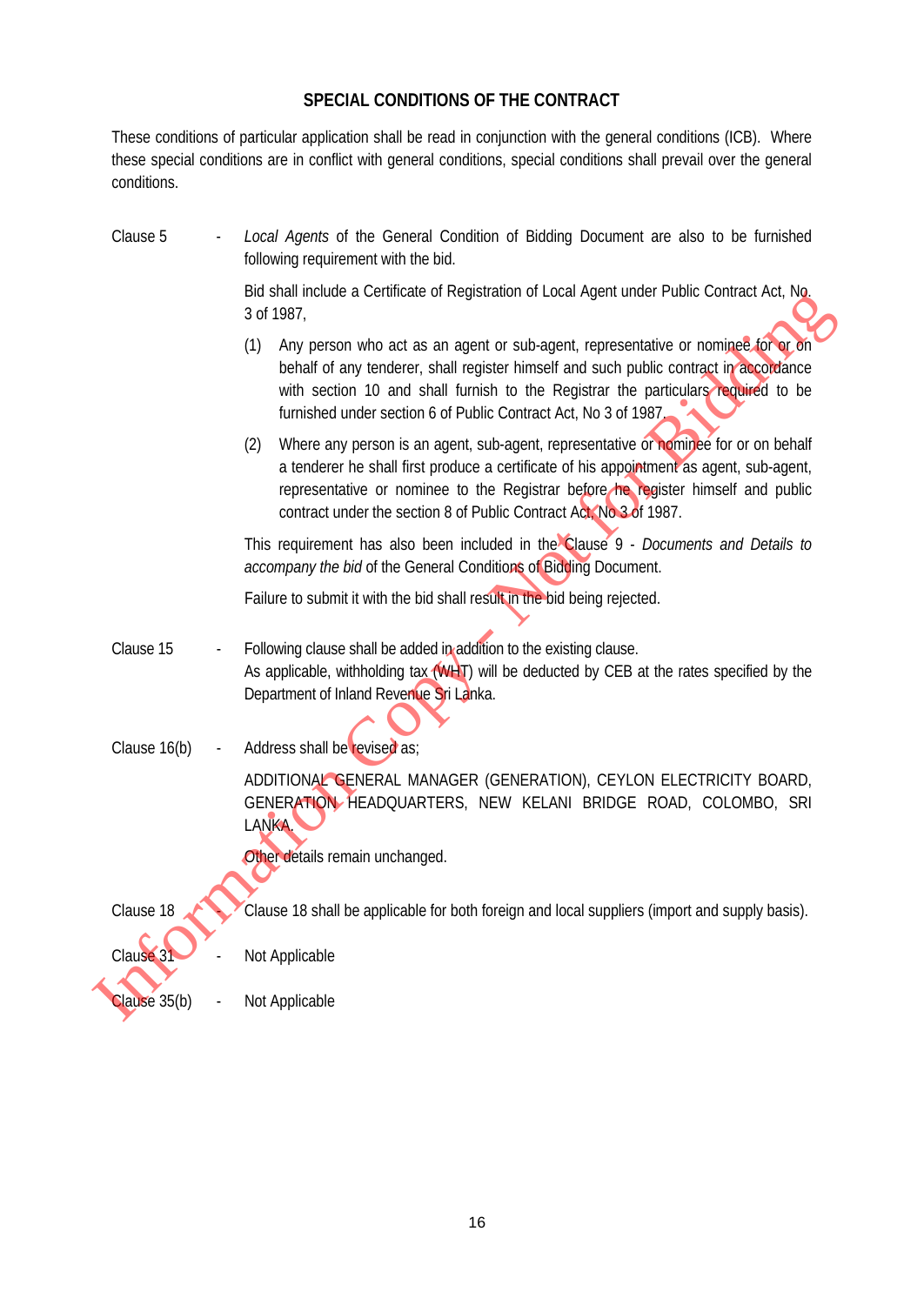## **SPECIAL CONDITIONS OF THE CONTRACT**

These conditions of particular application shall be read in conjunction with the general conditions (ICB). Where these special conditions are in conflict with general conditions, special conditions shall prevail over the general conditions.

| Clause 5     | Local Agents of the General Condition of Bidding Document are also to be furnished<br>following requirement with the bid.                                                                                                                                                                                                                        |
|--------------|--------------------------------------------------------------------------------------------------------------------------------------------------------------------------------------------------------------------------------------------------------------------------------------------------------------------------------------------------|
|              | Bid shall include a Certificate of Registration of Local Agent under Public Contract Act, No,<br>3 of 1987,                                                                                                                                                                                                                                      |
|              | Any person who act as an agent or sub-agent, representative or nominee for or on<br>(1)<br>behalf of any tenderer, shall register himself and such public contract in accordance<br>with section 10 and shall furnish to the Registrar the particulars required to be<br>furnished under section 6 of Public Contract Act, No 3 of 1987.         |
|              | Where any person is an agent, sub-agent, representative or nominee for or on behalf<br>(2)<br>a tenderer he shall first produce a certificate of his appointment as agent, sub-agent,<br>representative or nominee to the Registrar before he register himself and public<br>contract under the section 8 of Public Contract Act. No. 3 of 1987. |
|              | This requirement has also been included in the Clause 9 - Documents and Details to<br>accompany the bid of the General Conditions of Bidding Document.                                                                                                                                                                                           |
|              | Failure to submit it with the bid shall result in the bid being rejected.                                                                                                                                                                                                                                                                        |
| Clause 15    | Following clause shall be added in addition to the existing clause.<br>As applicable, withholding tax $(WH)$ will be deducted by CEB at the rates specified by the<br>Department of Inland Revenue Sri Lanka.                                                                                                                                    |
| Clause 16(b) | Address shall be revised as;                                                                                                                                                                                                                                                                                                                     |
|              | ADDITIONAL GENERAL MANAGER (GENERATION), CEYLON ELECTRICITY BOARD,<br>GENERATION HEADQUARTERS, NEW KELANI BRIDGE ROAD, COLOMBO, SRI<br>LANKA.                                                                                                                                                                                                    |
|              | Other details remain unchanged.                                                                                                                                                                                                                                                                                                                  |
| Clause 18    | Clause 18 shall be applicable for both foreign and local suppliers (import and supply basis).                                                                                                                                                                                                                                                    |
| Clause 31    | Not Applicable                                                                                                                                                                                                                                                                                                                                   |
| Clause 35(b) | Not Applicable                                                                                                                                                                                                                                                                                                                                   |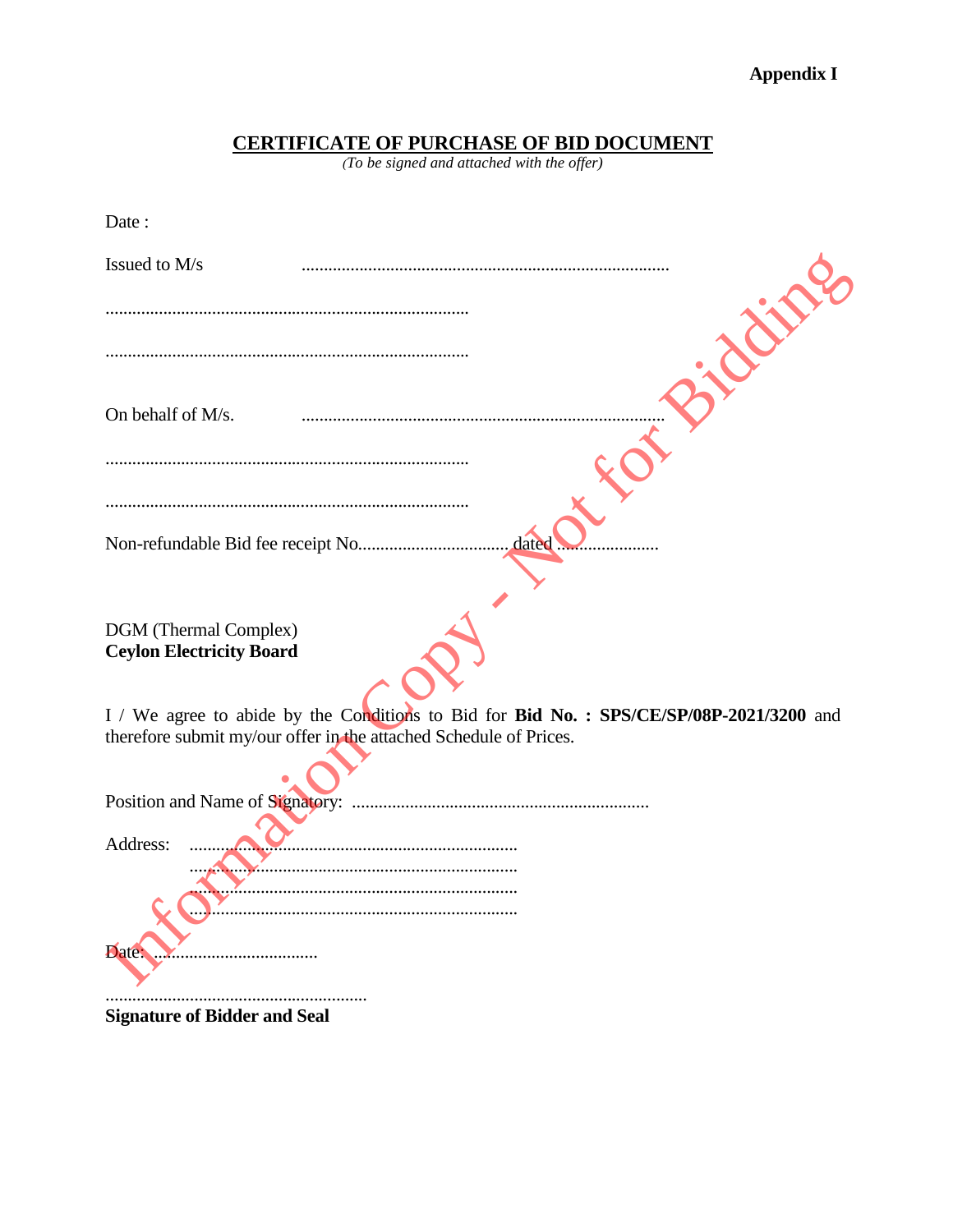# **CERTIFICATE OF PURCHASE OF BID DOCUMENT**<br>(To be signed and attached with the offer)

| Date:                                                                                   |
|-----------------------------------------------------------------------------------------|
| Issued to M/s                                                                           |
| E                                                                                       |
|                                                                                         |
| On behalf of M/s.                                                                       |
|                                                                                         |
|                                                                                         |
| dated                                                                                   |
|                                                                                         |
| DGM (Thermal Complex)<br><b>Ceylon Electricity Board</b>                                |
| I / We agree to abide by the Conditions to Bid for Bid No.: SPS/CE/SP/08P-2021/3200 and |
| therefore submit my/our offer in the attached Schedule of Prices.                       |
|                                                                                         |
| Address:                                                                                |
|                                                                                         |
| Date                                                                                    |
|                                                                                         |

**Signature of Bidder and Seal**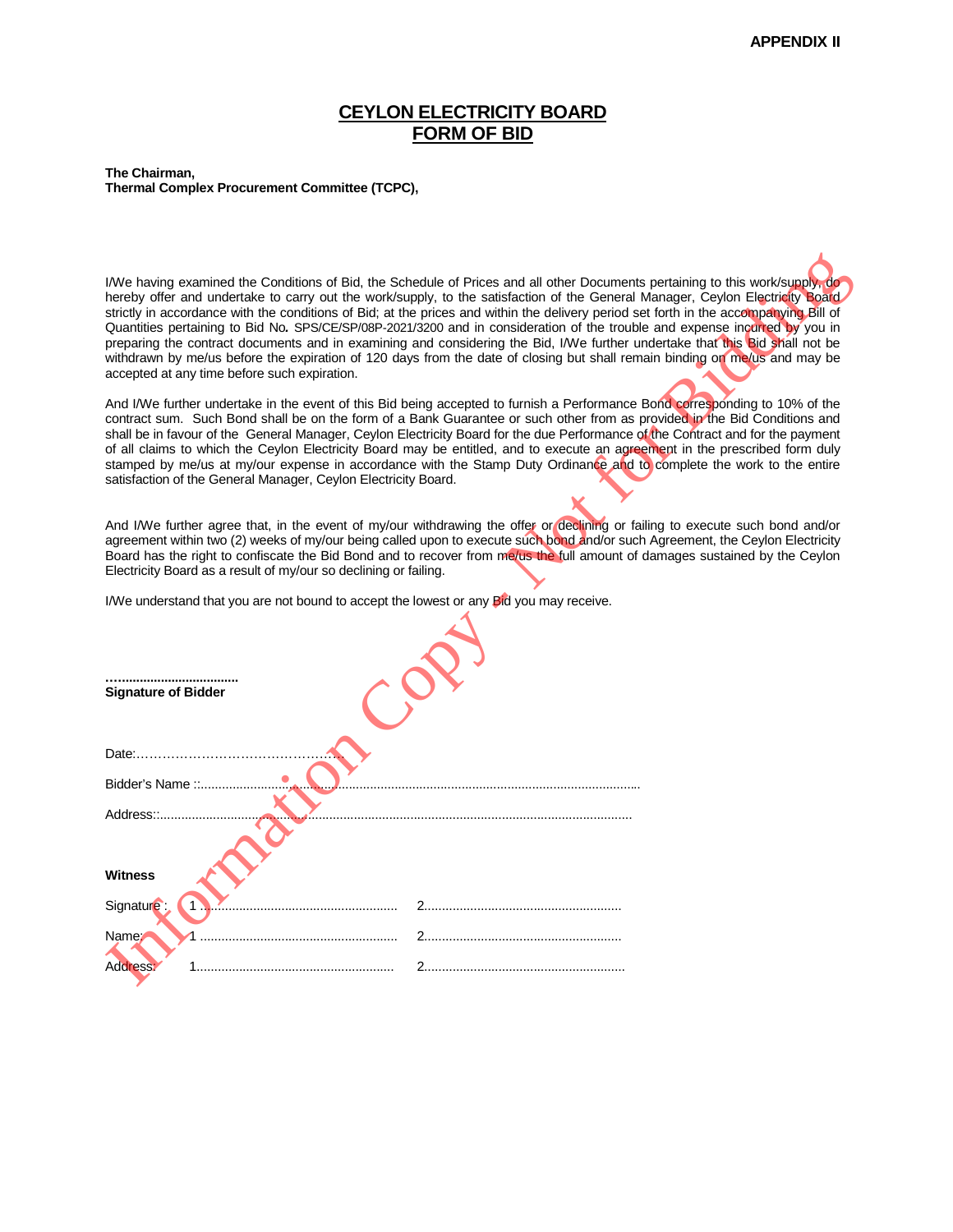#### **CEYLON ELECTRICITY BOARD FORM OF BID**

**The Chairman, Thermal Complex Procurement Committee (TCPC),**

| I/We having examined the Conditions of Bid, the Schedule of Prices and all other Documents pertaining to this work/supply, do<br>hereby offer and undertake to carry out the work/supply, to the satisfaction of the General Manager, Ceylon Electricity Board<br>strictly in accordance with the conditions of Bid; at the prices and within the delivery period set forth in the accompanying Bill of<br>Quantities pertaining to Bid No. SPS/CE/SP/08P-2021/3200 and in consideration of the trouble and expense incurred by you in<br>preparing the contract documents and in examining and considering the Bid, I/We further undertake that this Bid shall not be<br>withdrawn by me/us before the expiration of 120 days from the date of closing but shall remain binding on me/us and may be<br>accepted at any time before such expiration. |
|------------------------------------------------------------------------------------------------------------------------------------------------------------------------------------------------------------------------------------------------------------------------------------------------------------------------------------------------------------------------------------------------------------------------------------------------------------------------------------------------------------------------------------------------------------------------------------------------------------------------------------------------------------------------------------------------------------------------------------------------------------------------------------------------------------------------------------------------------|
| And I/We further undertake in the event of this Bid being accepted to furnish a Performance Bond corresponding to 10% of the<br>contract sum. Such Bond shall be on the form of a Bank Guarantee or such other from as provided in the Bid Conditions and<br>shall be in favour of the General Manager, Ceylon Electricity Board for the due Performance of the Contract and for the payment<br>of all claims to which the Ceylon Electricity Board may be entitled, and to execute an agreement in the prescribed form duly<br>stamped by me/us at my/our expense in accordance with the Stamp Duty Ordinance and to complete the work to the entire<br>satisfaction of the General Manager, Ceylon Electricity Board.                                                                                                                              |
| And I/We further agree that, in the event of my/our withdrawing the offer or declining or failing to execute such bond and/or<br>agreement within two (2) weeks of my/our being called upon to execute such bond and/or such Agreement, the Ceylon Electricity<br>Board has the right to confiscate the Bid Bond and to recover from me/us the full amount of damages sustained by the Ceylon<br>Electricity Board as a result of my/our so declining or failing.                                                                                                                                                                                                                                                                                                                                                                                    |
| I/We understand that you are not bound to accept the lowest or any Bid you may receive.                                                                                                                                                                                                                                                                                                                                                                                                                                                                                                                                                                                                                                                                                                                                                              |
| <b>Signature of Bidder</b>                                                                                                                                                                                                                                                                                                                                                                                                                                                                                                                                                                                                                                                                                                                                                                                                                           |
| Date:                                                                                                                                                                                                                                                                                                                                                                                                                                                                                                                                                                                                                                                                                                                                                                                                                                                |
| Bidder's Name ::                                                                                                                                                                                                                                                                                                                                                                                                                                                                                                                                                                                                                                                                                                                                                                                                                                     |
| Address::                                                                                                                                                                                                                                                                                                                                                                                                                                                                                                                                                                                                                                                                                                                                                                                                                                            |
| <b>Witness</b>                                                                                                                                                                                                                                                                                                                                                                                                                                                                                                                                                                                                                                                                                                                                                                                                                                       |
| Signature:                                                                                                                                                                                                                                                                                                                                                                                                                                                                                                                                                                                                                                                                                                                                                                                                                                           |
| Name:                                                                                                                                                                                                                                                                                                                                                                                                                                                                                                                                                                                                                                                                                                                                                                                                                                                |
| Address                                                                                                                                                                                                                                                                                                                                                                                                                                                                                                                                                                                                                                                                                                                                                                                                                                              |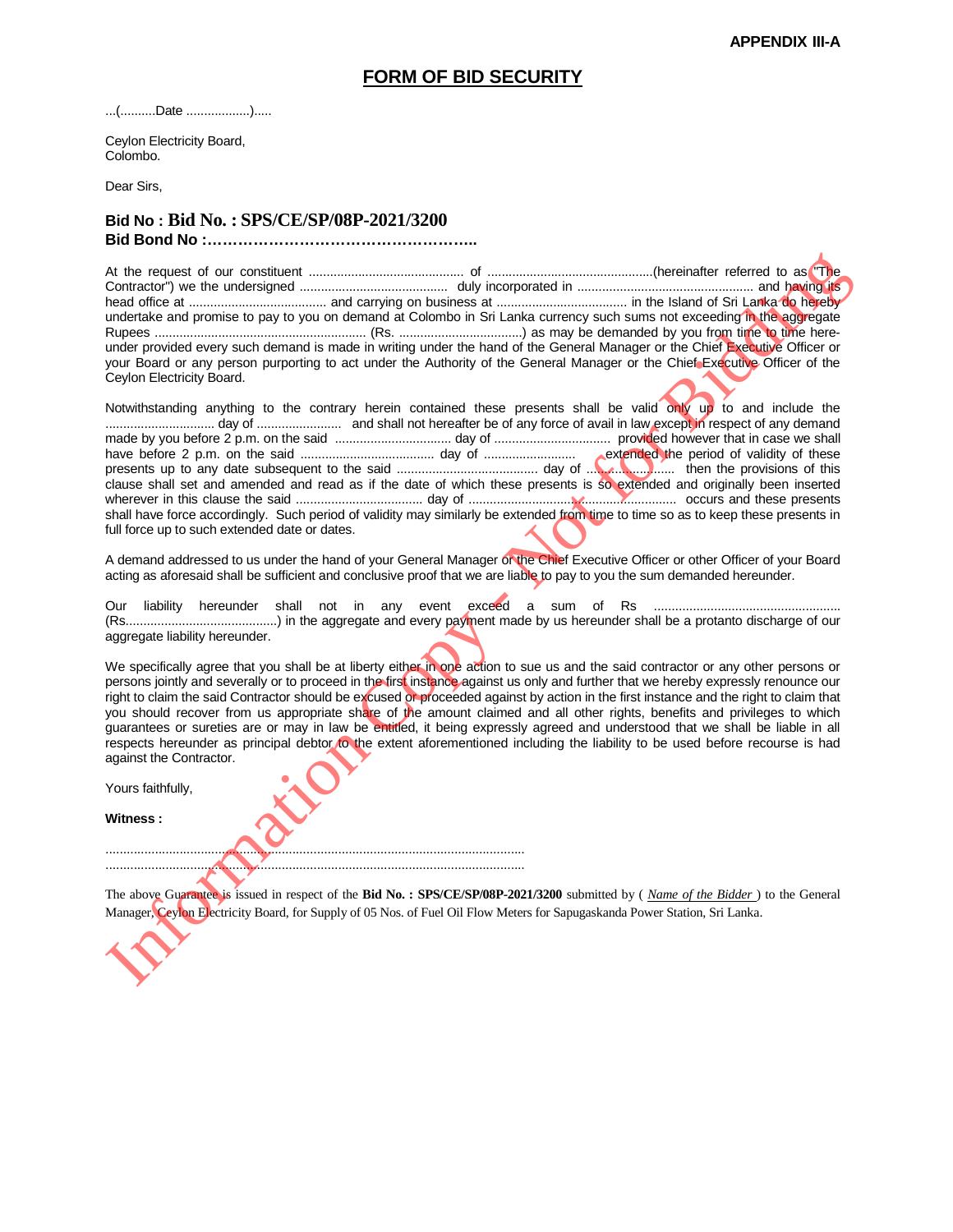#### **FORM OF BID SECURITY**

...(..........Date ..................).....

Ceylon Electricity Board, Colombo.

Dear Sirs,

#### **Bid No : Bid No. : SPS/CE/SP/08P-2021/3200 Bid Bond No :……………………………………………..**

.......................................................................................................................

.......................................................................................................................

At the request of our constituent ............................................ of ...............................................(hereinafter referred to as "The Contractor") we the undersigned .......................................... duly incorporated in .................................................. and having its head office at ....................................... and carrying on business at ..................................... in the Island of Sri Lanka do hereby undertake and promise to pay to you on demand at Colombo in Sri Lanka currency such sums not exceeding in the aggregate Rupees ............................................................ (Rs. ...................................) as may be demanded by you from time to time hereunder provided every such demand is made in writing under the hand of the General Manager or the Chief Executive Officer or your Board or any person purporting to act under the Authority of the General Manager or the Chief Executive Officer of the Ceylon Electricity Board.

Notwithstanding anything to the contrary herein contained these presents shall be valid only up to and include the ............................... day of ........................ and shall not hereafter be of any force of avail in law except in respect of any demand made by you before 2 p.m. on the said ................................. day of ................................. provided however that in case we shall have before 2 p.m. on the said ...................................... day of .......................... extended the period of validity of these presents up to any date subsequent to the said ........................................ day of ......................... then the provisions of this clause shall set and amended and read as if the date of which these presents is so extended and originally been inserted wherever in this clause the said .................................... day of ........................................................... occurs and these presents shall have force accordingly. Such period of validity may similarly be extended from time to time so as to keep these presents in full force up to such extended date or dates. At the required to uncertainties and the same of the required to the same of the same of the same of the same of the same of the same of the same of the same of the same of the same of the same of the same of the same of t

A demand addressed to us under the hand of your General Manager or the Chief Executive Officer or other Officer of your Board acting as aforesaid shall be sufficient and conclusive proof that we are liable to pay to you the sum demanded hereunder.

Our liability hereunder shall not in any event exceed a sum of Rs ..................................................... (Rs...........................................) in the aggregate and every payment made by us hereunder shall be a protanto discharge of our aggregate liability hereunder.

We specifically agree that you shall be at liberty either in one action to sue us and the said contractor or any other persons or persons jointly and severally or to proceed in the first instance against us only and further that we hereby expressly renounce our right to claim the said Contractor should be excused or proceeded against by action in the first instance and the right to claim that you should recover from us appropriate share of the amount claimed and all other rights, benefits and privileges to which guarantees or sureties are or may in law be entitled, it being expressly agreed and understood that we shall be liable in all respects hereunder as principal debtor to the extent aforementioned including the liability to be used before recourse is had against the Contractor.

Yours faithfully,

**Witness :**

The above Guarantee is issued in respect of the **Bid No. : SPS/CE/SP/08P-2021/3200** submitted by ( *Name of the Bidder* ) to the General Manager, Ceylon Electricity Board, for Supply of 05 Nos. of Fuel Oil Flow Meters for Sapugaskanda Power Station, Sri Lanka.

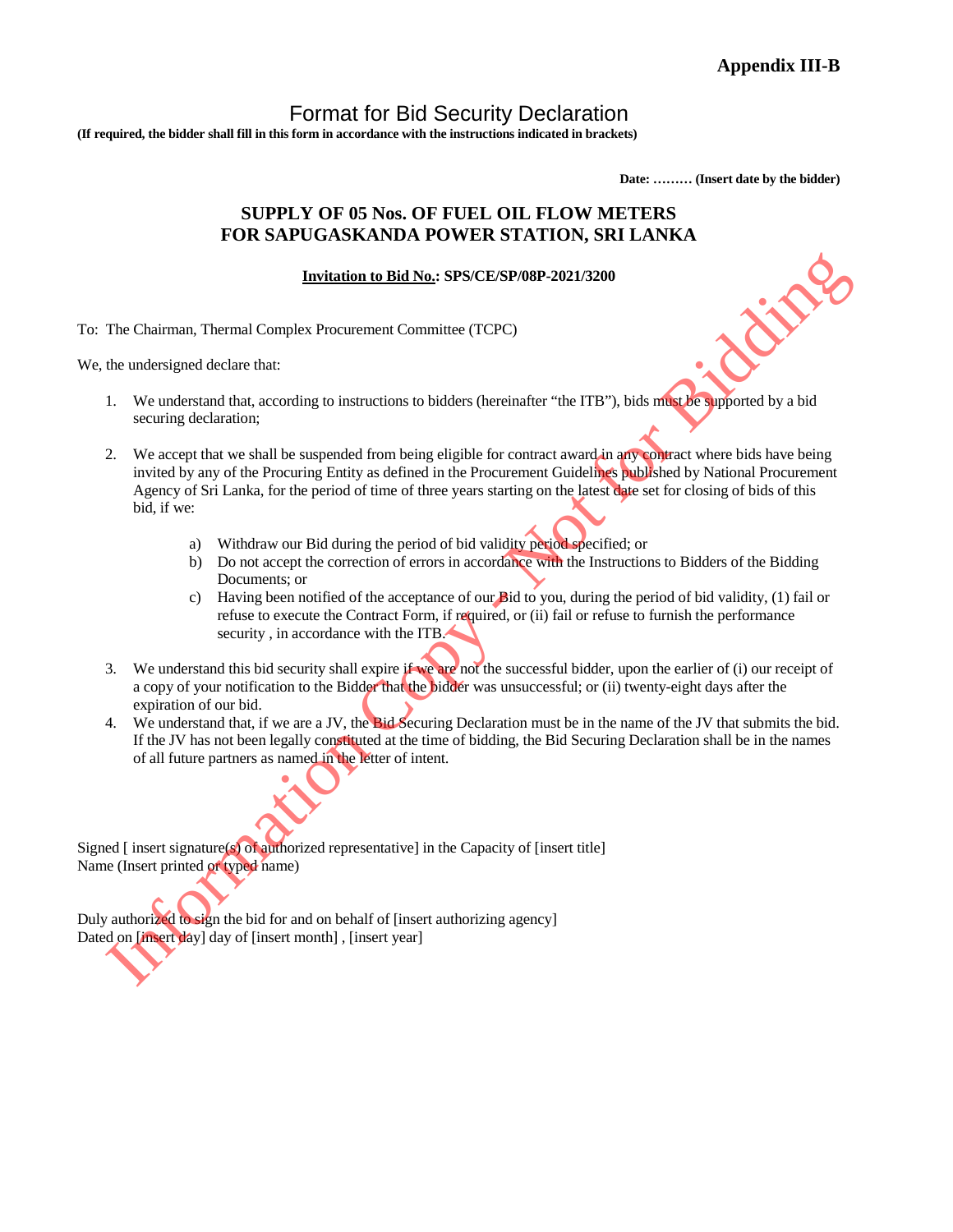### Format for Bid Security Declaration

**(If required, the bidder shall fill in this form in accordance with the instructions indicated in brackets)**

**Date: ……… (Insert date by the bidder)**

#### **SUPPLY OF 05 Nos. OF FUEL OIL FLOW METERS FOR SAPUGASKANDA POWER STATION, SRI LANKA**

#### **Invitation to Bid No.: SPS/CE/SP/08P-2021/3200**

To: The Chairman, Thermal Complex Procurement Committee (TCPC)

We, the undersigned declare that:

- 1. We understand that, according to instructions to bidders (hereinafter "the ITB"), bids must be supported by a bid securing declaration;
- 2. We accept that we shall be suspended from being eligible for contract award in any contract where bids have being invited by any of the Procuring Entity as defined in the Procurement Guidelines published by National Procurement Agency of Sri Lanka, for the period of time of three years starting on the latest date set for closing of bids of this bid, if we: **Institution to Bid No.: STS/CE/SP/08F-2021/3200**<br>
The Chairman, Thermal Complex Procurement Committee (TCPC)<br>
the understand that, according to instructions to biddes (heerinafier "the ITB"), bids when which also be<br>
sec
	- a) Withdraw our Bid during the period of bid validity period specified; or
	- b) Do not accept the correction of errors in accordance with the Instructions to Bidders of the Bidding Documents; or
	- c) Having been notified of the acceptance of our Bid to you, during the period of bid validity, (1) fail or refuse to execute the Contract Form, if required, or (ii) fail or refuse to furnish the performance security, in accordance with the ITB.
- 3. We understand this bid security shall expire if we are not the successful bidder, upon the earlier of (i) our receipt of a copy of your notification to the Bidder that the bidder was unsuccessful; or (ii) twenty-eight days after the expiration of our bid.
- 4. We understand that, if we are a JV, the Bid Securing Declaration must be in the name of the JV that submits the bid. If the JV has not been legally constituted at the time of bidding, the Bid Securing Declaration shall be in the names of all future partners as named in the letter of intent.

Signed [insert signature(s) of authorized representative] in the Capacity of [insert title] Name (Insert printed or typed name)

Duly authorized to sign the bid for and on behalf of [insert authorizing agency] Dated on [insert day] day of [insert month] , [insert year]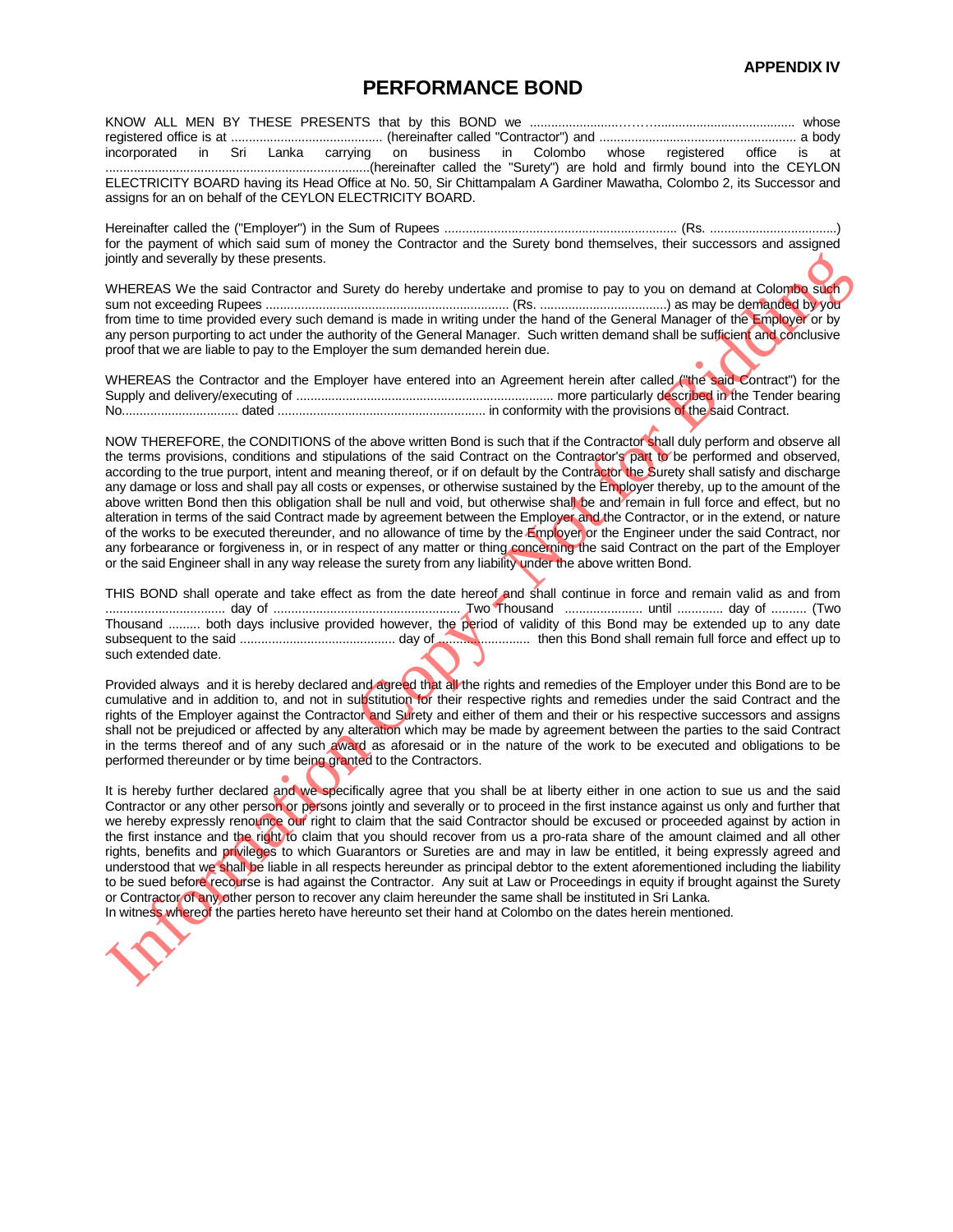#### **PERFORMANCE BOND**

KNOW ALL MEN BY THESE PRESENTS that by this BOND we .........................………....................................... whose registered office is at ........................................... (hereinafter called "Contractor") and ........................................................ a body incorporated in Sri Lanka carrying on business in Colombo whose registered office is at ...........................................................................(hereinafter called the "Surety") are hold and firmly bound into the CEYLON ELECTRICITY BOARD having its Head Office at No. 50, Sir Chittampalam A Gardiner Mawatha, Colombo 2, its Successor and assigns for an on behalf of the CEYLON ELECTRICITY BOARD.

Hereinafter called the ("Employer") in the Sum of Rupees .................................................................. (Rs. ....................................) for the payment of which said sum of money the Contractor and the Surety bond themselves, their successors and assigned jointly and severally by these presents.

WHEREAS We the said Contractor and Surety do hereby undertake and promise to pay to you on demand at Colombo such sum not exceeding Rupees ..................................................................... (Rs. ....................................) as may be demanded by you from time to time provided every such demand is made in writing under the hand of the General Manager of the Employer or by any person purporting to act under the authority of the General Manager. Such written demand shall be sufficient and conclusive proof that we are liable to pay to the Employer the sum demanded herein due.

WHEREAS the Contractor and the Employer have entered into an Agreement herein after called ("the said Contract") for the Supply and delivery/executing of ......................................................................... more particularly described in the Tender bearing No................................. dated ........................................................... in conformity with the provisions of the said Contract.

NOW THEREFORE, the CONDITIONS of the above written Bond is such that if the Contractor shall duly perform and observe all the terms provisions, conditions and stipulations of the said Contract on the Contractor's part to be performed and observed, according to the true purport, intent and meaning thereof, or if on default by the Contractor the Surety shall satisfy and discharge any damage or loss and shall pay all costs or expenses, or otherwise sustained by the Employer thereby, up to the amount of the above written Bond then this obligation shall be null and void, but otherwise shall be and remain in full force and effect, but no alteration in terms of the said Contract made by agreement between the Employer and the Contractor, or in the extend, or nature of the works to be executed thereunder, and no allowance of time by the Employer or the Engineer under the said Contract, nor any forbearance or forgiveness in, or in respect of any matter or thing concerning the said Contract on the part of the Employer or the said Engineer shall in any way release the surety from any liability under the above written Bond. pinny and stored at the sate Concernent Bidding (in the sate of the sate of the sate of the sate Concernent Bidding (in the sate of the sate of the sate of the sate of the sate of the sate of the sate of the sate of the s

THIS BOND shall operate and take effect as from the date hereof and shall continue in force and remain valid as and from .................................. day of ..................................................... Two Thousand ...................... until ............. day of .......... (Two Thousand ......... both days inclusive provided however, the period of validity of this Bond may be extended up to any date subsequent to the said ............................................ day of .......................... then this Bond shall remain full force and effect up to such extended date.

Provided always and it is hereby declared and agreed that all the rights and remedies of the Employer under this Bond are to be cumulative and in addition to, and not in substitution for their respective rights and remedies under the said Contract and the rights of the Employer against the Contractor and Surety and either of them and their or his respective successors and assigns shall not be prejudiced or affected by any alteration which may be made by agreement between the parties to the said Contract in the terms thereof and of any such award as aforesaid or in the nature of the work to be executed and obligations to be performed thereunder or by time being granted to the Contractors.

It is hereby further declared and we specifically agree that you shall be at liberty either in one action to sue us and the said Contractor or any other person or persons jointly and severally or to proceed in the first instance against us only and further that we hereby expressly renounce our right to claim that the said Contractor should be excused or proceeded against by action in the first instance and the right to claim that you should recover from us a pro-rata share of the amount claimed and all other rights, benefits and privileges to which Guarantors or Sureties are and may in law be entitled, it being expressly agreed and understood that we shall be liable in all respects hereunder as principal debtor to the extent aforementioned including the liability to be sued before recourse is had against the Contractor. Any suit at Law or Proceedings in equity if brought against the Surety or Contractor of any other person to recover any claim hereunder the same shall be instituted in Sri Lanka. In witness whereof the parties hereto have hereunto set their hand at Colombo on the dates herein mentioned.

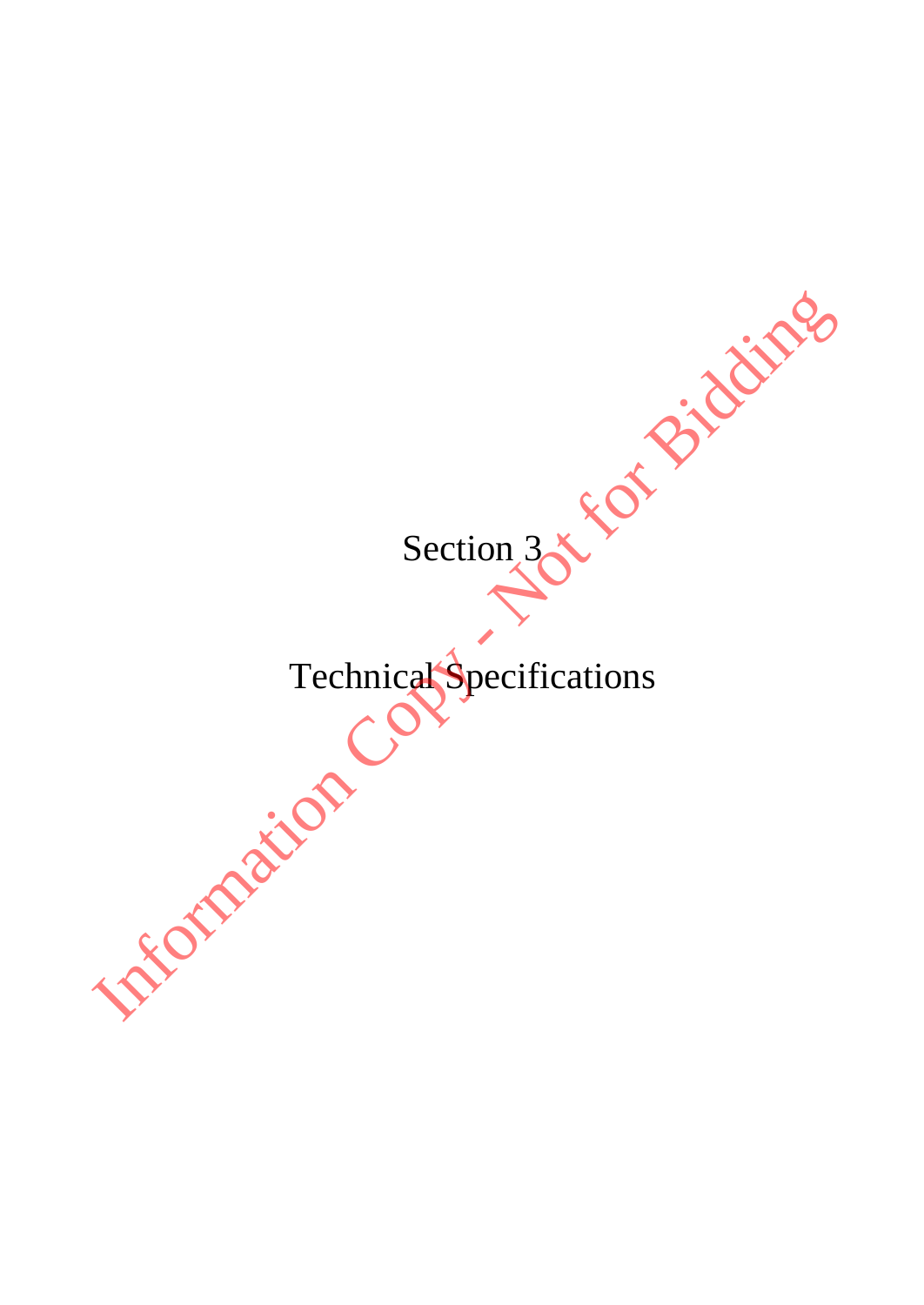Section<sub>3</sub> Technical Specifications Section 3 x 5 of Bidding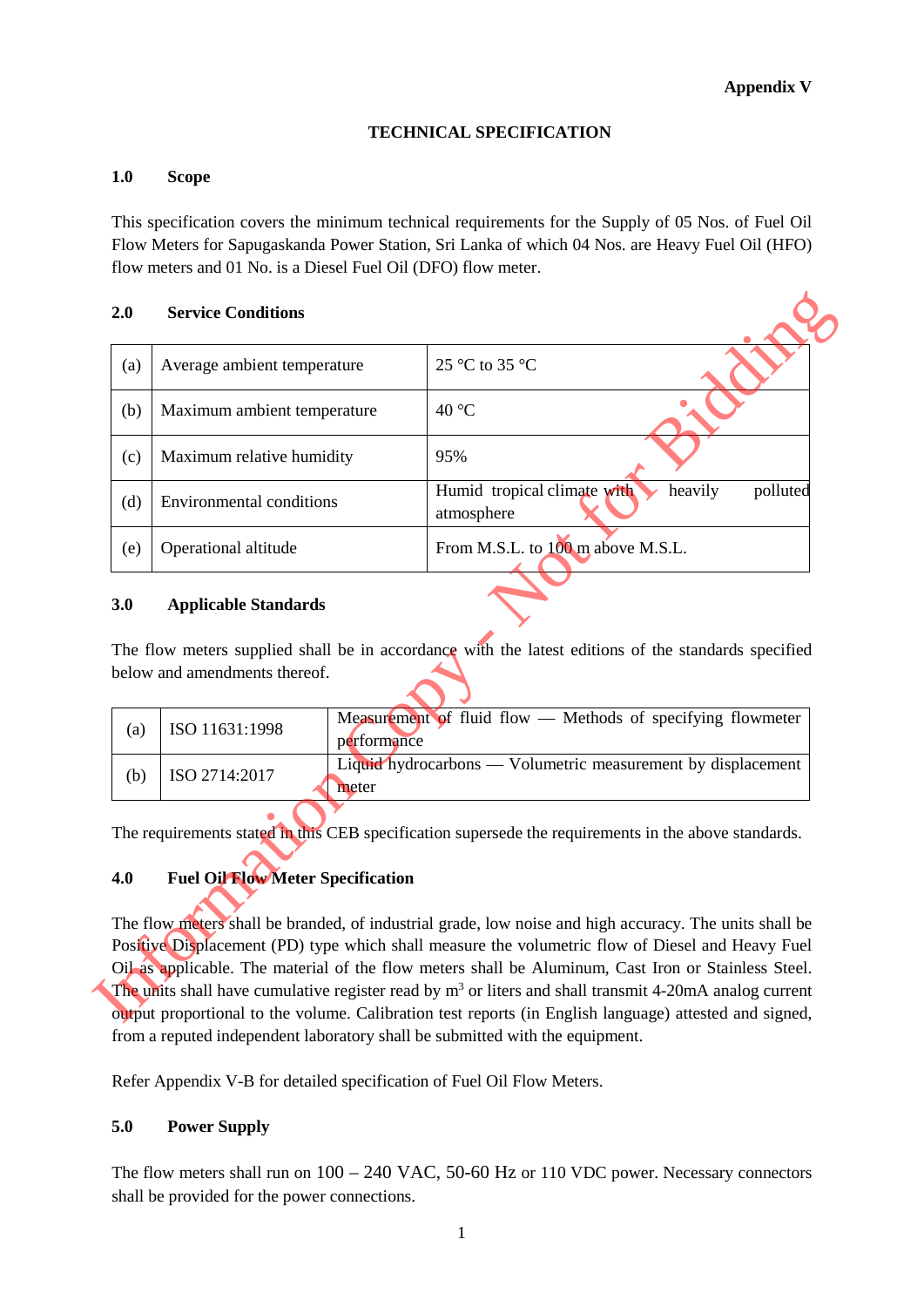#### **TECHNICAL SPECIFICATION**

#### **1.0 Scope**

This specification covers the minimum technical requirements for the Supply of 05 Nos. of Fuel Oil Flow Meters for Sapugaskanda Power Station, Sri Lanka of which 04 Nos. are Heavy Fuel Oil (HFO) flow meters and 01 No. is a Diesel Fuel Oil (DFO) flow meter.

#### **2.0 Service Conditions**

| 2.0 | <b>Service Conditions</b>                                    |                                                                                                                                                                                                                                                                                                                                                                                                                               |
|-----|--------------------------------------------------------------|-------------------------------------------------------------------------------------------------------------------------------------------------------------------------------------------------------------------------------------------------------------------------------------------------------------------------------------------------------------------------------------------------------------------------------|
| (a) | Average ambient temperature                                  | 25 °C to 35 °C                                                                                                                                                                                                                                                                                                                                                                                                                |
| (b) | Maximum ambient temperature                                  | 40 °C                                                                                                                                                                                                                                                                                                                                                                                                                         |
| (c) | Maximum relative humidity                                    | 95%                                                                                                                                                                                                                                                                                                                                                                                                                           |
| (d) | <b>Environmental conditions</b>                              | Humid tropical climate with<br>heavily<br>polluted<br>atmosphere                                                                                                                                                                                                                                                                                                                                                              |
| (e) | Operational altitude                                         | From M.S.L. to 100 m above M.S.L.                                                                                                                                                                                                                                                                                                                                                                                             |
| 3.0 | <b>Applicable Standards</b><br>below and amendments thereof. | The flow meters supplied shall be in accordance with the latest editions of the standards specified                                                                                                                                                                                                                                                                                                                           |
| (a) | ISO 11631:1998<br>performance                                | Measurement of fluid flow — Methods of specifying flowmeter                                                                                                                                                                                                                                                                                                                                                                   |
| (b) | ISO 2714:2017<br>meter                                       | Liquid hydrocarbons — Volumetric measurement by displacement                                                                                                                                                                                                                                                                                                                                                                  |
| 4.0 | <b>Fuel Oil Flow Meter Specification</b>                     | The requirements stated in this CEB specification supersede the requirements in the above standards.                                                                                                                                                                                                                                                                                                                          |
|     |                                                              | The flow meters shall be branded, of industrial grade, low noise and high accuracy. The units shall be<br>Positive Displacement (PD) type which shall measure the volumetric flow of Diesel and Heavy Fuel<br>Oil as applicable. The material of the flow meters shall be Aluminum, Cast Iron or Stainless Steel.<br>The units shall have cumulative register read by $m3$ or liters and shall transmit 4-20mA analog current |
|     |                                                              | output proportional to the volume. Calibration test reports (in English language) attested and signed,                                                                                                                                                                                                                                                                                                                        |

#### **3.0 Applicable Standards**

| (a) | ISO 11631:1998 | Measurement of fluid flow — Methods of specifying flowmeter<br>performance |
|-----|----------------|----------------------------------------------------------------------------|
| (b) | ISO 2714:2017  | Liquid hydrocarbons — Volumetric measurement by displacement<br>meter      |

#### **4.0 Fuel Oil Flow Meter Specification**

The flow meters shall be branded, of industrial grade, low noise and high accuracy. The units shall be Positive Displacement (PD) type which shall measure the volumetric flow of Diesel and Heavy Fuel Oil as applicable. The material of the flow meters shall be Aluminum, Cast Iron or Stainless Steel. The units shall have cumulative register read by  $m<sup>3</sup>$  or liters and shall transmit 4-20mA analog current output proportional to the volume. Calibration test reports (in English language) attested and signed, from a reputed independent laboratory shall be submitted with the equipment.

Refer Appendix V-B for detailed specification of Fuel Oil Flow Meters.

#### **5.0 Power Supply**

The flow meters shall run on  $100 - 240$  VAC, 50-60 Hz or 110 VDC power. Necessary connectors shall be provided for the power connections.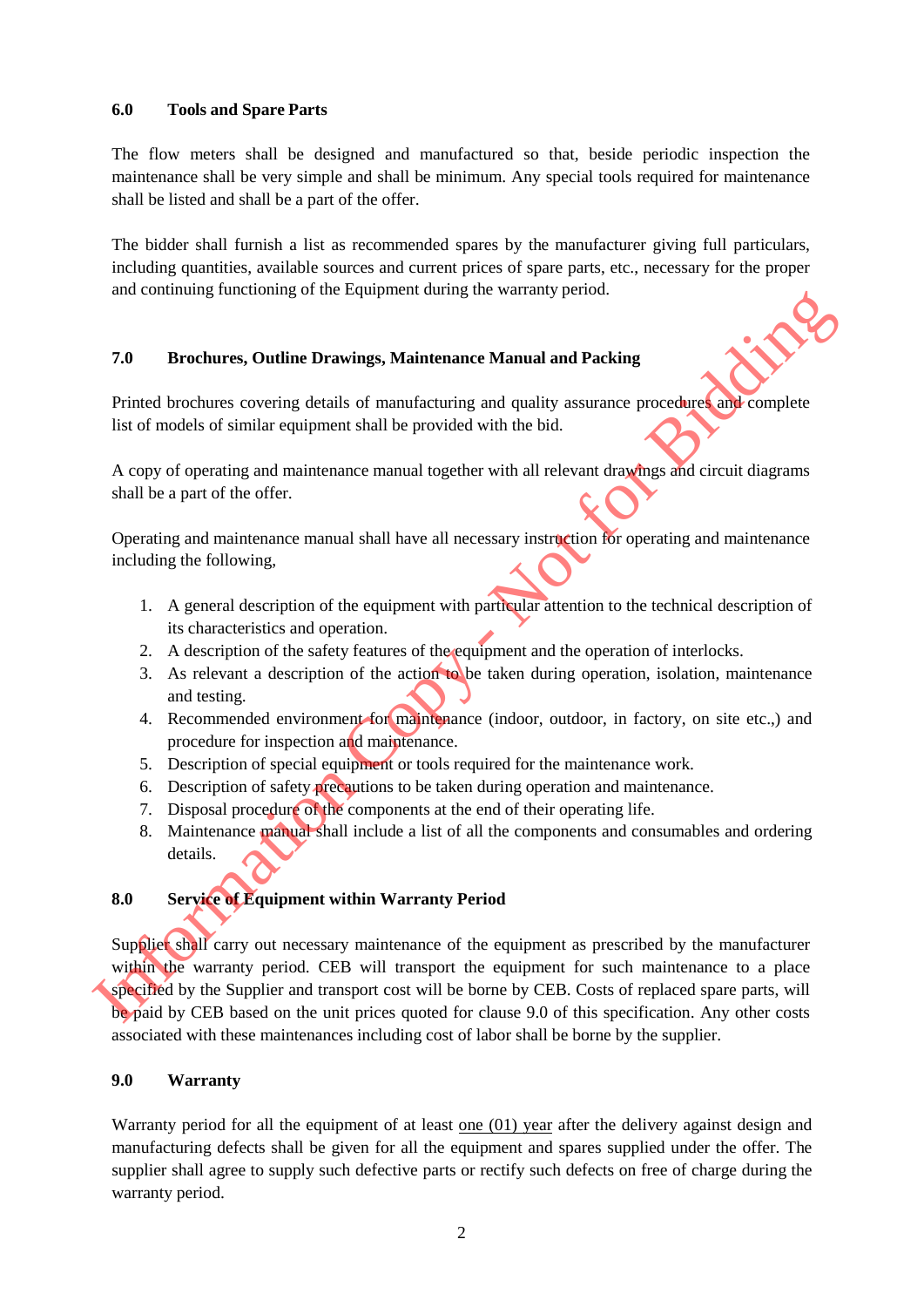#### **6.0 Tools and Spare Parts**

The flow meters shall be designed and manufactured so that, beside periodic inspection the maintenance shall be very simple and shall be minimum. Any special tools required for maintenance shall be listed and shall be a part of the offer.

The bidder shall furnish a list as recommended spares by the manufacturer giving full particulars, including quantities, available sources and current prices of spare parts, etc., necessary for the proper and continuing functioning of the Equipment during the warranty period.

#### **7.0 Brochures, Outline Drawings, Maintenance Manual and Packing**

Printed brochures covering details of manufacturing and quality assurance procedures and complete list of models of similar equipment shall be provided with the bid.

A copy of operating and maintenance manual together with all relevant drawings and circuit diagrams shall be a part of the offer.

Operating and maintenance manual shall have all necessary instruction for operating and maintenance including the following,

- 1. A general description of the equipment with particular attention to the technical description of its characteristics and operation.
- 2. A description of the safety features of the equipment and the operation of interlocks.
- 3. As relevant a description of the action to be taken during operation, isolation, maintenance and testing.
- 4. Recommended environment for maintenance (indoor, outdoor, in factory, on site etc.,) and procedure for inspection and maintenance.
- 5. Description of special equipment or tools required for the maintenance work.
- 6. Description of safety precautions to be taken during operation and maintenance.
- 7. Disposal procedure of the components at the end of their operating life.
- 8. Maintenance manual shall include a list of all the components and consumables and ordering details.

#### **8.0 Service of Equipment within Warranty Period**

Supplier shall carry out necessary maintenance of the equipment as prescribed by the manufacturer within the warranty period. CEB will transport the equipment for such maintenance to a place specified by the Supplier and transport cost will be borne by CEB. Costs of replaced spare parts, will be paid by CEB based on the unit prices quoted for clause 9.0 of this specification. Any other costs associated with these maintenances including cost of labor shall be borne by the supplier. **T.0**<br> **Example 20**<br> **Example 20**<br> **Example 20**<br> **Example 20**<br> **Example 20**<br> **Example 20**<br> **Example 20**<br> **Example 20**<br> **Example 20**<br> **Example 20**<br> **Example 20**<br> **Example 20**<br> **Example 20**<br> **Example 20**<br> **Example 20**<br> **Exa** 

#### **9.0 Warranty**

Warranty period for all the equipment of at least <u>one  $(01)$  year</u> after the delivery against design and manufacturing defects shall be given for all the equipment and spares supplied under the offer. The supplier shall agree to supply such defective parts or rectify such defects on free of charge during the warranty period.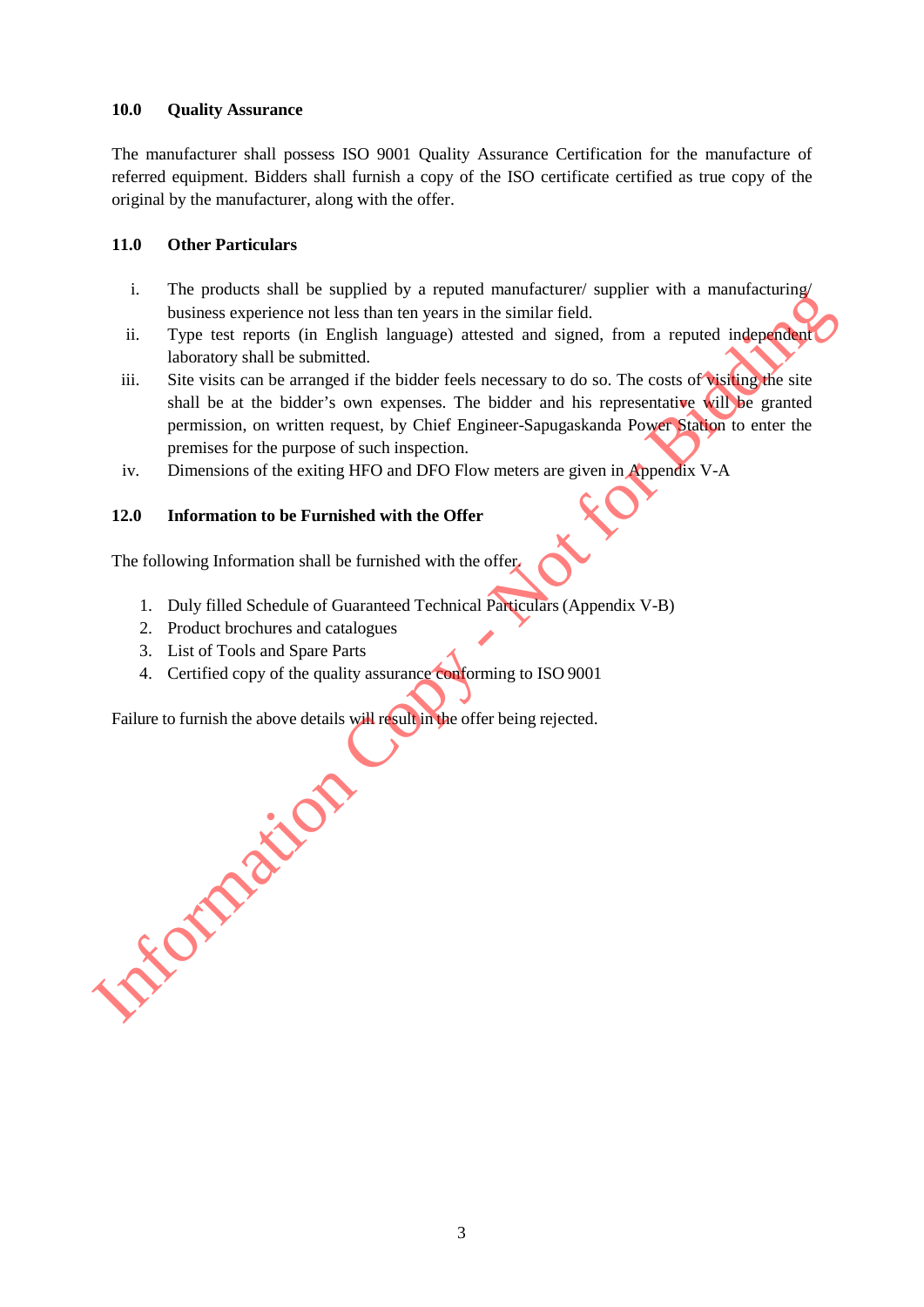#### **10.0 Quality Assurance**

The manufacturer shall possess ISO 9001 Quality Assurance Certification for the manufacture of referred equipment. Bidders shall furnish a copy of the ISO certificate certified as true copy of the original by the manufacturer, along with the offer.

#### **11.0 Other Particulars**

- i. The products shall be supplied by a reputed manufacturer/ supplier with a manufacturing/ business experience not less than ten years in the similar field.
- ii. Type test reports (in English language) attested and signed, from a reputed independent laboratory shall be submitted.
- iii. Site visits can be arranged if the bidder feels necessary to do so. The costs of **visiting the site** shall be at the bidder's own expenses. The bidder and his representative will be granted permission, on written request, by Chief Engineer-Sapugaskanda Power Station to enter the premises for the purpose of such inspection.
- iv. Dimensions of the exiting HFO and DFO Flow meters are given in Appendix V-A

#### **12.0 Information to be Furnished with the Offer**

The following Information shall be furnished with the offer.

- 1. Duly filled Schedule of Guaranteed Technical Particulars(Appendix V-B)
- 2. Product brochures and catalogues
- 3. List of Tools and Spare Parts
- 4. Certified copy of the quality assurance conforming to ISO 9001

Failure to furnish the above details will result in the offer being rejected. **Information**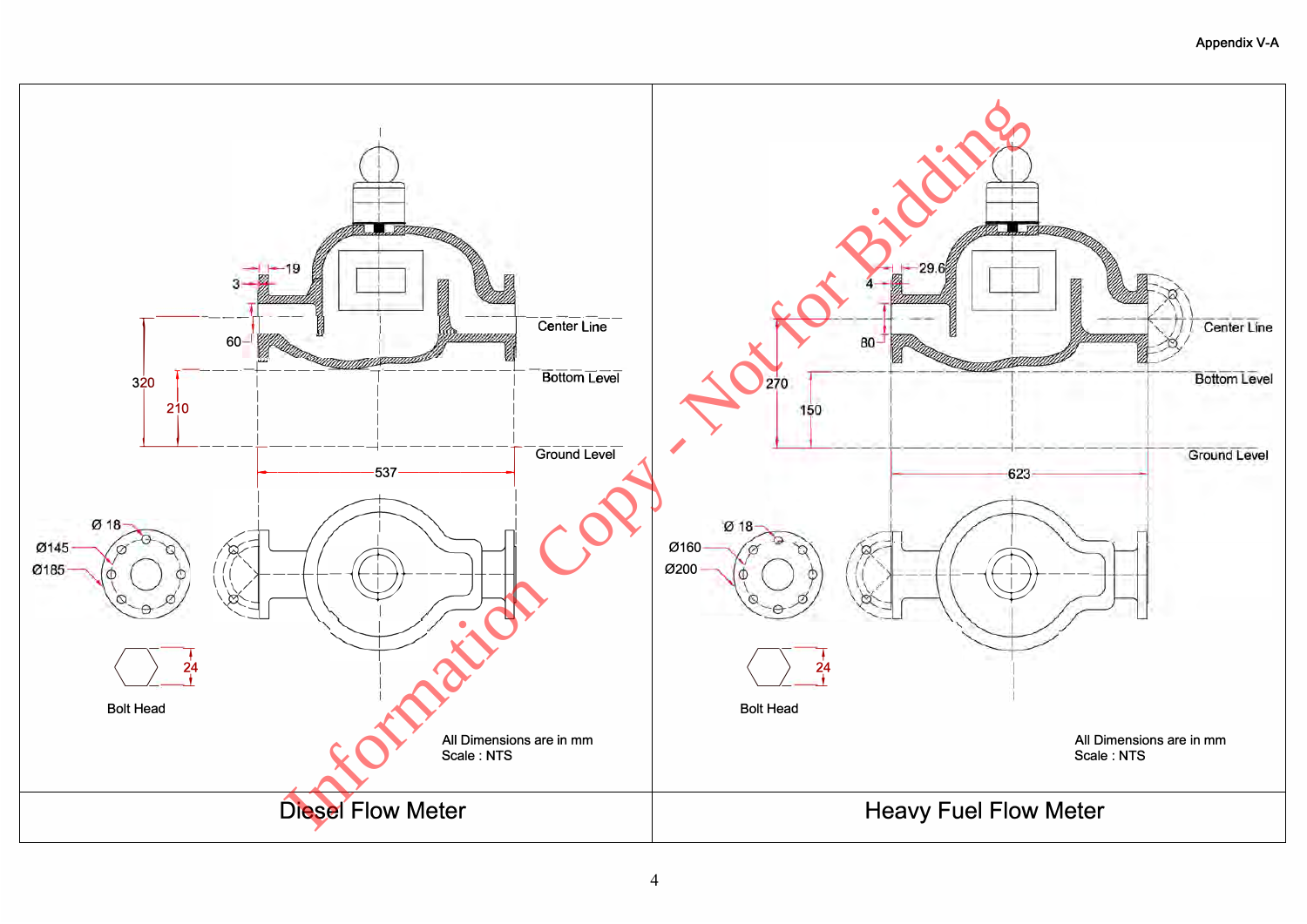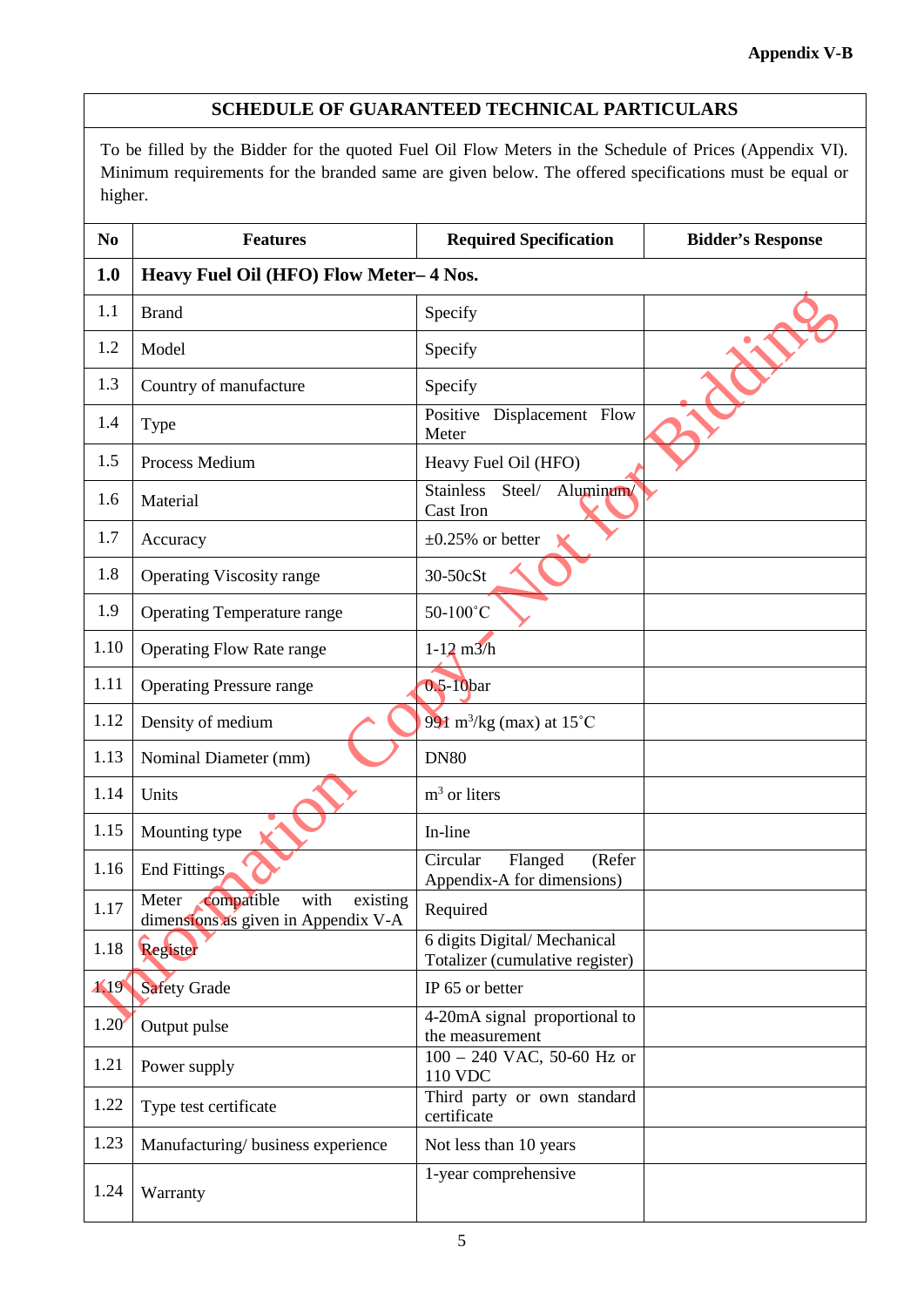#### **SCHEDULE OF GUARANTEED TECHNICAL PARTICULARS**

To be filled by the Bidder for the quoted Fuel Oil Flow Meters in the Schedule of Prices (Appendix VI). Minimum requirements for the branded same are given below. The offered specifications must be equal or higher.

| N <sub>0</sub> | <b>Features</b>                                                                | <b>Required Specification</b>                                  | <b>Bidder's Response</b> |  |  |
|----------------|--------------------------------------------------------------------------------|----------------------------------------------------------------|--------------------------|--|--|
| 1.0            | Heavy Fuel Oil (HFO) Flow Meter-4 Nos.                                         |                                                                |                          |  |  |
| 1.1            | <b>Brand</b>                                                                   | Specify                                                        |                          |  |  |
| 1.2            | Model                                                                          | Specify                                                        |                          |  |  |
| 1.3            | Country of manufacture                                                         | Specify                                                        |                          |  |  |
| 1.4            | Type                                                                           | Positive Displacement Flow<br>Meter                            |                          |  |  |
| 1.5            | Process Medium                                                                 | Heavy Fuel Oil (HFO)                                           |                          |  |  |
| 1.6            | Material                                                                       | Aluminum/<br>Steel/<br><b>Stainless</b><br>Cast Iron           |                          |  |  |
| 1.7            | Accuracy                                                                       | $\pm 0.25\%$ or better                                         |                          |  |  |
| 1.8            | <b>Operating Viscosity range</b>                                               | 30-50cSt                                                       |                          |  |  |
| 1.9            | <b>Operating Temperature range</b>                                             | 50-100°C                                                       |                          |  |  |
| 1.10           | <b>Operating Flow Rate range</b>                                               | $1 - 12$ m $3/h$                                               |                          |  |  |
| 1.11           | <b>Operating Pressure range</b>                                                | 0.5-10bar                                                      |                          |  |  |
| 1.12           | Density of medium                                                              | 991 m <sup>3</sup> /kg (max) at 15°C                           |                          |  |  |
| 1.13           | Nominal Diameter (mm)                                                          | <b>DN80</b>                                                    |                          |  |  |
| 1.14           | Units                                                                          | $m3$ or liters                                                 |                          |  |  |
| 1.15           | Mounting type                                                                  | In-line                                                        |                          |  |  |
| 1.16           | End Fittings                                                                   | Flanged<br>Circular<br>(Refer<br>Appendix-A for dimensions)    |                          |  |  |
| 1.17           | compatible<br>with<br>existing<br>Meter<br>dimensions as given in Appendix V-A | Required                                                       |                          |  |  |
| 1.18           | Register                                                                       | 6 digits Digital/Mechanical<br>Totalizer (cumulative register) |                          |  |  |
| $\lambda$ .19  | <b>Safety Grade</b>                                                            | IP 65 or better                                                |                          |  |  |
| 1.20           | Output pulse                                                                   | 4-20mA signal proportional to<br>the measurement               |                          |  |  |
| 1.21           | Power supply                                                                   | 100 - 240 VAC, 50-60 Hz or<br>110 VDC                          |                          |  |  |
| 1.22           | Type test certificate                                                          | Third party or own standard<br>certificate                     |                          |  |  |
| 1.23           | Manufacturing/business experience                                              | Not less than 10 years                                         |                          |  |  |
| 1.24           | Warranty                                                                       | 1-year comprehensive                                           |                          |  |  |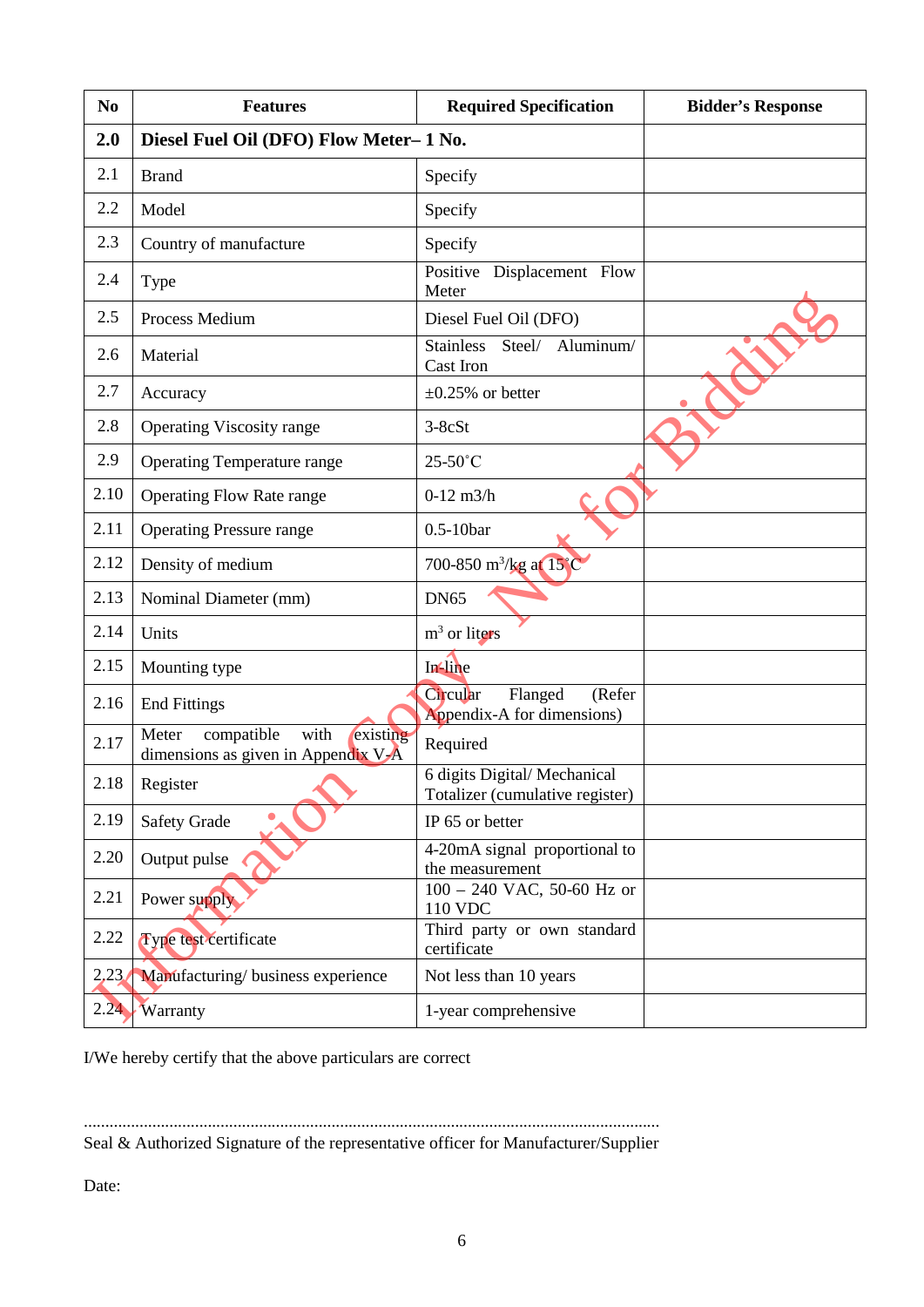| N <sub>0</sub> | <b>Features</b>                                                                | <b>Required Specification</b>                                  | <b>Bidder's Response</b> |
|----------------|--------------------------------------------------------------------------------|----------------------------------------------------------------|--------------------------|
| 2.0            | Diesel Fuel Oil (DFO) Flow Meter-1 No.                                         |                                                                |                          |
| 2.1            | <b>Brand</b>                                                                   | Specify                                                        |                          |
| 2.2            | Model                                                                          | Specify                                                        |                          |
| 2.3            | Country of manufacture                                                         | Specify                                                        |                          |
| 2.4            | Type                                                                           | Positive Displacement Flow<br>Meter                            |                          |
| 2.5            | Process Medium                                                                 | Diesel Fuel Oil (DFO)                                          |                          |
| 2.6            | Material                                                                       | <b>Stainless</b><br>Steel/ Aluminum/<br>Cast Iron              |                          |
| 2.7            | Accuracy                                                                       | $\pm 0.25\%$ or better                                         |                          |
| 2.8            | <b>Operating Viscosity range</b>                                               | $3-8cSt$                                                       |                          |
| 2.9            | <b>Operating Temperature range</b>                                             | $25-50^{\circ}$ C                                              |                          |
| 2.10           | <b>Operating Flow Rate range</b>                                               | $0-12$ m $3/h$                                                 |                          |
| 2.11           | <b>Operating Pressure range</b>                                                | $0.5-10$ bar                                                   |                          |
| 2.12           | Density of medium                                                              | 700-850 m <sup>3</sup> /kg at 15°C                             |                          |
| 2.13           | Nominal Diameter (mm)                                                          | <b>DN65</b>                                                    |                          |
| 2.14           | Units                                                                          | $m3$ or liters                                                 |                          |
| 2.15           | Mounting type                                                                  | In line                                                        |                          |
| 2.16           | <b>End Fittings</b>                                                            | Circular<br>Flanged<br>(Refer<br>Appendix-A for dimensions)    |                          |
| 2.17           | compatible<br>with<br>existing<br>Meter<br>dimensions as given in Appendix V-A | Required                                                       |                          |
| 2.18           | Register                                                                       | 6 digits Digital/Mechanical<br>Totalizer (cumulative register) |                          |
| 2.19           | <b>Safety Grade</b>                                                            | IP 65 or better                                                |                          |
| 2.20           | Output pulse                                                                   | 4-20mA signal proportional to<br>the measurement               |                          |
| 2.21           | Power supply                                                                   | 100 - 240 VAC, 50-60 Hz or<br>110 VDC                          |                          |
| 2.22           | Type test certificate                                                          | Third party or own standard<br>certificate                     |                          |
| 2,23           | Manufacturing/business experience                                              | Not less than 10 years                                         |                          |
| 2.24           | <b>Warranty</b>                                                                | 1-year comprehensive                                           |                          |

I/We hereby certify that the above particulars are correct

....................................................................................................................................... Seal & Authorized Signature of the representative officer for Manufacturer/Supplier

Date: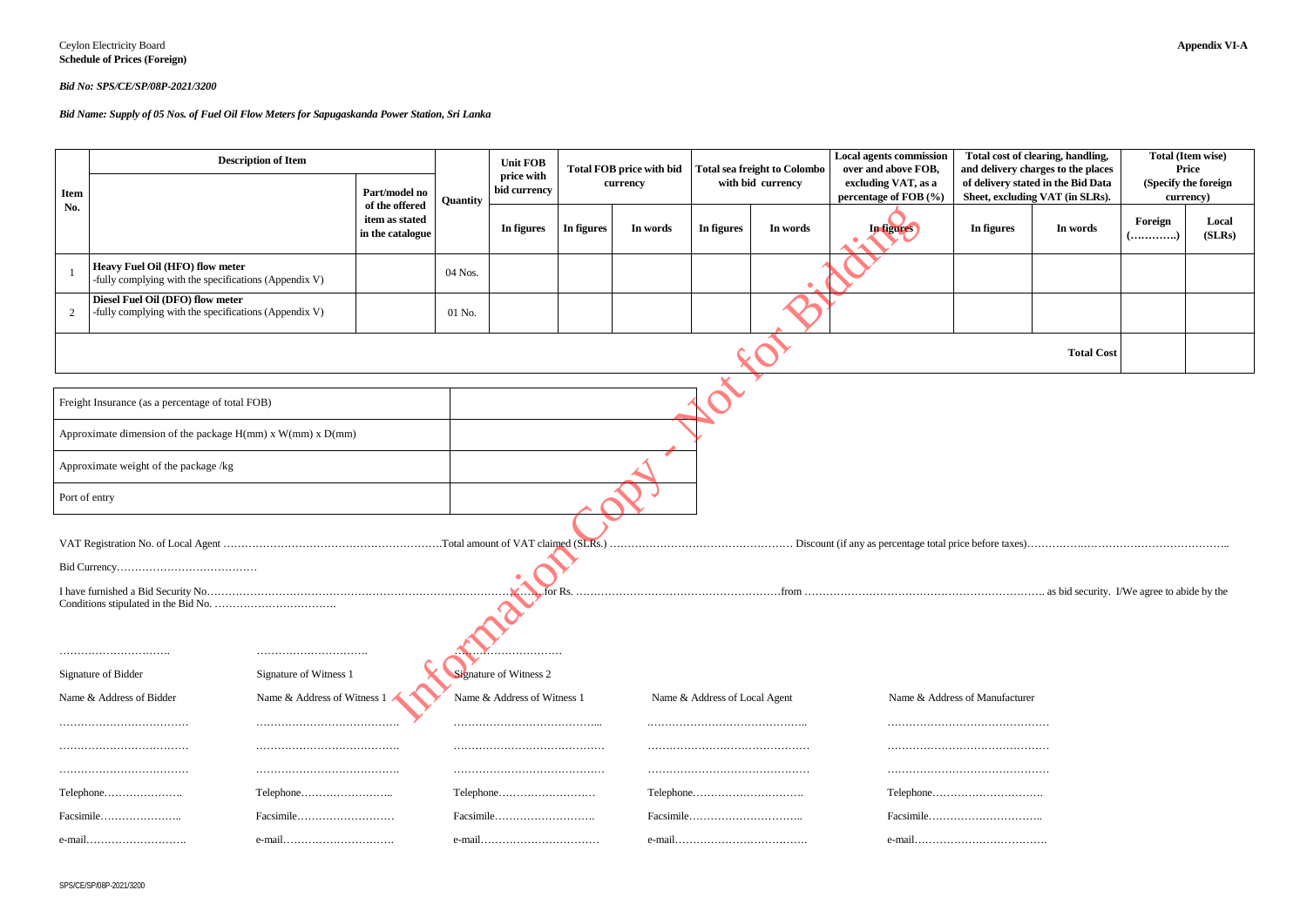#### *Bid No: SPS/CE/SP/08P-2021/3200*

| <b>Item</b>                                           | <b>Description of Item</b>                                                                |                        | Part/model no                                        |          | <b>Unit FOB</b><br>price with<br>bid currency |            | <b>Total FOB price with bid</b><br>currency | Total sea freight to Colombo<br>with bid currency |                                | <b>Local agents commission</b><br>over and above FOB,<br>excluding VAT, as a<br>percentage of FOB (%) | Total cost of clearing, handling,<br>and delivery charges to the places<br>of delivery stated in the Bid Data<br>Sheet, excluding VAT (in SLRs). |                   | <b>Total (Item w</b><br>Price<br>(Specify the fo<br>currency) |  |
|-------------------------------------------------------|-------------------------------------------------------------------------------------------|------------------------|------------------------------------------------------|----------|-----------------------------------------------|------------|---------------------------------------------|---------------------------------------------------|--------------------------------|-------------------------------------------------------------------------------------------------------|--------------------------------------------------------------------------------------------------------------------------------------------------|-------------------|---------------------------------------------------------------|--|
| No.                                                   |                                                                                           |                        | of the offered<br>item as stated<br>in the catalogue | Quantity | In figures                                    | In figures | In words                                    | In figures                                        | In words                       | In figures                                                                                            | In figures                                                                                                                                       | In words          | Foreign<br>()                                                 |  |
|                                                       | Heavy Fuel Oil (HFO) flow meter<br>-fully complying with the specifications (Appendix V)  |                        |                                                      | 04 Nos.  |                                               |            |                                             |                                                   |                                |                                                                                                       |                                                                                                                                                  |                   |                                                               |  |
| -2                                                    | Diesel Fuel Oil (DFO) flow meter<br>-fully complying with the specifications (Appendix V) |                        |                                                      | 01 No.   |                                               |            |                                             |                                                   |                                |                                                                                                       |                                                                                                                                                  |                   |                                                               |  |
|                                                       |                                                                                           |                        |                                                      |          |                                               |            |                                             |                                                   |                                |                                                                                                       |                                                                                                                                                  | <b>Total Cost</b> |                                                               |  |
|                                                       | Freight Insurance (as a percentage of total FOB)                                          |                        |                                                      |          |                                               |            |                                             |                                                   |                                |                                                                                                       |                                                                                                                                                  |                   |                                                               |  |
|                                                       | Approximate dimension of the package $H(mm)$ x $W(mm)$ x $D(mm)$                          |                        |                                                      |          |                                               |            |                                             |                                                   |                                |                                                                                                       |                                                                                                                                                  |                   |                                                               |  |
|                                                       | Approximate weight of the package /kg                                                     |                        |                                                      |          |                                               |            |                                             |                                                   |                                |                                                                                                       |                                                                                                                                                  |                   |                                                               |  |
| Port of entry                                         |                                                                                           |                        |                                                      |          |                                               |            |                                             |                                                   |                                |                                                                                                       |                                                                                                                                                  |                   |                                                               |  |
|                                                       |                                                                                           |                        |                                                      |          |                                               |            |                                             |                                                   |                                |                                                                                                       |                                                                                                                                                  |                   |                                                               |  |
|                                                       |                                                                                           |                        |                                                      |          |                                               |            |                                             |                                                   |                                |                                                                                                       |                                                                                                                                                  |                   |                                                               |  |
|                                                       |                                                                                           |                        |                                                      |          |                                               |            |                                             |                                                   |                                |                                                                                                       |                                                                                                                                                  |                   |                                                               |  |
|                                                       | Signature of Bidder                                                                       | Signature of Witness 1 |                                                      |          | <b>Signature of Witness 2</b>                 |            |                                             |                                                   |                                |                                                                                                       |                                                                                                                                                  |                   |                                                               |  |
| Name & Address of Witness<br>Name & Address of Bidder |                                                                                           |                        |                                                      |          | Name & Address of Witness                     |            | Name & Address of Local Agent               |                                                   | Name & Address of Manufacturer |                                                                                                       |                                                                                                                                                  |                   |                                                               |  |
|                                                       |                                                                                           |                        |                                                      |          |                                               |            |                                             |                                                   |                                |                                                                                                       |                                                                                                                                                  |                   |                                                               |  |
|                                                       |                                                                                           |                        |                                                      |          |                                               |            |                                             |                                                   |                                |                                                                                                       |                                                                                                                                                  |                   |                                                               |  |
|                                                       | Telephone                                                                                 |                        |                                                      |          | Telephone                                     |            |                                             |                                                   |                                |                                                                                                       |                                                                                                                                                  |                   |                                                               |  |
|                                                       | Facsimile                                                                                 |                        |                                                      |          | Facsimile                                     |            |                                             |                                                   |                                |                                                                                                       |                                                                                                                                                  |                   |                                                               |  |
| $e$ -mail                                             |                                                                                           |                        | $e$ -mail                                            |          |                                               |            |                                             |                                                   |                                |                                                                                                       |                                                                                                                                                  |                   |                                                               |  |

*Bid Name: Supply of 05 Nos. of Fuel Oil Flow Meters for Sapugaskanda Power Station, Sri Lanka*

|            | Total cost of clearing, handling,<br>and delivery charges to the places<br>of delivery stated in the Bid Data<br>Sheet, excluding VAT (in SLRs). | <b>Total (Item wise)</b><br>Price<br>(Specify the foreign<br>currency) |                 |  |  |  |
|------------|--------------------------------------------------------------------------------------------------------------------------------------------------|------------------------------------------------------------------------|-----------------|--|--|--|
| In figures | In words                                                                                                                                         | Foreign<br>$($ )                                                       | Local<br>(SLRs) |  |  |  |
|            |                                                                                                                                                  |                                                                        |                 |  |  |  |
|            |                                                                                                                                                  |                                                                        |                 |  |  |  |
|            | <b>Total Cost</b>                                                                                                                                |                                                                        |                 |  |  |  |

VAT Registration No. of Local Agent …………………………………………………….Total amount of VAT claimed (SLRs.) …………………………………………… Discount (if any as percentage total price before taxes)…………….…………………………………..

I have furnished a Bid Security. I/We agree to abide by the

- 
- 
- 
- 
- 
-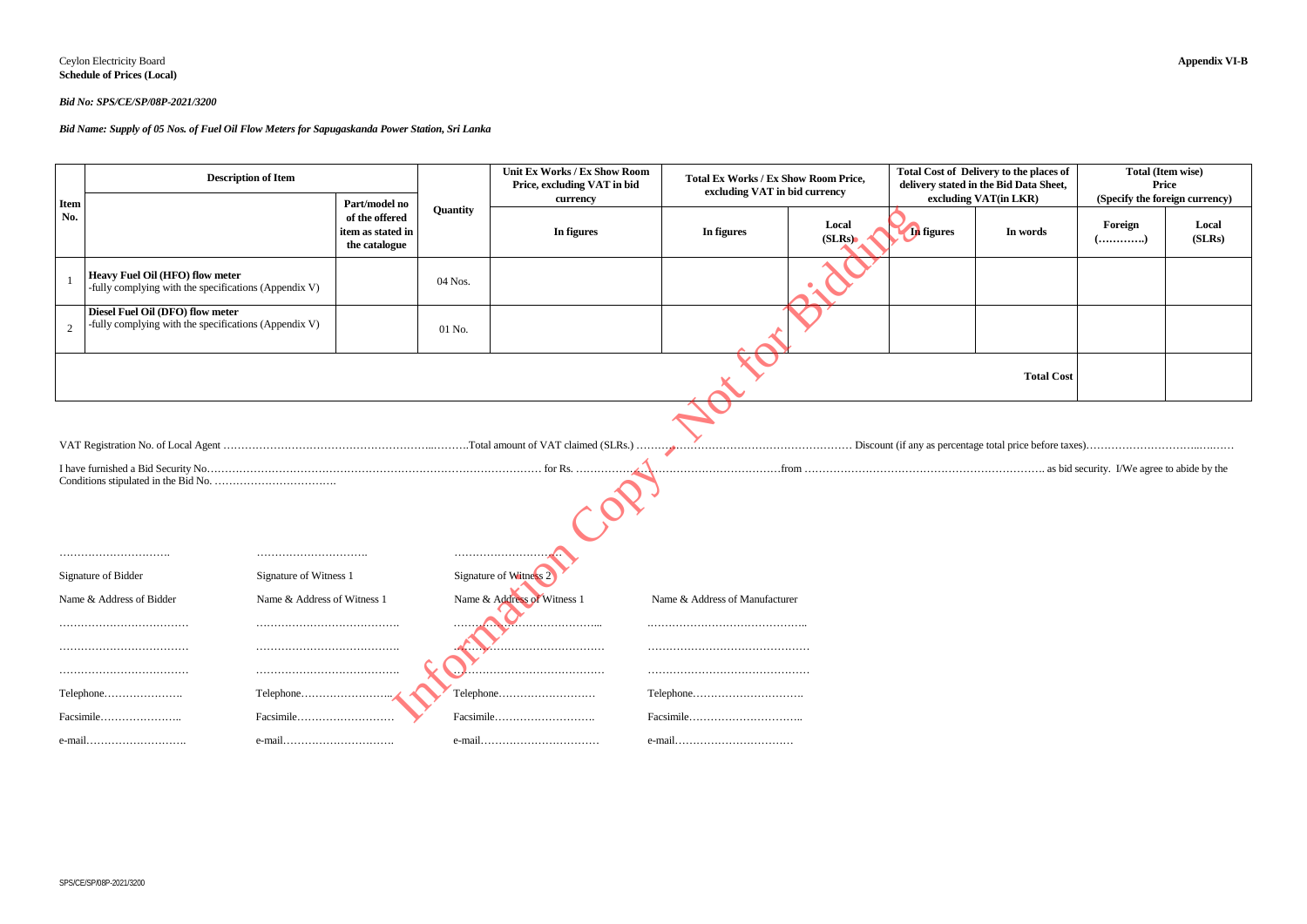#### Ceylon Electricity Board **Appendix VI-B Schedule of Prices (Local)**

#### *Bid No: SPS/CE/SP/08P-2021/3200*

#### *Bid Name: Supply of 05 Nos. of Fuel Oil Flow Meters for Sapugaskanda Power Station, Sri Lanka*

| very to the places of<br>the Bid Data Sheet,<br>AT(in LKR) | <b>Total (Item wise)</b><br><b>Price</b><br>(Specify the foreign currency) |                 |  |  |  |
|------------------------------------------------------------|----------------------------------------------------------------------------|-----------------|--|--|--|
| In words                                                   | Foreign<br>$($ )                                                           | Local<br>(SLRs) |  |  |  |
|                                                            |                                                                            |                 |  |  |  |
|                                                            |                                                                            |                 |  |  |  |
| <b>Total Cost</b>                                          |                                                                            |                 |  |  |  |

|                    | <b>Description of Item</b>                                                                |                                                                       |          | Unit Ex Works / Ex Show Room<br>Price, excluding VAT in bid<br>currency | <b>Total Ex Works / Ex Show Room Price,</b><br>excluding VAT in bid currency |                 |                   | Total Cost of Delivery to the places of<br>delivery stated in the Bid Data Sheet,<br>excluding VAT(in LKR) | Total (Item wise)<br><b>Price</b><br>(Specify the foreign currency) |                 |
|--------------------|-------------------------------------------------------------------------------------------|-----------------------------------------------------------------------|----------|-------------------------------------------------------------------------|------------------------------------------------------------------------------|-----------------|-------------------|------------------------------------------------------------------------------------------------------------|---------------------------------------------------------------------|-----------------|
| <b>Item</b><br>No. |                                                                                           | Part/model no<br>of the offered<br>item as stated in<br>the catalogue | Quantity | In figures                                                              | In figures                                                                   | Local<br>(SLRs) | <b>In</b> figures | In words                                                                                                   | Foreign                                                             | Local<br>(SLRs) |
|                    | Heavy Fuel Oil (HFO) flow meter<br>-fully complying with the specifications (Appendix V)  |                                                                       | 04 Nos.  |                                                                         |                                                                              |                 |                   |                                                                                                            |                                                                     |                 |
| 2                  | Diesel Fuel Oil (DFO) flow meter<br>-fully complying with the specifications (Appendix V) |                                                                       | $01$ No. |                                                                         |                                                                              |                 |                   |                                                                                                            |                                                                     |                 |
|                    |                                                                                           |                                                                       |          |                                                                         |                                                                              |                 |                   | <b>Total Cost</b>                                                                                          |                                                                     |                 |
|                    |                                                                                           |                                                                       |          |                                                                         |                                                                              |                 |                   |                                                                                                            |                                                                     |                 |
|                    | Signature of Witness 1<br>Signature of Bidder                                             |                                                                       |          | Signature of Witness 2                                                  |                                                                              |                 |                   |                                                                                                            |                                                                     |                 |
|                    | Name & Address of Witness 1<br>Name & Address of Bidder                                   |                                                                       |          | Name & Address of Witness 1                                             | Name & Address of Manufacturer                                               |                 |                   |                                                                                                            |                                                                     |                 |
|                    |                                                                                           |                                                                       |          |                                                                         |                                                                              |                 |                   |                                                                                                            |                                                                     |                 |
|                    |                                                                                           |                                                                       |          |                                                                         |                                                                              |                 |                   |                                                                                                            |                                                                     |                 |
|                    |                                                                                           |                                                                       |          |                                                                         |                                                                              |                 |                   |                                                                                                            |                                                                     |                 |
|                    | Telephone<br>Telephone                                                                    |                                                                       |          | Telephone                                                               |                                                                              |                 |                   |                                                                                                            |                                                                     |                 |
|                    | Facsimile<br>Facsimile                                                                    |                                                                       |          | Facsimile                                                               |                                                                              |                 |                   |                                                                                                            |                                                                     |                 |
|                    | $e$ -mail                                                                                 |                                                                       |          |                                                                         | $e$ -mail                                                                    |                 |                   |                                                                                                            |                                                                     |                 |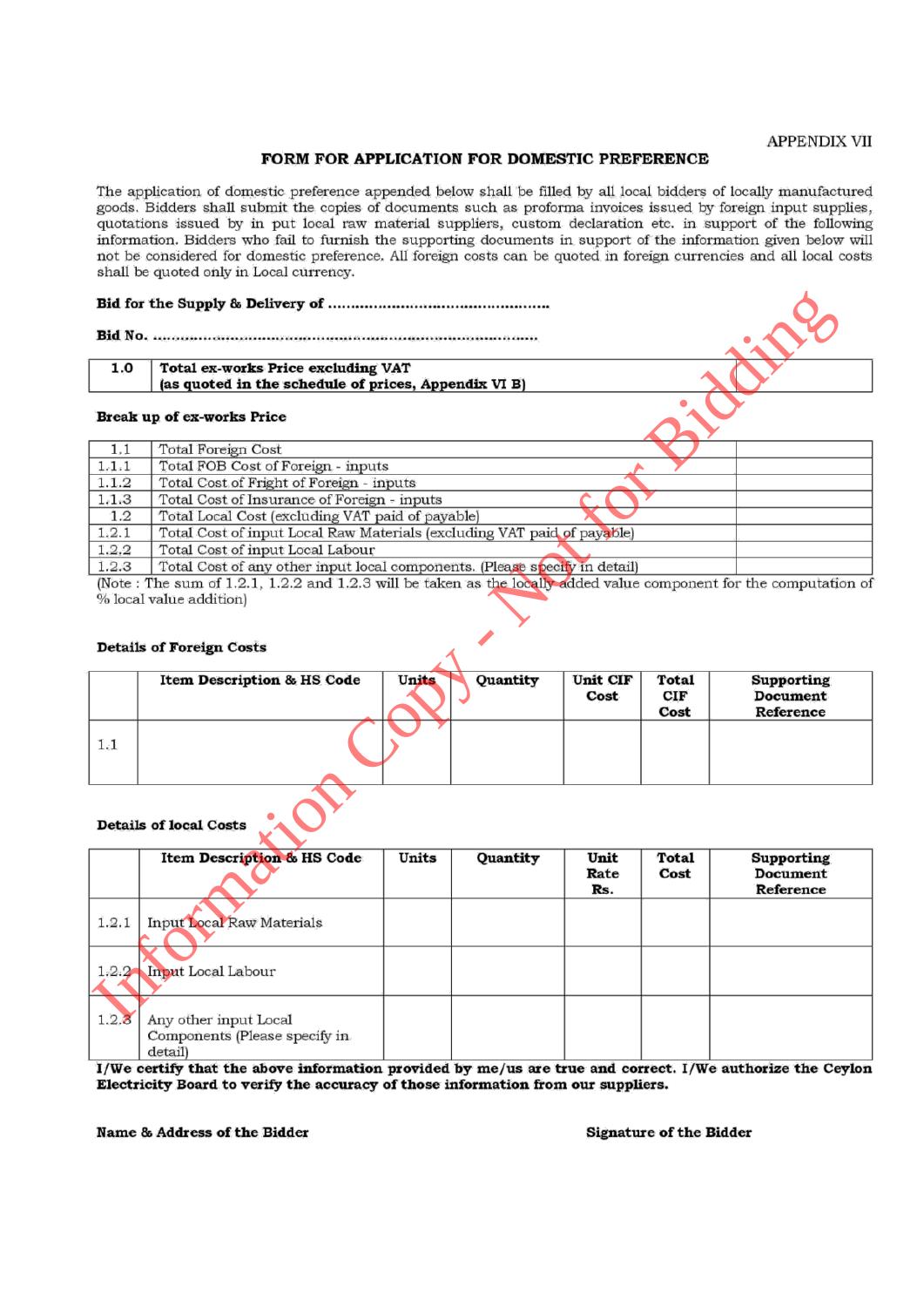#### **APPENDIX VII**

#### FORM FOR APPLICATION FOR DOMESTIC PREFERENCE

The application of domestic preference appended below shall be filled by all local bidders of locally manufactured goods. Bidders shall submit the copies of documents such as proforma invoices issued by foreign input supplies, quotations issued by in put local raw material suppliers, custom declaration etc. in support of the following information. Bidders who fail to furnish the supporting documents in support of the information given below will not be considered for domestic preference. All foreign costs can be quoted in foreign currencies and all local costs shall be quoted only in Local currency.

| 1.0                           |                                                                                                                    |       |          |                     |               |                                                   |  |  |  |  |
|-------------------------------|--------------------------------------------------------------------------------------------------------------------|-------|----------|---------------------|---------------|---------------------------------------------------|--|--|--|--|
|                               | (as quoted in the schedule of prices, Appendix VI B)                                                               |       |          |                     |               |                                                   |  |  |  |  |
|                               | Break up of ex-works Price                                                                                         |       |          |                     |               |                                                   |  |  |  |  |
| 1,1                           | <b>Total Foreign Cost</b>                                                                                          |       |          |                     |               |                                                   |  |  |  |  |
| 1, 1, 1                       | Total FOB Cost of Foreign - inputs                                                                                 |       |          |                     |               |                                                   |  |  |  |  |
| 1.1.2                         | Total Cost of Fright of Foreign - inputs                                                                           |       |          |                     |               |                                                   |  |  |  |  |
| 1.1.3                         | Total Cost of Insurance of Foreign - inputs                                                                        |       |          |                     |               |                                                   |  |  |  |  |
| $1.2\,$                       | Total Local Cost (excluding VAT paid of payable)                                                                   |       |          |                     |               |                                                   |  |  |  |  |
| 1, 2, 1                       | Total Cost of input Local Raw Materials (excluding VAT paid of payable)                                            |       |          |                     |               |                                                   |  |  |  |  |
| 1.2.2                         | Total Cost of input Local Labour                                                                                   |       |          |                     |               |                                                   |  |  |  |  |
| 1.2.3                         | Total Cost of any other input local components. (Please specify in detail)                                         |       |          |                     |               |                                                   |  |  |  |  |
|                               | (Note: The sum of 1.2.1, 1.2.2 and 1.2.3 will be taken as the locally added value component for the computation of |       |          |                     |               |                                                   |  |  |  |  |
|                               | % local value addition)                                                                                            |       |          |                     |               |                                                   |  |  |  |  |
|                               | <b>Details of Foreign Costs</b><br><b>Item Description &amp; HS Code</b>                                           | Units | Quantity | Unit CIF            | Total         | <b>Supporting</b>                                 |  |  |  |  |
|                               |                                                                                                                    |       |          | Cost                | CIF           | <b>Document</b>                                   |  |  |  |  |
| 1.1                           |                                                                                                                    |       |          |                     | Cost          | Reference                                         |  |  |  |  |
| <b>Details of local Costs</b> |                                                                                                                    |       |          |                     |               |                                                   |  |  |  |  |
|                               | Item Description & HS Code                                                                                         | Units | Quantity | Unit<br>Rate<br>Rs. | Total<br>Cost | <b>Supporting</b><br><b>Document</b><br>Reference |  |  |  |  |
| 1.2.1                         | <b>Input Local Raw Materials</b>                                                                                   |       |          |                     |               |                                                   |  |  |  |  |
| 1.2.2                         | <b>Input Local Labour</b>                                                                                          |       |          |                     |               |                                                   |  |  |  |  |
| 1.2.3                         | Any other input Local                                                                                              |       |          |                     |               |                                                   |  |  |  |  |

|     | <b>Item Description &amp; HS Code</b> | <b>Units</b> | Quantity | Unit CIF<br>Cost | <b>Total</b><br>CIF<br>Cost | <b>Supporting</b><br><b>Document</b><br>Reference |
|-----|---------------------------------------|--------------|----------|------------------|-----------------------------|---------------------------------------------------|
| 1.1 |                                       |              |          |                  |                             |                                                   |

|       | <b>Item Description &amp; HS Code</b>                             | Units | Quantity | Unit<br>Rate<br>Rs. | Total<br>Cost | Supporting<br><b>Document</b><br>Reference |
|-------|-------------------------------------------------------------------|-------|----------|---------------------|---------------|--------------------------------------------|
| 1.2.1 | Input Local Raw Materials                                         |       |          |                     |               |                                            |
|       | 1.2.2 Input Local Labour                                          |       |          |                     |               |                                            |
| 1.2.3 | Any other input Local<br>Components (Please specify in<br>detail) |       |          |                     |               |                                            |

I/We certify that the above information provided by me/us are true and correct. I/We authorize the Ceylon Electricity Board to verify the accuracy of those information from our suppliers.

Name & Address of the Bidder

**Signature of the Bidder**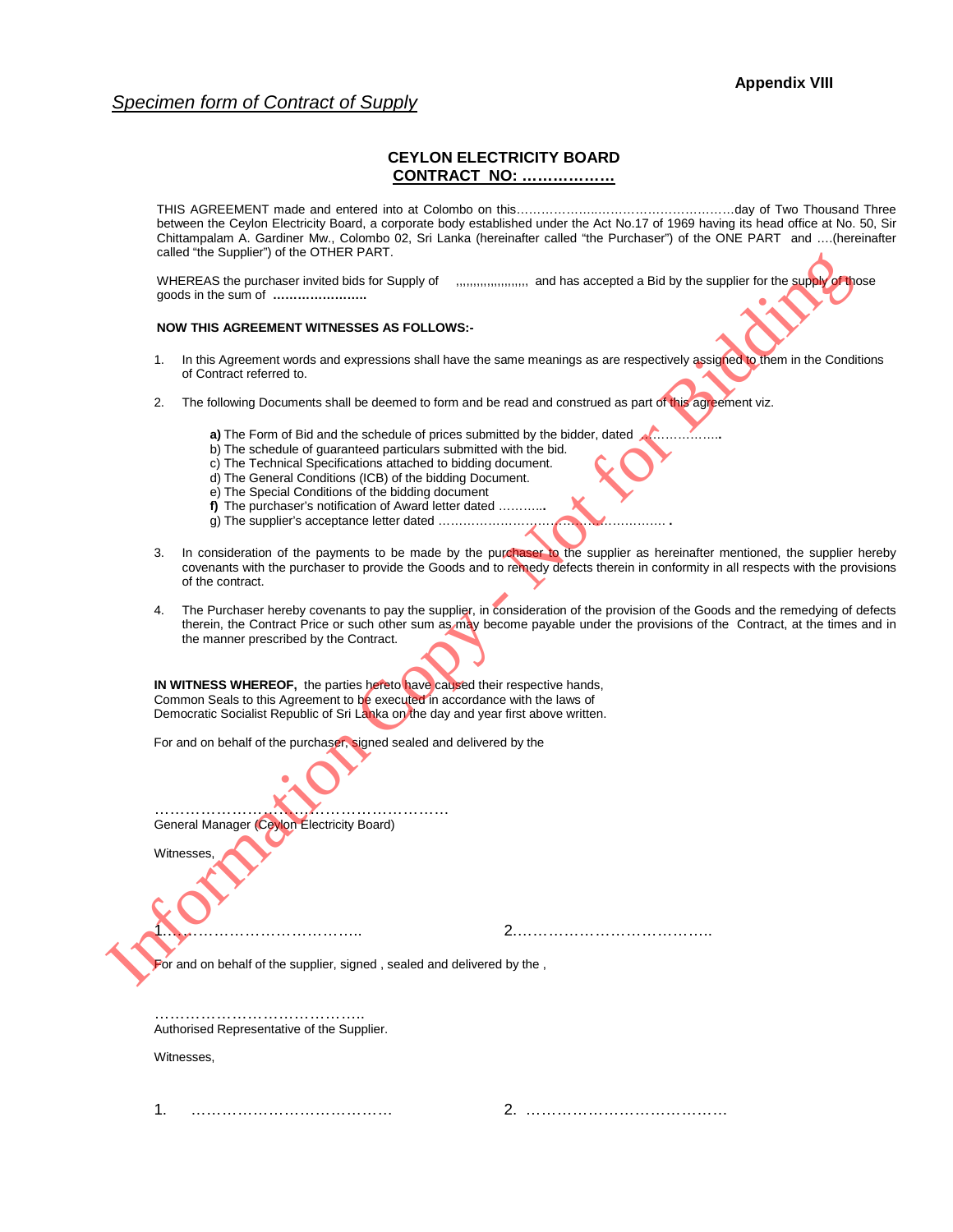#### *Specimen form of Contract of Supply*

#### **CEYLON ELECTRICITY BOARD CONTRACT NO: ………………**

THIS AGREEMENT made and entered into at Colombo on this………………..……………………………day of Two Thousand Three between the Ceylon Electricity Board, a corporate body established under the Act No.17 of 1969 having its head office at No. 50, Sir Chittampalam A. Gardiner Mw., Colombo 02, Sri Lanka (hereinafter called "the Purchaser") of the ONE PART and ….(hereinafter called "the Supplier") of the OTHER PART.

WHEREAS the purchaser invited bids for Supply of ,,,,,,,,,,,,,,,,,,,,,,,,,,,,,,,, and has accepted a Bid by the supplier for the supply of those goods in the sum of **…………………..** 

#### **NOW THIS AGREEMENT WITNESSES AS FOLLOWS:-**

- 1. In this Agreement words and expressions shall have the same meanings as are respectively assigned to them in the Conditions of Contract referred to.
- 2. The following Documents shall be deemed to form and be read and construed as part of this agreement viz.
	- **a)** The Form of Bid and the schedule of prices submitted by the bidder, dated ..
	- b) The schedule of guaranteed particulars submitted with the bid.
	- c) The Technical Specifications attached to bidding document.
	- d) The General Conditions (ICB) of the bidding Document.
	- e) The Special Conditions of the bidding document
	- **f)** The purchaser's notification of Award letter dated ………..**.**
	- g) The supplier's acceptance letter dated ………………………………………………. **.**
- 3. In consideration of the payments to be made by the purchaser to the supplier as hereinafter mentioned, the supplier hereby covenants with the purchaser to provide the Goods and to remedy defects therein in conformity in all respects with the provisions of the contract.
- 4. The Purchaser hereby covenants to pay the supplier, in consideration of the provision of the Goods and the remedying of defects therein, the Contract Price or such other sum as may become payable under the provisions of the Contract, at the times and in the manner prescribed by the Contract. WHEREAS the purchase mixted bids for Supply of<br>
your SPERAS the purchase mixted bids for Supply of<br>
your MIS AGREEMENT WITNESSES AS POLLOWS-<br>
NOW THIS AGREEMENT WITNESSES AS POLLOWS-<br>
1. In this Agreement voors and express

**IN WITNESS WHEREOF,** the parties hereto have caused their respective hands, Common Seals to this Agreement to be executed in accordance with the laws of Democratic Socialist Republic of Sri Lanka on the day and year first above written.

For and on behalf of the purchaser, signed sealed and delivered by the

………………………………………………… General Manager (Ceylon Electricity Board)

**Witnesses** 

1.……………………………….. 2.………………………………..

For and on behalf of the supplier, signed, sealed and delivered by the,

………………………………………………… Authorised Representative of the Supplier.

Witnesses,

1. ………………………………… 2. …………………………………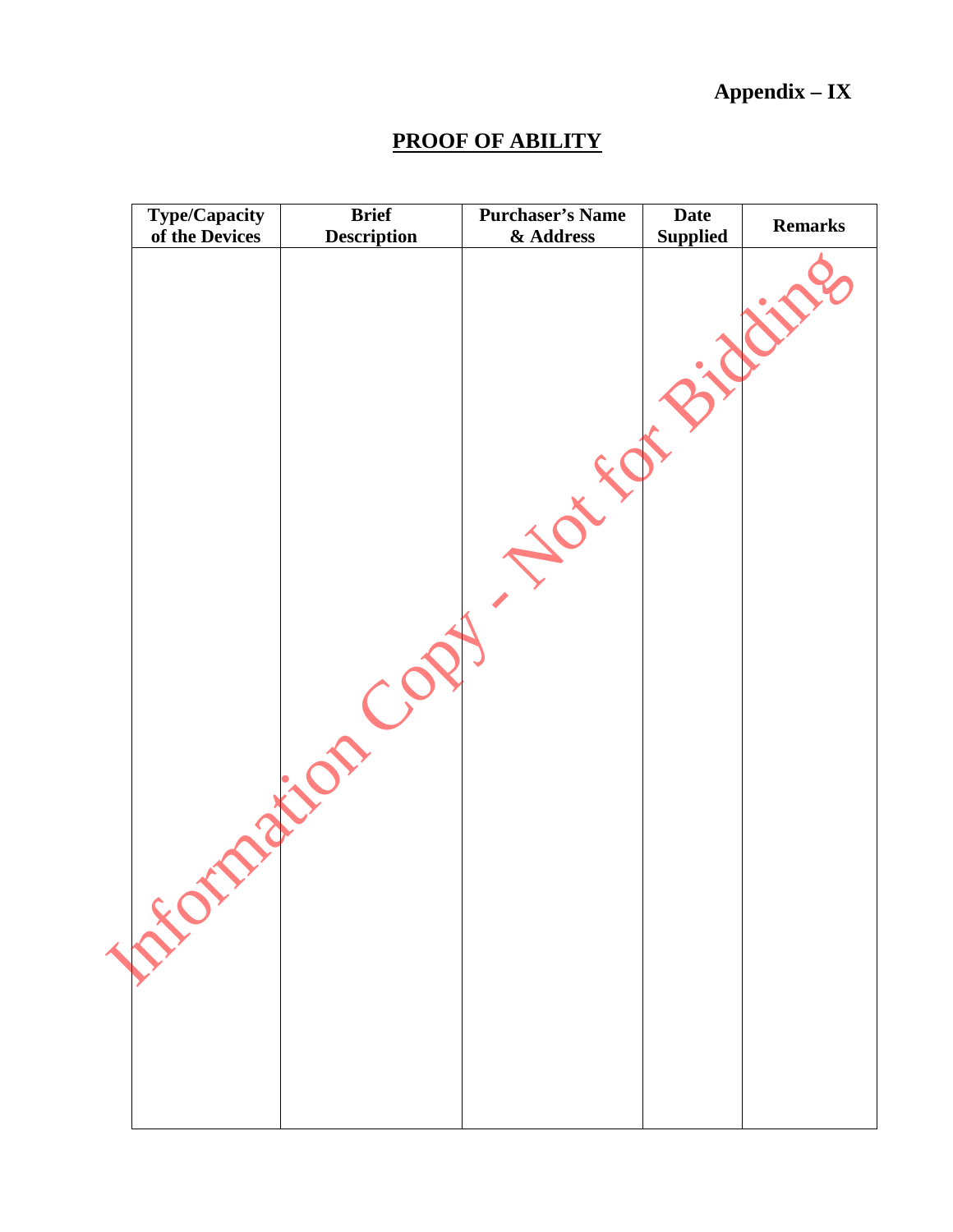# **Appendix – IX**

# **PROOF OF ABILITY**

| <b>Type/Capacity</b> | <b>Brief</b>       | <b>Purchaser's Name</b> | <b>Date</b>     | <b>Remarks</b> |
|----------------------|--------------------|-------------------------|-----------------|----------------|
| of the Devices       | <b>Description</b> | & Address               | <b>Supplied</b> |                |
| LEOT                 |                    |                         |                 |                |